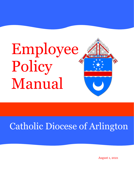# Employee Policy Manual



# Catholic Diocese of Arlington

August 1, 2021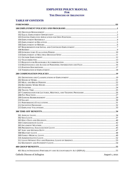# **EMPLOYEE POLICY MANUAL FOR** THE DIOCESE OF ARLINGTON

# **TABLE OF CONTENTS**

| Catholic Diocese of Arlington | August 1, 2021 |
|-------------------------------|----------------|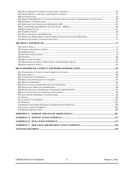| 405 SHORT-TERM DISABILITY SALARY CONTINUATION AND LONG-TERM DISABILITY INSURANCE  60 |  |
|--------------------------------------------------------------------------------------|--|
|                                                                                      |  |
|                                                                                      |  |
|                                                                                      |  |
|                                                                                      |  |
|                                                                                      |  |
|                                                                                      |  |
|                                                                                      |  |
|                                                                                      |  |
|                                                                                      |  |
|                                                                                      |  |
|                                                                                      |  |
|                                                                                      |  |
|                                                                                      |  |
|                                                                                      |  |
|                                                                                      |  |
|                                                                                      |  |
|                                                                                      |  |
|                                                                                      |  |
|                                                                                      |  |
|                                                                                      |  |
|                                                                                      |  |
|                                                                                      |  |
|                                                                                      |  |
|                                                                                      |  |
|                                                                                      |  |
|                                                                                      |  |
|                                                                                      |  |
|                                                                                      |  |
|                                                                                      |  |
|                                                                                      |  |
|                                                                                      |  |
|                                                                                      |  |
|                                                                                      |  |
|                                                                                      |  |
|                                                                                      |  |
|                                                                                      |  |
|                                                                                      |  |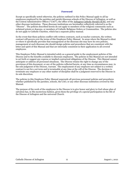#### **Foreword**

<span id="page-4-0"></span>Except as specifically noted otherwise, the policies outlined in this Policy Manual apply to all lay employees employed by the parishes and parish/diocesan schools of the Diocese of Arlington, as well as the Central Administrative Offices ("CAO"), the office of the Arlington Catholic Herald (ACH), and any other diocesan institution. These diocesan institutions are hereinafter collectively referred to as the "Diocese". The policies described herein do not apply to members of the religious community such as ordained priests or deacons, or members of Catholic Religious Orders or Communities. The policies also do not apply to Catholic Charities, which has a separate policy manual.

In the event that these policies conflict with written contracts, such as teacher contracts, the written contract will govern over the terms of this Employee Policy Manual. In areas where the Manual is silent or where it specifically provides that management at the diocesan site may have its own policies, management at each diocesan site should design policies and procedures that are consistent with the letter and spirit of this Manual and that are internally consistent in their application to all covered employees.

This Employee Policy Manual is intended solely as a general guide to the employment policies of the Diocese and to the benefits available to diocesan employees. The policies in this Manual are not intended to set forth or suggest any express or implied contractual obligations of the Diocese. This Manual cannot anticipate or address all personnel situations. The Diocese retains the right to change any of the provisions of this document, or any of the policies reflected herein, at any time as circumstances may, in the sole judgment of the Diocese, warrant. The employment of any employee not subject to a written contract is not for a set term and is terminable at any time at the will of the Diocese. The decision to terminate any employee or any other matter of discipline shall be a judgment reserved to the Diocese in its sole discretion.

The policies in this Employee Policy Manual supersede all previous personnel policies and procedures whether published by the parishes, schools, the CAO, or any other diocesan institution covered by this Manual.

The purpose of the work of the employees in the Diocese is to give honor and glory to God whose plan of salvation has, in His mysterious fashion, given them the privilege of a special participation in the life of the Diocese of Arlington and the universal Church.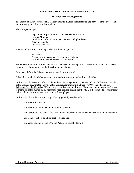#### **100 EMPLOYMENT POLICIES AND PROGRAMS**

#### **101 Diocesan Management**

<span id="page-5-1"></span><span id="page-5-0"></span>The Bishop of the Diocese designates individuals to manage the ministries and services of the Diocese in its various organizations and institutions.

The Bishop manages:

Department Supervisors and Office Directors in the CAO Campus Ministers Heads of Schools and Principals of diocesan high schools Regional schools Diocesan facilities

Pastors and Administrators in parishes are the managers of:

Parish staff Principals of diocesan parish elementary schools Campus Ministers who serve on parish staff

The Superintendent of Catholic Schools also manages the Principals of diocesan high schools and parish elementary schools as well as the Directors of preschools.

Principals of Catholic Schools manage school faculty and staff.

Office directors in the CAO manage exempt and non-exempt staff within their offices.

In this Manual, "Diocese" refers to all members of management at parishes and parish/diocesan schools of the Diocese of Arlington, as well as the Central Administrative Offices ("CAO"), the office of the Arlington Catholic Herald (ACH), and any other diocesan institution. "Diocesan site management" refers to members of the management hierarchy with decision-making authority at a diocesan site. "Supervisor" refers only to the immediate supervisor of the employee.

In this Manual, the decision-making authority generally resides with:

The Pastor of a Parish

The Pastor and Principal of an Elementary School

The Pastor and Preschool Director of a preschool that is not associated with an elementary school

The Head of School and Principal of a High School

The Vicar General for the CAO and Arlington Catholic Herald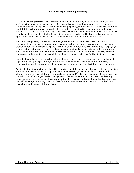# **102 Equal Employment Opportunity**

<span id="page-6-0"></span>It is the policy and practice of the Diocese to provide equal opportunity to all qualified employees and applicants for employment, as may be required by applicable law, without regard to race, color, sex, national origin, citizenship, age, disability, handicap, pregnancy, childbirth or related medical conditions, marital status, veteran status, or any other legally protected classification that applies to faith based employers. The Diocese reserves the right, however, to determine whether and under what circumstances priority should be given to Catholics for certain employment positions. The Diocese also reserves the right to determine when being Catholic is a bona fide occupational requirement of a position.

For Catholic employees, conformance with religious tenets of the Catholic faith is a condition of employment. All employees, however, are called upon to lead by example. As such, all employees are prohibited from teaching/advocating the rejection of official Church laws or doctrines and/or engaging in conduct, either in the workplace or elsewhere, including online, that is inconsistent with the moral and ethical standards of the Roman Catholic Church, which includes but is not limited to idolatry, atheism, non-respect for human life, grave scandal, and offenses against chastity and/or the dignity of marriage.

Consistent with the foregoing, it is the policy and practice of the Diocese to provide equal employment opportunity in all privileges, terms, and conditions of employment, including but not limited to, compensation, benefits, promotions/demotions, job assignment, training, discipline, and termination.

Any incident or situation that is believed to be in violation of this policy must be brought to the immediate attention of management for investigation and corrective action, when deemed appropriate. If the situation cannot be resolved through the direct supervisor and/or the concern involves direct supervision, it may be directed to a higher level of management. There is no requirement, however, to follow any formal chain of command when filing a complaint related to equal employment opportunity. Employees may address complaints at any time with the Office of Human Resources or the EthicsPoint hotline at [www.ethicspoint.com](https://urldefense.proofpoint.com/v2/url?u=http-3A__www.ethicspoint.com_&d=DwMGaQ&c=jxhwBfk-KSV6FFIot0PGng&r=vGmxa4eOhys-vGcDxq16p8NVWEnffji2tEKsiFKDDjc&m=HuFTFwjHd_WfTeiQ6eaSSZ8oJwJMs4Zk8H2qniHl_08&s=klSgcYInbxafTIdXRcN7TwhBj3ca-K2taIhz28hxETY&e=) or 1-888-293-3718.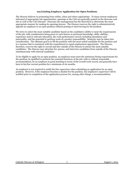# **103 Existing Employee Application for Open Positions**

<span id="page-7-0"></span>The Diocese believes in promoting from within, when and where appropriate. To keep current employees informed of appropriate job opportunities, openings at the CAO are generally posted on the diocesan web site as well as the CAO intranet. Diocesan site-management has the discretion to determine the most appropriate manner for making its openings known. The Diocese reserves the right to administratively appoint an employee to an open position without posting or interviewing for the position.

We strive to select the most suitable candidate based on the candidate's ability to meet the requirements of the job, with consideration being given to such factors as pertinent knowledge, skills, abilities, experience and/or relevant education, the work performance record, including attendance and punctuality, and the potential to perform work of a greater responsibility. Seniority may be taken into consideration. The ultimate goal is to fill the position with the most suited candidate for the position and in a manner that is consistent with the commitment to equal employment opportunity. The Diocese, therefore, reserves the right to recruit and hire outside of the Diocese to attract the most suitable candidates. The Diocese may advertise for, pursue, and interview candidates from outside of the Diocese simultaneously with internal candidates.

To be eligible to apply for an open position, an employee must meet the minimum hiring requirements for the position, be qualified to perform the essential functions of the job, with or without reasonable accommodation, be an employee in good standing in terms of the overall work record, and generally have been in his/her current position for a minimum of six months.

An employee is not required to notify his/her supervisor when submitting an application for an open position. However, if the employee becomes a finalist for the position, the employee's supervisor will be notified prior to completion of the application process for, among other things, a recommendation.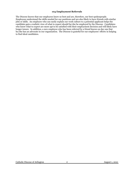## **104 Employment Referrals**

<span id="page-8-0"></span>The Diocese knows that our employees know us best and are, therefore, our best spokespeople. Employees understand the skills needed for our positions and are also likely to have friends with similar jobs or skills. An employee who can easily explain our work culture to a potential applicant helps the candidate gain a realistic view of what to expect should he/she be employed by the Diocese. Candidates who know what to expect are more apt to be satisfied with their employment decision and will likely have longer tenure. In addition, a new employee who has been referred by a friend knows on day one that he/she has an advocate in our organization. The Diocese is grateful for our employees' efforts in helping to find ideal candidates.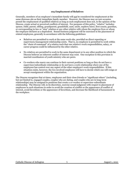# <span id="page-9-0"></span>**105 Employment of Relatives**

Generally, members of an employee's immediate family will not be considered for employment at the same diocesan site as their immediate family member. However, the Diocese may on rare occasion permit the employment of qualified relatives as long as such employment does not, in the opinion of the Diocese, create actual or perceived conflicts of interest. For purposes of this policy, "relative" includes: spouse, child, parent, sibling, grandparent, grandchild, aunt, uncle, nephew/niece, first cousin, guardian, or corresponding in-law or "step" relation or any other relative with whom the employee lives or whom the employee declares as a dependent. Sound business judgment will be exercised in the placement of related employees, generally in accordance with the following guidelines:

- Relatives are permitted to work at the same work-site, provided no direct reporting or supervisory/management relationship exists. That is, no employee is permitted to work within the "chain of command" of a relative such that one relative's work responsibilities, salary, or career progress could be influenced by the other relative.
- No relatives are permitted to work in the same department or in any other position in which the Diocese believes an inherent conflict of interest may exist. One exception to this provision is married coordinators of youth ministry who are peers.
- Co-workers who marry can continue in their current positions so long as they do not have a supervisor/subordinate relationship or do not have a work relationship where one of the employees has control over any aspect of the other employee's work responsibilities. If this situation exists, however, the two involved employees will have to decide which one will resign or accept reassignment within the organization.

The Diocese recognizes that at times, employees and their close friends or "significant others" (including, but not limited to, engaged couples, couples who are dating, and couples who are in long-term relationships) may be assigned to positions that create a co-worker or supervisor-subordinate relationship. The Diocese will, in its discretion, exercise sound judgment with respect to placement of employees in such situations in order to avoid the creation of conflict or the appearance of conflict of interest, avoid favoritism or the appearance of favoritism, and decrease the likelihood of harassment in the workplace.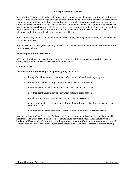# **106 Employment of Minors**

<span id="page-10-0"></span>Generally, the Diocese requires that individuals be 18 years of age or older as a condition of employment to work. Individuals under the age of 18 are prohibited from being employed in rectories or parish offices. On rare occasion (and only after the consideration of the intended job duties, work location, scheduled hours, and perceived maturity), the Diocese may hire an individual who is between 14 and 18 years of age to work outside of a rectory or parish office. In such cases, the minor is prohibited from working without the presence of at least two adults at all times. As dictated by the Virginia Department of Labor, individuals under the age of fourteen are not permitted to work.

In the state of Virginia, there are no employment restrictions, including hours of work, for individuals 16 years of age or older.

Individuals between the ages of 14 and 15, however, are subject to certain employment requirements and restrictions as follows:

# **Child Employment Certificates**

In Virginia, individuals between the ages of 14 and 15 must obtain an employment certificate (work permit) from a public or private high school in order to work.

# **Hours of Work**

### **Individuals between the ages of 14 and 15 may not work:**

- during school hours unless they are enrolled in a school work-training program
- more than forty hours in any one week when school is not in session
- more than eighteen hours in any one week when school is in session.
- more than eight hours in any one day when school is not in session.
- more than three hours in any one day when school is in session.
- before  $7$  a.m. or after  $7$  p.m., except that from June 1 through Labor Day, the teenager may work until 9 p.m.
- more than five hours of continuous work without a 30 minute rest or meal period

Note: According to 16 VAC 15-40-10, "school hours" means those periods when the school attended by the minor is in regular session, and does not include hours before and after school, Saturdays and Sundays, holidays, or school vacations, including summer vacations. If the minor does not attend school, "school hours" shall mean the school hours of the school district in which the minor is currently living.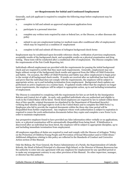# **107 Requirements for Initial and Continued Employment**

<span id="page-11-0"></span>Generally, each job applicant is required to complete the following steps before employment may be approved:

- 1. complete in full and submit an approved employment application form
- 2. participate in a personal interview
- 3. complete any written tests required by state or federal law, or the Diocese, or other diocesan site policy
- 4. submit to any pre-employment testing (or medical exam after conditional offer of employment) which may be required as a condition of employment
- 5. complete in full and submit all Diocese of Arlington background check forms

Employment may be conditioned upon favorable reference checks, verification of previous employment, acceptable results of the background check, and acceptable results on a physical examination and drug testing. These tests will be conducted after a conditional offer of employment. The Diocese complies with the requirements of the Fair Credit Reporting Act.

Individuals offered employment are provided with the requirements for passing the initial background check and are required to certify that they meet such requirements. Generally, employment may not begin without receipt of the background check results and approval from the Office of Child Protection and Safety. On occasion, the Office of Child Protection and Safety may allow employment to begin prior to the receipt of all background check results. If results are received after an individual has been hired and prove that the individual does not comply with the requirements, the employee will be subject to appropriate action, up to and including termination from employment. Background check updates are performed on active employees on a routine basis. If updated results reflect that the employee no longer meets requirements, the employee will be subject to appropriate action, up to and including termination of employment.

The Diocese is committed to complying with the requirements for hire as set forth by the Immigration Reform and Control Act of 1986. As such, only qualified individuals who are authorized and eligible to work in the United States will be hired. Newly hired employees are required by law to submit within three days of hire specific, original documents (as stipulated by the Department of Homeland Security) verifying their identity and legal right to work in the United States and to complete the DHS Form I-9. Employees who fail to provide the required documents within the three-day time period will be disqualified from further employment. Any employee whose work authorization is subject to expiration is required to renew the work authorization documents before they expire and complete a new Form I-9 in order to maintain employment.

Any prospective employee found to have provided any false information either verbally or on applications, tests, or a physical examination will be automatically disqualified from being hired. If falsification is discovered after an individual has been hired, the employee will be subject to appropriate discipline, up to and including immediate termination from employment.

All employees regardless of duties are required to read and comply with the Diocese of Arlington "Policy on the Protection of Children/Young People and Prevention of Sexual Misconduct and/or Child Abuse." Additional obligations relating to this policy are reflected in the Standards of Conduct and Corrective Action section of this Manual.

Only the Bishop, the Vicar General, the Pastor/Administrator of a Parish, the Superintendent of Catholic Schools, the Head of School/Principal of a diocesan High School, or the Director of Human Resources has the authority to enter into any agreement with any employee for employment for any specified period or to make any arrangement contrary to any other provision of this Manual. No other supervisor, manager, or director has this authority.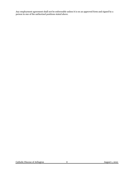Any employment agreement shall not be enforceable unless it is on an approved form and signed by a person in one of the authorized positions stated above.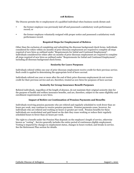## **108 Rehires**

<span id="page-13-0"></span>The Diocese permits the re-employment of a qualified individual when business needs dictate and:

- the former employee was previously laid off and possessed a satisfactory work performance record; or
- the former employee voluntarily resigned with proper notice and possessed a satisfactory work performance record.

# **Required Steps for Employment of Rehires**

Other than the exclusion of completing and submitting the diocesan background check forms, individuals considered for rehire within six months of prior diocesan employment are required to complete all steps required of new hires as outlined under "Requirements for Initial and Continued Employment". Individuals considered for rehire after six months of prior diocesan employment are required to complete all steps required of new hires as outlined under "Requirements for Initial and Continued Employment", including all diocesan background check forms.

# **Seniority for Leave Purposes**

Individuals rehired within one year of prior diocesan employment receive credit for their previous service. Such credit is applied in determining the appropriate level of leave accrual.

Individuals rehired one year or more after the end of their prior diocesan employment do not receive credit for their previous service and are, therefore, treated as new hires for purposes of leave accrual.

# **Seniority for Group Insurance Benefit Purposes**

Rehired individuals, regardless of the length of absence, do not maintain their original seniority date for the purpose of health and welfare insurance benefits, and are, therefore, subject to the same eligibility and enrollment requirements as new hires.

# **Impact of Rehire on Continuation of Pension Payments and Benefits**

Individuals receiving pension payments who are rehired and regularly scheduled to work fewer than 20 hours per week, may continue to receive pension payments. Pension payments cease, however, for individuals who are rehired and working 20 hours or greater per week. Pension benefits for these individuals are recalculated and paid based on the date they cease working or reduce their regularly scheduled hours to fewer than 20 hours per week.

The right to a benefit under the Pension Plan depends on the employee's length of service, otherwise known as "vesting". Service generally includes the entire period of continuous eligible employment. Vesting is impacted by changes in employment status, changes in hours worked, and breaks in service. See the Retirement Plan section for details.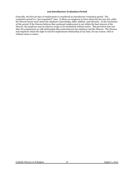#### **109 Introductory Evaluation Period**

<span id="page-14-0"></span>Generally, the first 90 days of employment is considered an introductory evaluation period. The evaluation period is a "get acquainted" time. It allows an employee to learn about his/her new job, while the Diocese learns more about the employee's knowledge, skills, abilities, and interests. At the conclusion of this period, if the Diocese believes that continued employment is not within the best interest of the Diocese, the employee may be asked to resign or be terminated without notice. This provision does not alter the employment at-will relationship that exists between the employee and the Diocese. The Diocese and employee retain the right to end the employment relationship at any time, for any reason, with or without cause or notice.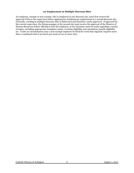#### **110 Employment at Multiple Diocesan Sites**

<span id="page-15-0"></span>An employee, exempt or non-exempt, who is employed at one diocesan site, must first receive the approval of his or her supervisor before applying for simultaneous employment at a second diocesan site. Generally, working at multiple diocesan sites is disfavored and therefore, rarely approved. If approved by the current supervisor, the hiring manager at the second site must receive the approval of the Director of Human Resources before offering to hire the employee, as key decisions must be made regarding a variety of topics, including appropriate exemption status, overtime eligibility and calculation, benefit eligibility, etc. Under no circumstances may a non-exempt employee be hired for work that regularly requires more than a combined total of 40 hours per week at two or more sites.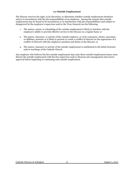# **111 Outside Employment**

<span id="page-16-0"></span>The Diocese reserves the right, in its discretion, to determine whether outside employment interferes and/or is inconsistent with the job responsibilities of an employee. Among the reasons that outside employment may be found to be inconsistent or in interference with job responsibilities (and subject to disapproval by the employee's supervisor and/or the Vicar General) are the following:

- 1. The nature, extent, or scheduling of the outside employment is likely to interfere with the employee's ability to provide effective service to the Diocese on a regular basis; or
- 2. The nature, character, or activity of the outside employer, or of its customers, clients, associates, or affiliates, presents or is likely to present or create a conflict of interest (or the appearance of a conflict of interest) with the employee's position and duties at the Diocese; or
- 3. The nature, character or activity of the outside employment is antithetical to the belief structure and/or teachings of the Catholic Church.

Any employee who believes his/her outside employment may raise these outside employment issues must discuss the outside employment with his/her supervisor and/or diocesan site management and receive approval before beginning or continuing such outside employment.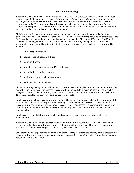## **112 Telecommuting**

<span id="page-17-0"></span>Telecommuting is defined as a work arrangement that allows an employee to work at home, on the road, or from a satellite location for all or part of the workweek. It may be an informal arrangement, such as working from home for a short-term project or a more formal arrangement to work at an alternative site on a routine basis. Telecommuting is a voluntary work alternative that may be appropriate for some positions and employees. Telecommuting is not an entitlement; is not a diocesan-wide benefit; and in no way changes the terms and conditions of employment.

All informal and formal telecommuting arrangements are made on a case-by-case basis, focusing primarily on the needs and resources of the Diocese. Formal telecommuting requests for employees of the CAO must be reviewed and approved in advance by the respective Director and Executive Staff Member. Diocesan site management has the discretion to allow telecommuting arrangements as it deems appropriate. In reviewing the suitability of a telecommuting arrangement, particular attention will be given to:

- 1. employee performance
- 2. nature of the job responsibilities
- 3. equipment needs
- 4. infrastructure requirements and/or limitations
- 5. tax and other legal implications
- 6. methods for productivity measurement
- 7. work distribution guidelines

All telecommuting arrangements will be made on a trial basis and may be discontinued at any time at the request of the employee or the Diocese. Every effort will be made to provide 30 days' notice of such a change to accommodate commuting, childcare, and other problems that may arise from such a change. There may be instances, however, when no notice is possible.

Employees approved for telecommuting are required to establish an appropriate work environment at the location where the work will be performed and may be responsible for the associated costs related to telecommuting equipment, supplies, and/or telecommunications access. Telecommunication and other technology arrangements must be reviewed in advance by the IT Department or equivalent role at a diocesan site.

Employees with small children who work from home may be asked to provide proof of child-care arrangements.

Telecommuting employees are generally covered by Workers' Compensation if injured in the course of performing official duties at the location where the work will be performed. However, telecommuting employees are liable for any injuries sustained by visitors to their work-site.

Consistent with the expectations of information asset security for employees working from a diocesan site, telecommuting employees are expected to ensure the protection of confidential and sensitive information accessible from the work-site.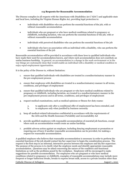## **113 Requests for Reasonable Accommodation**

<span id="page-18-0"></span>The Diocese complies in all respects with the Americans with Disabilities Act ("ADA") and applicable state and local laws, including the Virginia Human Rights Act, providing legal protection to:

- individuals with disabilities who can perform the essential functions of the job, with or without reasonable accommodation
- individuals who are pregnant or who have medical conditions related to pregnancy or childbirth, including lactation, who can perform the essential functions of the job, with or without reasonable accommodation
- individuals with perceived disabilities who can perform the essential functions of the job
- individuals who have an association with an individual with a disability, who can perform the essential functions of the job

Reasonable accommodation will be provided in accordance with these laws to qualified individuals who have made their need for accommodation known, and where such accommodation does not constitute an undue business hardship. In general, an accommodation is a change in the work environment or in the way things are customarily done that would enable an individual with a disability or medical condition to enjoy equal employment opportunities.

It is the policy of the Diocese to, without limitation:

- 1. ensure that qualified individuals with disabilities are treated in a nondiscriminatory manner in the pre-employment process
- 2. ensure that employees with disabilities are treated in a nondiscriminatory manner in all terms, conditions, and privileges of employment
- 3. ensure that qualified individuals who are pregnant or who have medical conditions related to pregnancy or childbirth, including lactation, are treated in a nondiscriminatory manner in the pre-employment process and in all terms, conditions, and privileges of employment
- 4. request medical examinations, such as medical opinions or fitness-for-duty exams:
	- a. to applicants only after a conditional offer of employment has been extended, and
	- b. to employees only when justified by business necessity
- 5. keep all medical-related information confidential in accordance with the requirements of the ADA and the Health Insurance Portability and Accountability Act
- 6. provide qualified employees with reasonable accommodation of essential job functions, except where such an accommodation would create an undue hardship.
- 7. prohibit adverse action against an employee, including denying employment or promotion or requiring use of leave if another reasonable accommodation can be provided, for making a request for reasonable accommodation.

A qualified employee who believes that reasonable accommodation is necessary in order to perform the essential functions of the job should contact his/her supervisor to begin the consideration process. The request is the first step in an informal, interactive process between the employee and his/her supervisor. The purpose of the process is to clarify what the employee needs and identify appropriate reasonable accommodation. Questions may be asked concerning the nature of the condition and functional limitations as well as the problems posed by the workplace. Employees will be encouraged to make suggestions for possible accommodation. For employees who are pregnant or who have medical conditions related to pregnancy or childbirth, examples of reasonable accommodations may include more frequent or longer bathroom breaks, breaks to express breast milk, access to a private location other than

Catholic Diocese of Arlington 14 August 1, 2021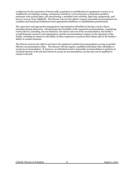a bathroom for the expression of breast milk, acquisition or modification of equipment or access to or modification of employee seating, a temporary transfer to a less strenuous or hazardous position, assistance with manual labor, job restructuring, a modified work schedule, light duty assignments, and leave to recover from childbirth. The Diocese reserves the right to request reasonable documentation of a condition and functional limitations from appropriate healthcare or rehabilitation professionals.

The supervisor and appropriate management representatives identified as having a need to know, including Human Resources, will determine the feasibility of the requested accommodation, considering various factors, including, but not limited to, the nature and cost of the accommodation, the facility's overall financial resources and organization, and the accommodation's impact on the operation of the facility, including its impact on the ability of other employees to perform their duties and on the facility's ability to conduct business.

The Diocese reserves the right to not honor the employee's preferred accommodation as long as another effective accommodation exists. The Diocese will not require a qualified individual with a disability to accept an accommodation. If, however, an individual needs a reasonable accommodation to perform an essential function of the job and refuses to accept an accommodation, he/she may not be qualified to remain in the job.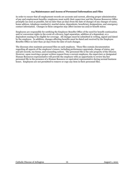## **114 Maintenance and Access of Personnel Information and Files**

<span id="page-20-0"></span>In order to ensure that all employment records are accurate and current, allowing proper administration of pay and employment benefits, employees must notify their supervisor and the Human Resources Office promptly (as soon as possible, but no later than 30 days from the date of change) of any changes of name, home address, telephone number(s), marital status, dependents, beneficiary designations, and emergency contact information. Changes in these categories may affect income tax and/or benefit status.

Employees are responsible for notifying the Employee Benefits Office of the need for benefit continuation and/or conversion rights in the event of a divorce, legal separation, addition of a dependent, or a dependent ceasing to be eligible for coverage. All changes must be submitted in writing, signed and dated by the employee. In addition, changes affecting benefits must be dated and received by the Employee Benefits Office no later than 30 days from the date of such changes.

The diocesan sites maintain personnel files on each employee. These files contain documentation regarding all aspects of the employee's tenure, including performance appraisals, change of status, pay and job records, tax forms, and counseling notices. The personnel file is the sole property of the Diocese. However, upon receiving a proper written request from a current employee, the supervisor or designated Human Resources representative will provide the employee with an opportunity to review his/her personnel file in the presence of a Human Resource or equivalent representative during normal business hours. Employees are not permitted to remove or copy any item in their personnel files.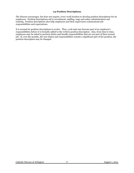# **115 Position Descriptions**

<span id="page-21-0"></span>The Diocese encourages, but does not require, every work location to develop position descriptions for its employees. Position descriptions aid in recruitment, staffing, wage and salary administration and training. Position descriptions also help employees and their supervisors communicate job responsibilities and expectations.

It is normal for position descriptions to evolve. Thus, a job task may become part of an employee's responsibilities before it is formally added to the written position description. Also, from time to time, employees may be asked to perform duties and handle responsibilities that are not part of their normal job. If, over the months, the new duties and responsibilities remain a significant part of the position, the position description may be changed.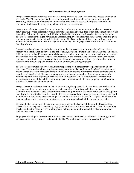# **116 Termination of Employment**

<span id="page-22-0"></span>Except where dictated otherwise by contract, all employment relationships with the Diocese are on an atwill basis. The Diocese hopes that its relationships with employees will be long-term and mutually rewarding. However, non-contracted employees and the Diocese reserve the right to terminate the employment relationship at any time, with or without cause or notice.

Non-contracted employees wishing to voluntarily terminate employment are strongly encouraged to notify their supervisor at least two weeks before the intended effective date. Such notice must be provided in writing. Failure to do so may prohibit the individual from future consideration for re-employment. The Diocese reserves the right, however, to accept an employee's resignation immediately after it is given, or at some point prior to the intended effective date. The Diocese is not obligated to continue a noncontracted employee's compensation beyond the final day of work, regardless of the employee's intended final day of work.

If a contracted employee resigns before completing the contracted term or otherwise fails or refuses without valid justification to perform the duties of his/her position under the contract, he/she can be held liable for any actual and/or consequential damages, as well as any costs or expenses, including reasonable attorney fees from the date of the breach in contract. In the event that the employment of a contracted employee is terminated early, a reconciliation of the employee's compensation is performed in order to determine the amount of payment that is due to, or from, the exiting employee.

The Diocese encourages employees voluntarily separating from employment to participate in an exit interview. The interview allows employees an opportunity to discuss their work-related experiences, to ensure that all necessary forms are completed, to obtain or provide information related to final pay and benefits, and to collect all diocesan property in the employees' possession. Interviews are generally conducted by the direct supervisor or by the Human Resources Office. Regardless of the reason for separation or timing of the exit interview, employees must return all diocesan property in their control on or before their last day of employment.

Except where otherwise required by federal or state law, final paychecks for regular wages are issued in accordance with the regularly scheduled pay date calendar. Commission eligible employees who terminate employment are paid for commissions earned (pursuant to the commission policy) through the final day of the termination month. In order to receive accrued bonus monies, employees must work and complete the entire bonus measurement period and be active on the date of final payout. Final incentive payments, bonus and commission, are issued on the next regularly scheduled incentive pay date.

Medical, dental, vision, and life insurance coverage ends on the last day of the month of termination. Unless otherwise requested in writing, 403(b) contributions continue to be deducted from all remaining paychecks. See the "Benefits" section for greater details, including the availability of continuation of medical insurance coverage.

Employees are not paid for accrued but unused sick leave at the time of termination. Generally, annual leave is paid bi-weekly until it is exhausted. See the "Annual Leave" section for greater details.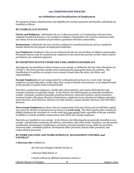#### **200 COMPENSATION POLICIES**

# **201 Definitions and Classifications of Employment**

<span id="page-23-1"></span><span id="page-23-0"></span>For purposes of salary administration and eligibility for overtime payments and benefits, individuals are classified as follows:

# **BY CLERICAL/LAY STATUS:**

**Clerics and Religious:** Individuals who are 1) diocesan priests, or 2) seminarians who have been ordained transitional deacons, or 3) members of religious communities who work for a diocesan entity and whose service and ministry are provided in agreement with their communities.

**Seminarians**: Individuals who have not been ordained as transitional deacons and are considered student interns for the purpose of employment definition.

**Lay Employees:** Employees who are not ordained and who are not members of religious communities. Permanent deacons may be considered lay employees to the extent they provide services which could be provided by non-ordained employees.

### **BY EXEMPTION STATUS UNDER THE FAIR LABOR STANDARDS ACT**

All employees are classified as either exempt or non-exempt, as defined by the Fair Labor Standards Act ("FLSA"). The FLSA provides specific tests to determine the appropriate status of a position. The classification of a position as exempt or non-exempt is based upon the salary, job duties, and responsibilities.

**Exempt Employees** are not compensated for working beyond 40 hours in a work-week. Exempt employees are generally paid a weekly salary that, except in limited circumstances, is not adjusted based on the quantity or quality of the work performed.

Executives, professional employees, outside sales representatives, and certain administrative and computer positions are typically exempt. In the Diocese, the following jobs are generally classified as exempt: principals, assistant principals, preschool directors, classroom teachers, school counselors, resource teachers, librarians, directors of admissions, registered nurses, directors of religious education, music directors, choir directors, directors of youth ministry, campus ministry directors, and CAO Office directors.

**Non-exempt Employees** are those who are compensated at the rate of time and one half their regular rate of pay for all hours worked beyond 40 hours in **a work-week**. The FLSA requires that overtime for eligible employees be calculated on a work-week (not a pay period) basis, regardless of the pay schedule. In addition, it strictly prohibits compensatory time off for non-exempt employees.

Most jobs are classified as non-exempt. In the Diocese, the following jobs are generally classified as nonexempt: administrative assistants, bus drivers, caseworkers, data entry clerks, musicians, security guards, receptionists, housekeepers, bookkeepers, secretaries, licensed practical nurses, child care providers, classroom aides, custodians/janitors, development office personnel, finance office personnel, and cooks/cafeteria personnel.

### **BY WORK LOCATION AND WORK SCHEDULE, MANAGEMENT CONTROL and CONTRACT**

A **diocesan site** is defined as:

the CAO and Arlington Catholic Herald, or

a diocesan High School, or

a Parish without an affiliated elementary school, or

Catholic Diocese of Arlington 19 19 August 1, 2021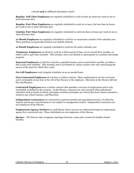**Regular, Full-Time Employees** are regularly scheduled to work at least 30 hours per week at one or more diocesan sites.

**Regular, Part-Time Employees** are regularly scheduled to work 20 or more, but less than 30 hours per week at one or more diocesan sites.

**Limited, Part-Time Employees** are regularly scheduled to work less than 20 hours per week at one or more diocesan sites.

**10 Month Employees** are regularly scheduled to work for 10 consecutive months of the calendar year. These positions are generally found in our Catholic Schools.

**12 Month Employees** are regularly scheduled to work for the entire calendar year.

**Temporary Employees** are hired to work for a finite period of time, not to exceed three months, on either a full or part-time schedule. This includes, but is not limited to, participants in a student internship program.

**Seasonal Employees** are hired to work for a specified season, not to exceed three months, on either a full or part-time schedule. This includes, but is not limited to, school coaches who only work during the season of the sport for which they coach.

**On-Call Employees** work irregular schedules on an as-needed basis.

**Non-Contracted Employees** do not have a written contract. Their employment is not for a set term and is terminable at any time at the will of the Diocese or the employee. Most jobs in the Diocese fall into this classification.

**Contracted Employees** have a written contract that specifies a set term of employment and is only terminable as defined in the contract. In the Diocese, contracts are only executed with professional educators such as heads of school, principals, assistant principals, pre-school directors, school counselors, teachers, pre-school teachers, and librarians.

**Independent Contractors** are contracted to perform specific and specialized services, of which the manner and means of performance is not subject to management control. Independent contractors are not employees of the Diocese.

**Employment Agency Workers** are individuals whose services are obtained through an employment agency for a contracted rate. These individuals are not employees of the Diocese.

**Spouse –** The Diocese only recognizes marriages between a man and a woman for health-related benefits.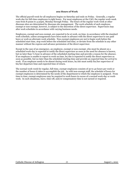#### **202 Hours of Work**

<span id="page-25-0"></span>The official payroll week for all employees begins on Saturday and ends on Friday. Generally, a regular work-day for full-time employees is eight hours. For most employees at the CAO, the regular work-week runs from 8:30am to 4:30pm, Monday through Friday. The hours of the regular work-week at other diocesan sites are determined by diocesan site management. The work schedule of each employee, exempt or non-exempt, however, is subject to the discretion of the direct supervisor. Supervisors may alter work schedules in accordance with varying business needs.

Employees, exempt and non-exempt, are expected to be at work, on time, in accordance with the standard work schedule, unless arrangements have been made in advance with the direct supervisor to use paid leave or work an alternate work schedule. Non-exempt employees are not to begin work before the scheduled start time, stop work before the scheduled end time, or deviate from the schedule in any other manner without the express and advance permission of the direct supervisor.

Except in the case of an emergency, an employee, exempt or non-exempt, who must be absent on a scheduled work-day is expected to notify the direct supervisor as soon as the need for absence is known, but no later than ½ hour in advance of the scheduled starting time and provide a reason for the absence. If an employee is unable to report to work on time, he/she is expected to notify the direct supervisor as soon as possible, but no later than the scheduled starting time and provide an expected time for arrival to work. If an employee needs to be absent during work hours, he/she must notify his/her supervisor of his/her departure time and expected time of return.

The normal work-week for regular, full-time, exempt employees consists of 30 to 40 hours per week or the number of hours it takes to accomplish the job. As with non-exempt staff, the schedule of hours for exempt employees is determined by the needs of the department to which the employee is assigned. From time to time, exempt employees may be required to work hours in excess of a normal work-day or workweek. In such situations, leave, time-off, and/or compensatory time is not earned or required.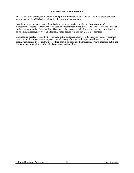# **203 Meal and Break Periods**

<span id="page-26-0"></span>All CAO full-time employees may take a paid 30-minute meal break each day. The meal break policy at sites outside of the CAO is determined by diocesan site management.

In order to meet business needs, the scheduling of meal breaks is subject to the discretion of management. Meal breaks are not to be used to offset start and stop times, and thus are not to be used at the beginning or end of the work day. Those who wish to attend daily Mass, may use their meal break to do so. In such cases, however, an additional lunch period (paid or unpaid) is not provided.

Unscheduled breaks, especially those outside of the office, can interfere with the ability to meet business needs. As such, employees are expected to make every effort to conduct personal business during their official meal break. Personal business, which should be conducted during meal breaks, includes but is not limited to, personal phone calls, cell phone usage, and smoking.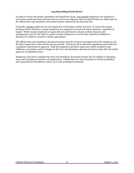# **204 Recording Work Hours**

<span id="page-27-0"></span>In order to ensure the proper calculation and timeliness of pay, non-exempt employees are required to record the actual start time and stop time as well as any absences and non-paid breaks on a daily basis on the official time and attendance document/system required by the diocesan site.

Generally, exempt employees are not required to record time worked; however, to ensure the proper tracking of leave balances, exempt employees are required to record and report absences, regardless of length. While exempt employees are generally not paid based on hours worked, diocesan site management reserves the right to require exempt employees to record time worked (in addition to absences) in whatever manner it deems appropriate.

The official time and attendance document/system must be reviewed and approved by the employee and the direct supervisor at the end of each pay-period. Actual as well as electronic signatures and emails are considered valid forms of approval. Both the employee and direct supervisor will be notified of any additions, corrections, and/or changes to the time and attendance document/system made after the initial approval of submitted hours.

Employees who fail to complete the time and attendance document/system may be subject to discipline, up to and including termination of employment. Falsification of a time document is strictly prohibited and is grounds for disciplinary action, up to and including termination.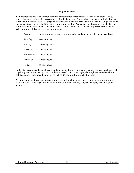## **205 Overtime**

<span id="page-28-0"></span>Non-exempt employees qualify for overtime compensation for any work-week in which more than 40 hours of work is performed. In accordance with the Fair Labor Standards Act, hours at multiple diocesan jobs and/or diocesan sites are aggregated for purposes of overtime calculation. Overtime compensation is calculated at one and one-half times the non-exempt employee's regular rate of pay and is applied to the hours worked in excess of 40. The definition of "hours worked" for overtime purposes does not include sick, vacation, holiday, or other non-work hours.

| Example:  | A non-exempt employee submits a time and attendance document as follows: |
|-----------|--------------------------------------------------------------------------|
| Saturday  | 8 work hours                                                             |
| Monday    | 8 holiday hours                                                          |
| Tuesday   | 8 work hours                                                             |
| Wednesday | 8 work hours                                                             |
| Thursday  | 8 work hours                                                             |
| Friday    | 8 work hours                                                             |
|           |                                                                          |

In the above example, the employee would not qualify for overtime compensation because he/she did not physically work more than 40 hours in the work-week. In this example, the employee would receive 8 holiday hours at the straight-time rate as well as 40 hours at the straight-time rate.

A non-exempt employee must receive authorization from the direct supervisor before performing any overtime work. Working overtime without prior authorization may subject an employee to disciplinary action.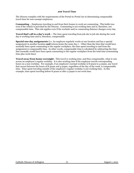<span id="page-29-0"></span>The Diocese complies with the requirements of the Portal-to-Portal Act in determining compensable travel time for non-exempt employees.

**Commuting –** Employees traveling to and from their homes to work are commuting. This holds true even if the vehicle is provided by the Diocese. Commuting is not working time and is, therefore, not compensable time. This rule applies even if the worksite and/or commuting distance changes every day.

**Travel that's all in a day's work –** The time spent traveling from job site to job site during the work day is working time and is, therefore, compensable.

**Special one-day assignments** (i.e. An employee regularly works at one location and has a special assignment in another location **and** returns home the same day.) – Other than the time that would have normally been spent commuting to the regular workplace, the time spent traveling to and from the assignment is compensable time. In other words, compensable time is calculated by subtracting the time that normally would have been spent commuting to the regular workplace from the total time (commuting time plus work time).

**Travel away from home overnight -** This travel is working time, and thus compensable, when it cuts across an employee's regular workday. It is also working time if the employee travels corresponding hours on a non-workday. For example, if an employee's normal workday is 8:30am to 4:30pm, any travel that occurs between the hours of 8:30am and 4:30pm, regardless of the day of the week, is compensable time. Time spent traveling outside of the employee's regular workday is not working time. In this example, time spent traveling before 8:30am or after 4:30pm is not work time.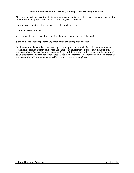# **207 Compensation for Lectures, Meetings, and Training Programs**

<span id="page-30-0"></span>Attendance at lectures, meetings, training programs and similar activities is not counted as working time for non-exempt employees when all of the following criteria are met:

- 1. attendance is outside of the employee's regular working hours;
- 2. attendance is voluntary;
- 3. the course, lecture, or meeting is not directly related to the employee's job; and
- 4. the employee does not perform any productive work during such attendance.

Involuntary attendance at lectures, meetings, training programs and similar activities is counted as working time for non-exempt employees. Attendance is "involuntary" if it is required and/or if the employee is led to believe that the present working conditions or the continuance of employment would be adversely affected by the non-attendance. Since Virtus Training is a condition of employment for all employees, Virtus Training is compensable time for non-exempt employees.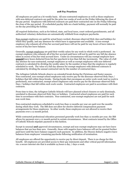## **208 Pay Practices**

<span id="page-31-0"></span>All employees are paid on a bi-weekly basis. All non-contracted employees as well as those employees with non-deferred contracts are paid for the prior two weeks of work on the Friday following the close of the pay period. Employees with deferred contracts are paid their contracted rate on the Friday following the close of the pay period. If a scheduled payday falls on a bank holiday, payment will normally be paid on the day preceding the holiday.

All required deductions, such as for federal, state, and local taxes, court-ordered garnishments, and all authorized voluntary deductions are automatically withheld from employee paychecks.

Non-exempt employees are paid for actual hours worked, diocesan-observed Holy days and holidays for which they qualify, and any absences for which leave is appropriate and available. A non-exempt employee who exhausts all of his/her accrued paid leave will not be paid for any hours of leave taken in excess of his/her leave balance.

Generally, exempt employees are paid their weekly salary for any week in which work is performed. An exempt employee who exhausts all of his/her accrued paid leave will not be paid for any full day absence taken in excess of his/her total accrued leave. Under no circumstances will any exempt employee have **unpaid** leave hours deducted from his/her paycheck in less than full day increments. The value of a full day absence for non-contracted, exempt employees as well as exempt employees with non-deferred contracts is calculated by dividing the weekly salary by the number of days that the employee is regularly scheduled to work. The value of a full day absence for exempt employees with deferred contracts is calculated by dividing the annual contracted rate by the number of contracted days.

The Arlington Catholic Schools observe an extended break during the Christmas and Easter seasons. Non-contracted, non-exempt school employees only receive pay for the diocesan-observed Holy Days / holidays that fall within these breaks. During breaks that encompass an entire work-week (and no work is performed), non-contracted, exempt school employees only receive pay for the diocesan-observed Holy Days / holidays that fall within such work-weeks. Contracted employees are paid in accordance with their contracts.

From time to time, the Arlington Catholic Schools will have planned school closures or early dismissals, unrelated to diocesan-observed Holy Days or holidays. Contracted school employees are paid for such time in accordance with their contracts. Non-contracted, non-exempt employees are not paid for such non-work time.

Non-contracted employees scheduled to work less than 12 months per year are paid over the months during which they work. The IRS does not allow for elective deferred compensation payment arrangements for these employees. In other words, these employees are not allowed to receive their payments over a 12 month period.

While contracted professional education personnel generally work less than 12 months per year, the IRS allows for payment over a 12 month period in certain circumstances. Most contracts issued by the Office of Catholic Schools stipulate payment in this fashion.

Except in unusual **and** approved circumstances, exempt and non-exempt employees may not have leave balances that are less than zero. Generally, those with negative leave balances will not be granted further paid leave until the leave balance supports such payment. In addition, the Diocese deducts negative leave balances from employees' remaining paychecks following notification of termination.

All employees are offered the opportunity to receive pay by direct deposit. There is no charge for this benefit. All employees are provided access to their pay statements and other critical payroll information via: a secure internet site that is available 24 hours a day, 7 days a week.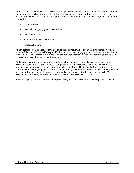While the Diocese complies with the various laws governing payment of wages, including, but not limited to, the proper deduction of wages, all employees are encouraged to review their paychecks each payday and to immediately advise their direct supervisor of any pay-related errors or concerns, including, but not limited to:

- exemption status
- calculation and/or payment of overtime
- reduction in salary
- deduction and/or tax withholdings
- compensable time

All pay-related errors and concerns will be taken seriously and will be promptly investigated. Verified errors will be resolved as quickly as possible, but no later than two pay-periods, from the identification of the problem. The Diocese prohibits any form of retaliation against any employee for filing a pay-related concern or for assisting in a related investigation.

In the event that the employment of an employee with a deferred contract is terminated early for any reason, a reconciliation of the employee's compensation will be performed in order to determine the amount of payment that is due to, or from, the exiting employee. The reconciliation is performed by multiplying the exiting employee's contracted daily rate by the number of contracted days actually worked and comparing the value to the wages actually paid to the employee for the same time period. (For reconciliation purposes, paid sick and annual leave are considered days "worked".)

Terminating employees receive their final paycheck(s) in accordance with the regular paycheck schedule.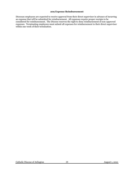#### **209 Expense Reimbursement**

<span id="page-33-0"></span>Diocesan employees are expected to receive approval from their direct supervisor in advance of incurring an expense that will be submitted for reimbursement. All expenses require proper receipts to be considered for reimbursement. The Diocese reserves the right to deny reimbursement of non-approved expenses. Terminating employees must submit all expenses for reimbursement to their direct supervisor within one week of their termination.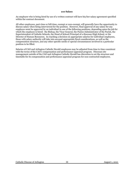<span id="page-34-0"></span>An employee who is being hired by use of a written contract will have his/her salary agreement specified within the contract document.

All other employees, part-time or full-time, exempt or non-exempt, will generally have the opportunity to discuss salary when being interviewed for the position. However, final approval of any salary for any employee must be approved by an individual in one of the following positions, depending upon the job for which the employee is hired: the Bishop, the Vicar General, the Pastor/Administrator of the Parish, the Superintendent of Catholic Schools, the Head of School/Principal of a diocesan High School, or the Director of Human Resources. In reaching a decision on appropriate salaries for individual employees, those with salary authority will take into account appropriate fiscal considerations, as well as the compensation structure, and any other specific needs or special circumstances involved in a particular position to be filled.

Salaries of CAO and Arlington Catholic Herald employees may be adjusted from time to time consistent with the terms of the CAO's compensation and performance appraisal program. Diocesan site management outside of the CAO and Arlington Catholic Herald has discretion to set the structure and timetable for its compensation and performance appraisal program for non-contracted employees.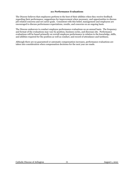### **211 Performance Evaluations**

<span id="page-35-0"></span>The Diocese believes that employees perform to the best of their abilities when they receive feedback regarding their performance, suggestions for improvement when necessary, and opportunities to discuss job-related concerns and set career goals. Consistent with this belief, management and employees are encouraged to discuss performance expectations, results, and concerns on an ongoing basis.

The Diocese endeavors to conduct employee performance evaluations on an annual basis. The frequency and format of the evaluations may vary by position, business cycles, and diocesan site. Performance evaluations will be based primarily on overall employee performance in relation to the knowledge, skills, and abilities required for the position as well as conduct, and record of attendance and tardiness.

Although there are no guaranteed or automatic compensation increases, performance evaluations are taken into consideration when compensation decisions for the next year are made.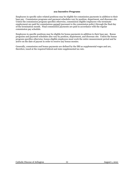#### **212 Incentive Programs**

Employees in specific sales-related positions may be eligible for commission payments in addition to their base pay. Commission programs and payment schedules vary by position, department, and diocesan site. Unless the commission program specifies otherwise, commission eligible employees who terminate employment are paid for commissions earned (pursuant to the commission policy) through the final day of the termination month. Final commission payments are paid in accordance with the regular commission pay schedule.

Employees in specific positions may be eligible for bonus payments in addition to their base pay. Bonus programs and payment schedules also vary by position, department, and diocesan site. Unless the bonus program specifies otherwise, bonus eligible employees must work the entire measurement period and be active on the date of payout in order to receive any bonus monies.

Generally, commission and bonus payments are defined by the IRS as supplemental wages and are, therefore, taxed at the required federal and state supplemental tax rate.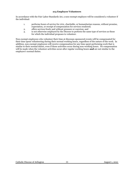## **213 Employee Volunteers**

In accordance with the Fair Labor Standards Act, a non-exempt employee will be considered a volunteer if the individual:

- 1. performs hours of service for civic, charitable, or humanitarian reasons, without promise, expectation, or receipt of compensation for services rendered;
- 2. offers services freely and without pressure or coercion; and
- 3. is not otherwise employed by the Diocese to perform the same type of services as those for which the individual proposes to volunteer.

Non-exempt employees who volunteer their time at diocesan-sponsored events will be compensated for their time spent volunteering during their normal working hours, regardless of the nature of the work. In addition, non-exempt employees will receive compensation for any time spent performing work that is similar to their normal duties, even if those activities occur during non-working hours. No compensation will be made when the volunteer activities occur after regular working hours **and** are not similar to the employee's normal duties.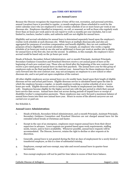#### **300 TIME-OFF BENEFITS**

#### **301 Annual Leave**

Because the Diocese recognizes the importance of time off for rest, recreation, and personal activities, annual (vacation) leave is provided to regular, 12 month employees (those scheduled to work for the entire calendar year) who are employed to work a routine schedule of 20 or more hours per week at one diocesan site. Employees classified as temporary, on-call, or seasonal, as well as those who regularly work fewer than 20 hours per week and/or do not report to work 12 months per year (includes, but is not limited to, teachers, teacher's aides, and cafeteria staff) are not eligible for annual leave.

Eligibility and accrual calculation for annual leave is determined separately based upon the employee's routine work schedule at each diocesan site. While hours at multiple diocesan jobs and sites are aggregated for purposes of overtime compensation and benefit eligibility, they are not combined for purposes of leave eligibility or accrual calculation. For example, an employee who works a regular schedule of 30 hours per week at one site and an additional 10 hours per week at another site is eligible for annual leave at the first site, but not the second. In addition, in this example, the employee's leave accrual would be based only on the 30 hours per week.

Heads of Schools, Secondary School Administrators, and 12 month Principals, Assistant Principals, Secondary Guidance Counselors and Preschool Directors receive a set annual grant of leave at the beginning of each new contract year. Those who are hired after the beginning of the new contract year receive a pro-rated grant of annual leave on their first paycheck. The annual leave year for this group of employees ends on the final paycheck of the contract year. Annual leave for these employees does not carry forward into the next contract year, may not accompany an employee to a new school or other diocesan site, and is not paid out upon completion of the contract.

All other eligible employees accrue annual leave on a bi-weekly basis, based upon their length of eligible diocesan service and actual paid hours. Eligible diocesan service is calculated based upon the date in which the employee became a regular, 12 month employee working a routine schedule of 20 or more hours per week. Eligible diocesan service is impacted by breaks in employment (see Rehire – Section 108). Employees become eligible for the higher accrual rate with the pay period in which their annual leave service date occurs. Annual leave does not accrue during periods of unpaid leave or receipt of disability/worker's compensation payments. These employees may carry forward a maximum balance of annual leave hours into their new annual leave year. Hours in excess of the allowed carryover are not carried over or paid out.

See Schedule A.

#### **Annual Leave Administration:**

- 1. Heads of Schools, Secondary School Administrators, and 12 month Principals, Assistant Principals, Secondary Guidance Counselors and Preschool Directors are not charged annual leave for the extended school breaks at Christmas and Easter.
- 2 Except in the case of an emergency, employees must request annual leave from their direct supervisor in advance. Leave requests are granted based upon work requirements, staffing needs, tenure, and/or leave availability. Whenever possible, annual leave requests will be accommodated. The Diocese, however, retains the right to decline or alter requests at its discretion.
- 3. Generally, annual leave is not granted during the first 90 days of employment for a newly hired or transferred employee, as this is a time of substantial training.
- 4. Employees, exempt and non-exempt, may take and record annual leave in quarter-hour increments.
- 5. Non-exempt employees will not be paid for time taken in excess of their leave balance.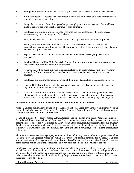- 6. Exempt employees will not be paid for full day absences taken in excess of their leave balance.
- 7. A full day's absence is recorded as the number of hours the employee would have normally been scheduled to work on such day.
- 8. Except for the payout of vacation upon change in employment status, payment of annual leave is made at the rate of pay in effect at the time of such payment.
- 9. Employees may not take annual leave that has not been accrued(earned). In other words, employees may not borrow against future leave.
- 10. All available leave must be used before leave without pay may be considered or approved.
- 11. Employees may not have an annual leave balance that is less than zero. If this unusual circumstance occurs, no further leave will be granted or paid until an appropriate leave balance is achieved to support such leave.
- 12. Negative leave balances will be deducted from an exiting or transferring employee's final paycheck(s).
- 13. As with all leave (Holiday, Holy Day, Sick, Compassionate, etc.), annual leave is not counted as time worked for overtime computation purposes.
- 14. No payments will be made in lieu of taking annual leave. In other words, active employees may not "cash out" any portion of their leave balance. Leave must be taken in order to receive payment.
- 15. Employees may not transfer all or a portion of their unused annual leave to another employee.
- 16. If a paid Holy Day or holiday falls during an approved leave, the day will be recorded as a Holy Day or holiday, rather than annual leave.
- 17. To permit fulfillment of civic and religious duties, employees will not be charged annual leave when absent from work for what is generally considered a reasonable amount of time necessary to vote in local, state, or federal elections or to participate in Mass on Holy Days of Obligation.

#### **Payment of Annual Leave at Termination, Transfer, or Status Change:**

Accrued, unused annual leave is not paid to Heads of Schools, Secondary School Administrators, or 12 month Principals, Assistant Principals, Secondary Guidance Counselors and Preschool Directors who terminate upon the end of the contract year.

Heads of Schools, Secondary School Administrators, and 12 month Principals, Assistant Principals, Secondary Guidance Counselors and Preschool Directors terminating during the contract year for reasons other than gross misconduct (as defined by the Diocesan Office of Human Resources) will receive payment for all accrued, unused annual leave. Generally payments will be made on a bi-weekly basis until the leave is exhausted. Payment of the accrued annual leave until exhausted, however, does not extend employment or benefits.

All other employees terminating employment at any time and for any reason, other than gross misconduct (as defined by the Diocesan Office of Human Resources), will receive payment for all accrued, unused annual leave. Generally, payments will be made on a bi-weekly basis until the leave is exhausted. Payment of the accrued annual leave until exhausted, however, does not extend employment or benefits.

Employees who change employment from one diocesan site to another may not carry over their annual leave balances to their new jobs. If the leave is not taken prior to the transfer, it will be paid (generally, on a bi-weekly basis until exhausted). While employees who transfer may not carry over their annual leave balance to their new jobs, they do retain seniority for purposes of annual leave accrual, provided no break in service occurs. (See Rehire)

Catholic Diocese of Arlington 35 August 1, 2021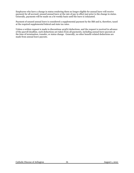Employees who have a change in status rendering them no longer eligible for annual leave will receive payment for all accrued, unused annual leave at the rate of pay in effect just prior to the change in status. Generally, payments will be made on a bi-weekly basis until the leave is exhausted.

Payment of unused annual leave is considered a supplemental payment by the IRS and is, therefore, taxed at the required supplemental federal and state tax rates.

Unless a written request is made to discontinue 403(b) deductions, and the request is received in advance of the payroll deadline, such deductions are taken from all payments, including annual leave payouts at the time of termination, transfer, or status change. Generally, no other benefit-related deductions are made from annual leave payouts.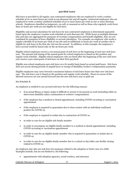#### **302 Sick Leave**

Sick leave is provided to all regular, non-contracted employees who are employed to work a routine schedule of 20 or more hours per week at one diocesan site and all regular, contracted employees who are employed to work a routine combined schedule of 20 or more hours per week at one or more diocesan schools. Employees classified as temporary, on-call, or seasonal as well as those who regularly work fewer than 20 hours per week are not eligible for sick leave.

Eligibility and accrual calculation for sick leave for non-contracted employees is determined separately based upon the employee's routine work schedule at each diocesan site. While hours at multiple diocesan jobs and sites are aggregated for purposes of overtime compensation and benefit eligibility, they are not combined for purposes of leave eligibility or accrual calculation. For example, an employee who works a regular schedule of 30 hours per week at one site and an additional 10 hours per week at another site is eligible for sick leave at the first site, but not the second. In addition, in this example, the employee's leave accrual would be based only on the 30 hours per week.

Eligible school employees receive a set annual grant of sick leave at the beginning of each new sick leave year. The amount and timing of the annual grant for school employees is based on the position and regular work schedule. Eligible school employees who are hired after the beginning of the new sick leave year receive a pro-rated grant of sick leave on their first paycheck.

Eligible non-school employees earn sick leave on a bi-weekly basis based on actual paid hours. Sick leave does not accrue during periods of unpaid leave or receipt of disability/worker's compensation payments.

Eligible employees may carry forward a maximum balance of sick leave hours into their new sick leave year. The sick leave year is based on the position and regular work schedule. Hours in excess of the allowed carryover are not carried forward into the new sick leave year or paid out.

### See Schedule B.

An employee is entitled to use accrued sick leave for the following reasons:

- if an actual illness or injury makes it difficult or unwise to be present at work (including while on short-term disability salary continuation or workers' compensation)
- if the employee has a medical or dental appointment, including COVID-19 testing or vaccination appointment
- if the employee is required to quarantine due to close contact with an individual confirmed positive for COVID-19
- if the employee is required to isolate due to contraction of COVID-19
- in order to care for an eligible sick family member
- in order to accompany an eligible family member to a medical or dental appointment, including COVID-19 testing or vaccination appointment
- in order to care for an eligible family member who is required to quarantine or isolate due to COVID-19
- in order to care for an eligible family member due to a school or day/elder care facility closing related to COVID-19

An employee may also use sick leave for purposes related to the adoption or foster care of a child. Examples include, but are not limited to, the following:

• appointments with adoption agencies, social workers, and attorneys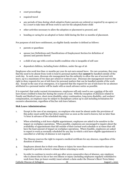- court proceedings
- required travel
- any periods of time during which adoptive/foster parents are ordered or required by an agency or by a court to take time off from work to care for the adopted/foster child
- other activities necessary to allow the adoption or placement to proceed, and
- bonding or caring for an adopted or foster child during the first 12 months of placement.

For purposes of sick leave entitlement, an eligible family member is defined as follows:

- parents or guardians
- spouse (see Definitions and Classifications of Employment Section for definition of spouse) and parents thereof
- a child of any age with a serious health condition who is incapable of self-care
- dependent children, including foster children, under the age of 26

Employees who work less than 12 months per year do not earn annual leave. On rare occasions, they may find the need to be absent from work to tend to personal matters that **cannot** be handled outside of the work day. In such cases, diocesan site management has the authority to allow the use of accrued sick leave, up to a maximum of two days per school or contract year. Diocesan site management reserves the right to deny requests for use of sick leave for personal matters that can be handled outside of the work day. Except in the case of an emergency, it is expected that the request for use of sick leave for an absence attributed to a personal matter will be made with as much advance notice as possible.

It is expected, that under normal circumstances, employees will only need to use a portion of the sick leave hours credited to him/her during the course of a year. With the exception of absences related to Family and Medical Leave, short-term disability salary continuation, long-term disability, and workers' compensation, an employee may be subject to disciplinary action up to and including termination for excessive absenteeism, regardless of his/her sick leave balance.

## **Sick Leave Administration:**

- 1. Except in the case of an emergency, an employee who must be absent under the provisions of this policy must notify his/her direct supervisor as soon as the need is known, but no later than ½ hour in advance of the scheduled starting.
- 2. When scheduling a sick leave eligible appointment, employees are asked to be sensitive to the impact on workplace operations. When possible, employees are encouraged to inquire about the availability of appointments that fall outside of their normal work schedule or at times that will have the least amount of impact on workplace operations. Where feasible, employees are asked to report to work as normally scheduled for any day in which a sick leave eligible appointment is cancelled or a full day of absence is not required.
- 3. The Diocese reserves the right to request a medical certificate for any absence, regardless of the duration of absence.
- 4. Employees absent due to their own illness or injury for more than seven consecutive days are required to provide a doctor's release before returning to work.
- 5. In order to continue to receive sick pay after seven consecutive days of absence, any employee who is absent due to his or her own illness or injury (including employees regularly scheduled to work fewer than 30 hours weekly) must submit a claim under the Diocese's Short-Term Salary

Catholic Diocese of Arlington 38 August 1, 2021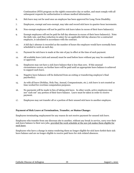Continuation (STD) program on the eighth consecutive day or earlier, and must comply with all subsequent requests for authorization to release medical information.

- 6. Sick leave may not be used once an employee has been approved for Long-Term Disability.
- 7. Employees, exempt and non-exempt, may take and record sick leave in quarter-hour increments.
- 8. Non-exempt employees will not be paid for sick leave taken in excess of their leave balance(s).
- 9. Exempt employees will not be paid for full day absences in excess of their leave balance(s). Note: the daily rate, and thus reduction in salary for an applicable full day absence for a contracted employee, is calculated in accordance with the contract.
- 10. A full day's absence is recorded as the number of hours the employee would have normally been scheduled to work on such day.
- 11. Payment for sick leave is made at the rate of pay in effect at the time of such payment.
- 12. All available leave (sick and annual) must be used before leave without pay may be considered or approved.
- 13. Employees may not have a sick leave balance that is less than zero. If this unusual circumstance occurs, no further leave will be paid until an appropriate leave balance is achieved to support such leave.
- 14. Negative leave balances will be deducted from an exiting or transferring employee's final paycheck(s).
- 15. As with all leave (Holiday, Holy Day, Annual, Compassionate, etc.), sick leave is not counted as time worked for overtime computation purposes.
- 16. No payments will be made in lieu of taking sick leave. In other words, active employees may not "cash out" any portion of their leave balance. Leave must be taken in order to receive payment.
- 17. Employees may not transfer all or a portion of their unused sick leave to another employee.

## **Payment of Sick Leave at Termination, Transfer, or Status Change:**

Employees terminating employment for any reason do not receive payment for unused sick leave.

Employees who transfer from one diocesan site to another, without any break in service, carry over their sick leave balance to their new jobs, provided the work schedule at the new job makes them eligible for such leave.

Employees who have a change in status rendering them no longer eligible for sick leave forfeit their sick leave balance and are no longer eligible to receive paid leave for sick-related absences.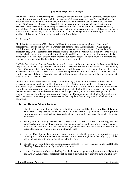## **303 Holy Days and Holidays**

Active, non-contracted, regular employees employed to work a routine schedule of twenty or more hours per week at one diocesan site are eligible for payment of diocesan-observed Holy Days and holidays in accordance with the policy as outlined below. Contracted employees are paid in accordance with the terms of their contract. Employees classified as temporary, on-call, or seasonal as well as those who regularly work fewer than twenty hours per week do not receive compensation for observed Holy Days and holidays. Because of the nature of the school environment, diocesan-observed holidays for employees of our Catholic Schools may differ. In addition, diocesan site management retains the right to substitute another holiday for the Columbus Day or Veteran's Day holiday.

### See Schedule C.

Eligibility for the payment of Holy Days / holidays for a non-contracted employee is determined separately based upon the employee's average work schedule at each diocesan site. While hours at multiple diocesan jobs and sites are aggregated for purposes of overtime compensation and benefit eligibility, they are not combined for purposes of leave eligibility. For example, an employee who works a regular schedule of 30 hours per week at one site and an additional 10 hours per week at another site is eligible for Holy Day / holiday leave at the first site, but not the second. In addition, in this example, the employee's payment would be based only on the 30 hours per week.

If a Holy Day or holiday (except December 24 and December 26) falls on a weekend, the Diocese will follow the practice of the federal government in determining the appropriate date of observance. If the Solemnity of Mary (January 1) falls on a Saturday or Sunday, it will be observed on the same day that the federal government observes New Year's Day. If December 24 or 26 falls on a weekend, the holiday will not be granted that year. Likewise, December 26th will not be an observed holiday when it falls on the same date of observation as Christmas Day.

In addition to the diocesan-observed Holy Days and holidays, the Arlington Diocese Catholic Schools observe an extended break during Christmas and Easter. During these extended breaks, contracted employees are paid in accordance with the terms of their contract. Non-exempt school employees receive pay only for the diocesan-observed Holy Days and holidays that fall within these breaks. During breaks that encompass an entire work-week, where no work is performed, non-contracted exempt school employees receive pay only for the diocesan-observed Holy Days and holidays that fall within such workweeks. Non-contracted exempt employees receive their regular salary for any week in which work is performed.

## **Holy Day / Holiday Administration:**

- 1. Eligible employees qualify for Holy Day / holiday pay provided they have an **active status** and worked the last regularly scheduled day before and after the Holy Day / holiday. A **pre-approved** vacation day or **excused** sick day is considered a day worked for purposes of eligibility for active employees.
- 2. Employees taking family medical leave consecutively, as well as those on disability, workers' compensation, or personal leave are not considered active, even if they are receiving sick leave, annual leave, or other income replacement during their absence. As such, these employees are not eligible for Holy Day / holiday pay during their absence.
- 3. If a Holy Day / holiday falls during a period in which an eligible employee is on **paid** leave (i.e. receiving sick and/or annual leave payments), the employee is eligible for the Holy Day / holiday and is not charged with annual or sick leave for that day.
- 4. Eligible employees will only be paid for diocesan-observed Holy Days / holidays when the Holy Day / holiday falls on their regularly scheduled work day.
- 5. If a location does not observe a holiday (i.e. the location is open), employees are not eligible for holiday pay. Employees absent from work on such a day would be required to take available leave.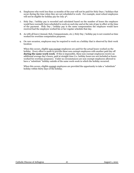- 6. Employees who work less than 12 months of the year will not be paid for Holy Days / holidays that occur during the time when they are not scheduled to work. For example, most school employees will not be eligible for holiday pay for July 4<sup>th</sup>.
- 7. Holy Day / holiday pay is recorded and calculated based on the number of hours the employee would have normally been scheduled to work on such day and at the rate of pay in effect at the time of the payment. Holy Day / holiday pay is the same compensation the employee would have received had the employee worked his or her regular schedule that day.
- 8. As with all leave (Annual, Sick, Compassionate, etc.), Holy Day / holiday pay is not counted as time worked for overtime computation purposes.
- 9. On rare occasion, employees may be required to work on a holiday that is observed by their work location:

When this occurs, eligible non-exempt employees are paid for the actual hours worked on the holiday. Every effort is made to provide these non-exempt employees with another paid day off **during the same work-week**. If this is impossible, these non-exempt employees receive an additional average day's hours, paid at straight time (i.e. holiday hours are not included as hours worked for overtime purposes). Under no circumstances are non-exempt employees allowed to have a "substitute" holiday outside of the same work-week in which the holiday occurred.

When this occurs, eligible exempt employees are provided the opportunity to take a "substitute" holiday within thirty days of the holiday.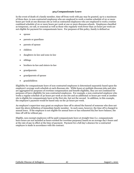### **304 Compassionate Leave**

In the event of death of a family member, time off from work with pay may be granted, up to a maximum of three days, to non-contracted employees who are employed to work a routine schedule of 20 or more hours per week at one diocesan site as well as contracted employees who are employed to work a routine combined schedule of 20 or more hours per week at one or more diocesan schools. Employees classified as temporary, on-call, or seasonal as well as those who regularly work fewer than 20 hours per week are not eligible for payment for compassionate leave. For purposes of this policy, family is defined as:

- spouse
- parents or guardians
- parents of spouse
- children
- daughters-in-law and sons-in-law
- siblings
- brothers-in-law and sisters-in-law
- grandparents
- grandparents of spouse
- grandchildren

Eligibility for compassionate leave of non-contracted employees is determined separately based upon the employee's average work schedule at each diocesan site. While hours at multiple diocesan jobs and sites are aggregated for purposes of overtime compensation and benefit eligibility, they are not combined for purposes of leave eligibility for non-contracted employees. For example, a non-contracted employee who works a regular schedule of 30 hours per week at one site and an additional 10 hours per week at another site is eligible for compassionate leave at the first site, but not the second. In addition, in this example, the employee's payment would be based only on the 30 hours per week.

An employee's supervisor may grant an employee time off to attend the funeral of someone who does not meet the above definition of immediate family member. In such cases, however, the time off is charged to annual leave. If the employee is not eligible for annual leave or has exhausted his/her leave balance, the time off will be without pay.

Eligible, non-exempt employees will be paid compassionate leave at straight time (i.e. compassionate leave hours are not included as hours worked for overtime purposes) based on an average day's hours and at the rate of pay in effect at the time of payment. Payment for a full day's absence for a contracted employee is made in accordance with the contract.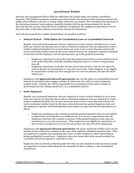## **305 Inclement Weather**

Diocesan site management follows different authorities for weather delay and weather cancellation decisions. With limited exceptions, parishes and schools follow the decisions of the local government and public school officials in the city or county within which they are located. The CAO follows the decisions of the federal government. Each employee should be familiar with the governing authority for his/her diocesan site and, on days when the travel conditions are impaired, the employee should listen to one of the local radio or television stations or search the internet for instructions.

Time off and payments for weather-related delays are handled as follows:

## • **Delayed Arrival – With Option for Unscheduled Leave or Unscheduled Telework**

Regular, non-contracted employees who are employed to work a routine schedule of 20 or more hours per week at one diocesan site as well as contracted employees who are employed to work a routine combined schedule of 20 or more hours per week at one or more diocesan schools will receive inclement weather hours for the hours missed between the employee's regularly scheduled arrival time and the employee's actual reporting time, up to the granted arrival time.

- o Employees reporting to work earlier than the granted arrival time are not entitled to leave work earlier than their normally scheduled departure time or to receive compensatory time off.
- o Employees reporting to work after the late arrival time period or who do not report for work at all must use annual leave to cover the excess time. If the employee is not eligible for annual leave or does not have enough leave to cover the absence, the time off will be without pay.

Employees with *approved telework agreements* may use the option of unscheduled telework instead of reporting to their regular worksite, in which case they will not receive inclement weather hours. Instead, they will be responsible for accounting for their entire workday by performing telework, taking annual leave, or a combination thereof.

## • **Early Departure**

Regular, non-contracted employees who are employed to work a routine schedule of 20 or more hours per week at one diocesan site as well as contracted employees who are employed to work a routine combined schedule of 20 or more hours per week at one or more diocesan schools will receive inclement weather hours for the hours missed between the granted departure time and the employee's regularly scheduled departure time (unless an approved telework agreement is in effect).

- o Employees remaining at the worksite beyond the granted departure time are not entitled to adjust their work schedules on a different day or to receive compensatory time off.
- $\circ$  Employees who leave the worksite in advance of the granted departure time must use annual leave to cover the excess time. If the employee is not eligible for annual leave or does not have enough leave to cover the excess time, the time off will be without pay.

Employees with *approved telework agreements* will receive inclement weather hours for the amount of time required to commute home, up to their regularly scheduled departure time. They are expected to complete the remaining time, if any, in their workday by either teleworking or taking unscheduled annual leave. Employees who arrive home after their normal workday has concluded will not be required or expected to work.

Employees who are already performing telework when an early departure announcement is made are expected to continue teleworking for the remainder of their workday or take unscheduled annual leave.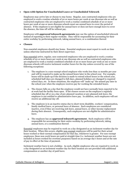## • **Open with Option for Unscheduled Leave or Unscheduled Telework**

Employees may arrive late or choose to stay home. Regular, non-contracted employees who are employed to work a routine schedule of 20 or more hours per week at one diocesan site as well as contracted employees who are employed to work a routine combined schedule of 20 or more hours per week at one or more diocesan schools must use annual leave to cover the period of absence. If the employee is not eligible for annual leave or does not have enough leave to cover the absence, the time off will be without pay.

Employees with *approved telework agreements* may use the option of unscheduled telework instead of reporting to their regular worksite. They will be responsible for accounting for their entire workday by performing telework, taking annual leave, or a combination thereof.

## • **Closure**

Non-essential employees should stay home. Essential employees must report to work on time unless otherwise instructed by their direct supervisor.

Non-essential active, regular, non-contracted employees who are employed to work a routine schedule of 20 or more hours per week at one diocesan site as well as contracted employees who are employed to work a routine combined schedule of 20 or more hours per week at one or more diocesan schools will receive inclement weather hours for the day unless covered by one of the following exceptions:

- 1. The employee is a non-exempt school employee who works less than 12 months per year and will be required to make up the missed hours later in the school year. For example, hours will be made up if the decision is made to extend school hours or the school year, scheduled half-days are changed to full-days, planned holidays are changed to required school days, etc. In these situations, the employee will "make up" the missed pay later in the school year when the employee receives pay for working the extended hours.
- 2. The closure falls on a day that the employee would not have normally been expected to be at work had the facility been open. If the closure occurs on the employee's regularly scheduled day off or on a day of pre-planned vacation or pre-planned sick leave, the employee is not entitled to administrative leave pay. In addition, such employees will not receive an additional day off.
- 3. The employee is in an inactive status due to short-term disability, workers' compensation, family medical leave, or personal leave of absence. Such employees are considered inactive, even if they are receiving sick leave, annual leave, or other income replacement during their absence. Consequently, such employees are not eligible for administrative leave.
- 4. The employee has an *approved telework agreement.* Such employees will be responsible for accounting for their entire workday by performing telework, taking annual leave, or a combination thereof.

Essential employees may be required to work on a day designated as an inclement weather day for their location. When this occurs, eligible non-exempt employees will be paid for their actual hours worked or their normal compensation for that day, whichever is greater. For non-exempt employees, these non-work hours are paid at straight time (i.e. inclement weather hours are not included as hours worked for overtime purposes) based on an average day's hours and at the rate of pay in effect at the time of payment.

Inclement weather leave is not a holiday. As such, eligible employees who are required to work on a day designated as an inclement weather day for their location are not provided with additional compensation or another day of paid leave.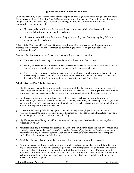## **306 Presidential Inauguration Leave**

Given the proximity of our Diocese to the nation's capital and the significant commuting delays and travel disruptions anticipated with a Presidential Inauguration, some diocesan locations will be closed when the Inauguration falls on a week day. Diocesan site management follows different authorities for inauguration day closure decisions:

- Diocesan parishes follow the decisions of the government or public school system that they regularly follow for inclement weather decisions.
- Diocesan schools follow the decisions of the public school system that they regularly follow for inclement weather decisions.

Offices of the Chancery will be closed. However, employees with approved telework agreements are expected to account for their entire workday by performing telework, taking annual leave, or a combination thereof.

Payments for closings due to the Presidential Inauguration are handled as follows:

- Contracted employees are paid in accordance with the terms of their contract.
- Employees classified as temporary, on-call, or seasonal as well as those who regularly work fewer than 20 hours per week do not receive compensation for inaugural closings.
- Active, regular, non-contracted employees who are employed to work a routine schedule of 20 or more hours per week at one diocesan site are eligible for administrative pay for observed closings due to the Presidential Inauguration in accordance with the guidelines below.

### **Administrative Pay Administration:**

- 1. Eligible employees qualify for administrative pay provided they have an **active status** and worked the last regularly scheduled day before and after the observed closing. A **pre-approved** vacation day or **excused** sick day is considered a day worked for purposes of eligibility for active employees.
- 2. Employees taking family medical leave consecutively, as well as those on disability, workers' compensation, or personal leave are not considered active, even if they are receiving sick leave, annual leave, or other income replacement during their absence. As such, these employees are not eligible for administrative pay for the observed closing.
- 3. If the observed closing falls during a period in which an eligible employee is on paid leave (i.e. receiving sick and/or annual leave payments), the employee is eligible for the administrative pay and is not charged with annual or sick leave for that day.
- 4. Eligible employees will only be paid for the observed closing when the day falls on their regularly scheduled work day.
- 5. Administrative pay is recorded and calculated based on the number of hours the employee would have normally been scheduled to work on such day and at the rate of pay in effect at the time of payment. Administrative pay is the same compensation the employee would have received had the employee worked his or her regular schedule that day.
- 6. Administrative leave is not counted as time worked for overtime computation purposes.
- 7. On rare occasion, employees may be required to work on a day designated as an administrative leave day for their location. When this occurs, eligible non-exempt employees will be paid for their actual hours worked or their normal compensation for that day, whichever is greater. For non-exempt employees, non-work hours are paid at straight time (i.e. administrative leave hours are not included as hours worked for overtime purposes) based on an average day's hours and at the rate of pay in effect at the time of payment.

Catholic Diocese of Arlington 45 August 1, 2021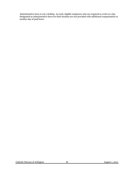Administrative leave is not a holiday. As such, eligible employees who are required to work on a day designated as administrative leave for their location are not provided with additional compensation or another day of paid leave.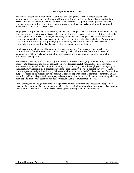### **307 Jury and Witness Duty**

The Diocese recognizes jury and witness duty as a civic obligation. As such, employees who are summoned to serve as jurors or witnesses will be excused from work to perform this duty and will not receive any adverse personnel action as a result of such service. To qualify for an approved absence, employees must submit a copy of the court summons to the direct supervisor and provide reasonable advance notice of the need for absence.

Employees on approved jury or witness duty are expected to report to work as normally scheduled for any day in which jury or witness duty is cancelled or a full day of duty is not required. In addition, unless the direct supervisor approves otherwise, such employees are expected to report to work as scheduled to perform responsibilities that take place outside of the jury / witness duty time schedule. For example, a Director of Youth Ministry on approved jury / witness duty leave would generally be expected to participate in evening and weekend activities that are a regular part of the job.

Employees approved for more than one week of continuous jury / witness duty are expected to communicate with their direct supervisor on a weekly basis. This ensures that the employee and supervisor are able to exchange information and discuss upcoming activities that may require the employee's participation.

The Diocese is not required by law to pay employees for absences due to jury or witness duty. However, if appropriate documentation and notice has been provided, regular, full-time and regular, part-time employees subpoenaed by the courts for jury duty, or witness duty where the employee is not a party to the litigation, will receive their normal compensation for that day. For non-exempt employees, these hours are paid at straight time (i.e. jury/witness duty hours are not included as hours worked for overtime purposes) based on an average day's hours and at the rate of pay in effect at the time of payment. In the event that paid leave is granted, the employee is required to reimburse the Diocese an amount equal to the daily stipend paid by the court for his/her services, exclusive of transportation costs.

While employees will be granted time off to appear in court as a witness, the Diocese will not provide payment for time spent for court appearances in civil or criminal matters where the employee is a party to the litigation. In such cases, employees have the option of using available annual leave.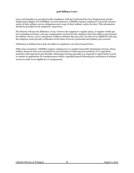## **308 Military Leave**

Leave and benefits are provided in full compliance with the Uniformed Services Employment and Re-Employment Rights Act (USERRA). In most instances, USERRA requires employees to provide advance notice of their military service obligations and a copy of their military orders for duty. This information should be provided to the employee's supervisor.

The Diocese will pay the difference, if any, between the employee's regular salary, or regular weekly pay (not including overtime), and any compensation received by the employee from the military/government for military service, up to a maximum of fifteen calendar days per year. In order to be eligible for this pay, the employee must provide verification of the dates of service performed and military pay received.

Utilization of military leave does not affect an employee's accrual of annual leave.

With some exceptions, USERRA requires employers to re-employ honorably discharged veterans whose military absences have not exceeded five years duration to their previous positions or to equivalent positions with equivalent pay/benefits. Returning veterans generally are required to report back to work or submit an application for reemployment within a specified period following the conclusion of military service in order to be eligible for re-employment.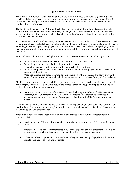## **309 Family Medical Leave**

The Diocese fully complies with the obligations of the Family and Medical Leave Act ("FMLA"), which provides eligible employees, under certain circumstances, with up to 26 work-weeks of job and benefit protected leave during a 12-month period. The reason for the leave request dictates the maximum number of weeks of protected leave.

The Family and Medical Leave Act provides eligible employees with job and benefits protection only. It does not provide income protection. However, if an eligible employee has accrued paid time-off leave and/or qualifies for other income, such as disability or workers' compensation, then some or all of the protected leave may be paid.

To be eligible for Family Medical Leave, an employee must have been employed by the Diocese for at least 12 months and have worked at least 1,250 hours during the 12-month period immediately before the leave would begin. For example, an employee with one year of service who worked on average slightly more than 24 hours a week during the entire prior year would meet the tenure and service hours requirement of the FMLA.

Protected leave will be granted to eligible employees for **up to 12 weeks** for the following reasons:

- Due to the birth or adoption of a child and in order to care for the child;
- Due to the placement of a child for adoption or foster care;
- To care for a spouse, child, or parent with a serious health condition;
- Due to the employee's own serious health condition making the employee unable to perform the essential job functions; or
- When the absence of a spouse, parent, or child who is on or has been called to active duty in the Armed Forces causes a situation in which the employee must take leave for a qualifying exigency.

Eligible employees who are spouses, children, parents, or next of kin to a service member who incurred a serious injury or illness while on active duty in the Armed Forces will be granted **up to 26 weeks** of protected leave for the following reason:

• In order to care for a member of the Armed Forces, including a member of the National Guard or Reserves, who is undergoing medical treatment, recuperation or therapy, is otherwise in outpatient status, or is otherwise on the temporary disability retired list for a serious injury or illness.

A "serious health condition" may include an illness, injury, impairment, or physical or mental condition that involves (1) inpatient care in a hospital, hospice, or residential medical care facility or (2) continuing treatment by a health care provider.

This policy is gender-neutral. Both women and men are entitled to take family or medical leave if otherwise eligible.

Leave requests under the FMLA must be made to the direct supervisor **and** the CAO Human Resource Office as follows:

- Where the necessity for leave is foreseeable due to the expected birth or placement of a child, the employee must provide at least 30 days' notice of his/her intention to take leave.
- If the date of birth or placement requires leave to begin in less than 30 days, the employee must provide such notice as soon as practicable.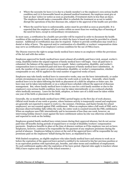- Where the necessity for leave (1) is due to a family member's or the employee's own serious health condition and (2) is foreseeable based on planned medical treatment, the employee must give at least 30 days' notice (or notice as soon as practicable, if treatment starts in less than 30 days). The employee should make a reasonable effort to schedule the treatment so as not to unduly disrupt the operations of his/her diocesan site, subject to the approval of the health care provider.
- Where the need for leave is unforeseeable, notice must be provided as soon as practicable. It is expected that the employee will give notice within no more than two working days of learning of the need for leave, except in extraordinary circumstances.

In most cases, a certification by a health care provider will be required in order to document the health condition of the employee or family member on which the leave is based and must be provided in a timely manner. Additional re-certification may also be required. Failure to provide certification may result in a denial or delay of leave. The approval and/or continuation of a disability or workers' compensation claim may serve as certification of an employee's serious condition for the use of FMLA leave.

The Diocese reserves the right to assign family medical leave status to an employee within the provisions of the Act and with due notice.

Employees approved for family medical leave must exhaust all available paid leave (sick, annual, worker's comp, disability) before the unpaid segment of family medical leave will begin. Once all paid leave is exhausted, the balance of the approved leave is unpaid. Salary continuation, disability, and worker's compensation leave is considered paid sick leave for purposes of family medical leave substitution. As such, the number of days spent on salary continuation, disability, or worker's compensation, whether compensable or not, will be applied to the total number of approved weeks of leave.

Employees may take family medical leave in consecutive weeks, may use the leave intermittently, or under certain circumstances may use the leave to reduce the work week or work day. Generally, where family medical leave is to be taken following the birth or placement of a child for adoption or foster care, the leave may not be taken intermittently or on a reduced leave schedule without the approval of diocesan management. But, where family medical leave is taken to care for a sick family member or due to the employee's own serious health condition, leave may be taken intermittently or on a reduced schedule when medically necessary. Leave for the birth, adoption, or foster care of a child must be taken within one year of the birth or placement of the child.

Generally, the 12-month family medical leave (FML) period begins on the first day of work absence. Official work breaks of one week or greater, where business activity is temporarily ceased and employees are generally not expected to report to work (i.e. the summer, Christmas, and Easter breaks for school employees), are not counted against FML entitlement. When an employee takes a full week of FML and a diocesan-observed holiday falls within the week, the entire week is counted towards the FML entitlement. When an employee uses FML intermittently and in increments of less than one week, however, an intervening holiday doesn't count against the leave entitlement unless he/she was otherwise scheduled and expected to work on the holiday.

Employees granted family medical leave retain tenure during their approved absence, but do not accrue paid time off benefits during periods of unpaid leave or receipt of disability/workers' compensation payments. Employee benefits in place at the time of absence continue as if the employee was not on leave. Employees, however, continue to be responsible for the payment of any employee premiums during the period of absence. Employees failing to return at the end of the approved leave will be responsible for any premiums paid on the employees' behalf during the leave, as stipulated by law.

With limited exceptions, an eligible employee who takes family medical leave and returns to work on or before the expiration of the approved leave period is entitled to be restored to his/her previous position or to an equivalent position with equivalent pay, benefits, and other terms and conditions of employment. No such entitlement applies after the expiration of the leave period. (Special rules apply to teachers whose FMLA leave expires near the end of the school semester.)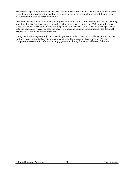The Diocese expects employees who take leave for their own serious medical condition to return to work when their physicians determine that they are able to perform the essential functions of their positions, with or without reasonable accommodation.

In order to consider the reasonableness of any accommodation and to provide adequate time for planning, a written physician's release must be provided to the direct supervisor and the CAO Human Resource Office at least two workdays in advance of the planned return to work date. No work may be performed until the physician's release has been provided, reviewed, and approval communicated. See Section II, Requests for Reasonable Accommodation.

Family Medical Leave provides job and benefits protection only; it does not provide pay protection. See the Short-term Disability Salary Continuation and Long-term Disability Insurance and Workers' Compensation sections for information on pay protection during these medical leaves of absence.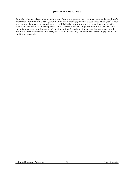#### **310 Administrative Leave**

Administrative leave is permission to be absent from work, granted in exceptional cases by the employee's supervisor. Administrative leave (other than for weather delays) may not exceed three days a year (school year for school employees) and will only be paid if all other appropriate and accrued leave and benefits have been exhausted. Eligible employees will receive their normal compensation for that day. For nonexempt employees, these hours are paid at straight time (i.e. administrative leave hours are not included as hours worked for overtime purposes) based on an average day's hours and at the rate of pay in effect at the time of payment.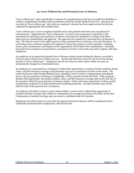#### **311 Leave Without Pay and Personal Leave of Absence**

"Leave without pay" refers specifically to requests for unpaid absences that do not qualify for disability or worker's compensation benefits and/or protection under the Family Medical Leave Act. Absences are recorded as "leave without pay" only when an employee's absence has been approved and he/she has exhausted all appropriate and available leave.

"Leave without pay" is not an employee benefit and is only granted under the most exceptional of circumstances. Application for "leave without pay" in excess of 40 consecutive work hours is the equivalent of requesting a personal leave of absence and must be submitted in writing to the direct supervisor for consideration and approval. The approval of a request for a personal leave of absence is rare. The Diocese reserves the right to grant or deny personal leaves of absence at its sole discretion. In reviewing a leave of absence request, the employee's reason for request as well as position, workload, tenure, prior performance, and impact on the organization will be taken into consideration. Generally, personal leaves of absence are granted for a maximum of twelve work weeks and only to regular, full-time employees.

An employee on an approved personal leave of absence retains tenure during the absence, provided a return to active status occurs within one year. Annual and sick leave, however, do not accrue during periods of "leave without pay". Employees who do not return to active status within one year are automatically changed to a terminated status.

An employee on a personal leave of absence is offered the opportunity to continue his/her medical, dental, vision, and life insurance coverage at full premium cost up to a maximum of twelve work-weeks. The weeks of absence under Family Medical Leave, disability, and/or workers' compensation immediately prior to the personal leave of absence, if applicable, will be counted towards this limit. If the employee declines this opportunity, the medical, dental, vision, and life insurance coverage ends on the last day of the month in which the personal leave of absence begins. Unless otherwise requested in writing, 403(b) contributions continue to be deducted from all remaining paychecks. All other benefits cease on the effective date of the personal leave of absence.

An employee who fails to return to active status within 12 work-weeks is offered the opportunity to continue medical coverage only, subject to continuation of coverage provisions in the effect at the time. Continuation of medical coverage may not exceed a combined total of 18 months.

Employees who fail to return to work after the approved period of absence will be considered to have voluntarily terminated their employment with the Diocese.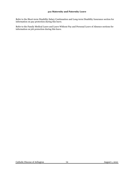## **312 Maternity and Paternity Leave**

Refer to the Short-term Disability Salary Continuation and Long-term Disability Insurance section for information on pay protection during this leave.

Refer to the Family Medical Leave and Leave Without Pay and Personal Leave of Absence sections for information on job protection during this leave.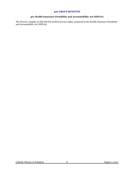### **400 GROUP BENEFITS**

# **401 Health Insurance Portability and Accountability Act (HIPAA)**

The Diocese complies in full with the medical privacy rights contained in the Health Insurance Portability and Accountability Act (HIPAA).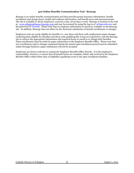### **402 Online Benefits Communication Tool - Benergy**

Benergy is an online benefits communication tool that provides group insurance information, benefit enrollment and change forms, health and wellness information, and benefit news and announcements. The site is available to all lay employees, 24 hours a day, seven days a week. Benergy is located on the web at: www.arlingtondiocese.benergy.com and may be accessed by using the log-in of: arlingtondiocese and the password of: benefits. Please note that no employee information is stored or available on the Benergy site. In addition, Benergy does not allow for the electronic submission of benefit enrollments or changes.

Employees who are newly eligible for benefits (i.e. new hires and those with employment status changes rendering them eligible for benefits) and those with qualifying life events are expected to visit the Benergy site to retrieve the appropriate information and required forms to enroll in or change their benefits. These enrollments must be made by paper submission to the Employee Benefits Office. Please note that new enrollments and/or changes requested during the annual open enrollment period must be submitted online through Dayforce; paper submission will not be accepted.

Employees are always welcome to contact the Employee Benefits Office directly. It is the employee's responsibility, however, to ensure that all benefit forms are complete, dated, and received in the Employee Benefits Office within thirty days of eligibility/qualifying event or the open enrollment deadline.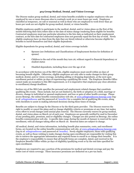## **403 Group Medical, Dental, and Vision Coverage**

The Diocese makes group medical, dental, and vision benefits available to regular employees who are employed by one or more diocesan sites to routinely work 30 or more hours per week. Employees classified as temporary, on-call or seasonal as well as those who are employed to work fewer than 30 hours per week are not eligible for group medical, dental, or vision benefits.

Eligible employees qualify to participate in the medical, dental, and/or vision plans on the first of the month following their hire/rehire date or the date of status change rendering them eligible for benefits. Contracted employees must pay particular attention to the hire date as indicated on their employment contract, as the hire date for contracted employees does not generally equal the first day of work. Newly eligible employees have 30 days from the date they are hired/rehired or otherwise become eligible for benefits to enroll themselves and their eligible dependents.

Eligible dependents for group medical, dental, and vision coverage include:

- Spouses (see Definitions and Classifications of Employment Section for definition of spouse)
- Children to the end of the month they turn 26, without regard to financial dependency or student status
- Disabled dependents, including those over the age of 26

In accordance with Section 125 of the IRS Code, eligible employees must enroll within 30 days of becoming benefit eligible. Otherwise, eligible employees are only able to make changes to their group medical, dental, and/or vision coverage, including adding or dropping dependents, at the next open enrollment period or within 30 days of experiencing a qualifying life event. The Employee Benefits Office cannot make an exception to this IRS requirement, so it is imperative that employees pay close attention to enrollment/change deadlines.

Section 125 of the IRS Code specifies the personal and employment-related changes that constitute qualifying life events. These include, but are not limited to, the birth or adoption of a child, marriage or divorce, change in individual or spousal employment, and loss or gain of other health coverage. Please access Benergy, the online benefits communication web site, at www.arlingtondiocese.benergy.com (login of: arlingtondiocese and the password of: benefits) for a complete list of qualifying life events, along with checklists to assist in making informed decisions during these times of change.

Benefits are subject to change by the Diocese or by the third party provider. The Diocese reserves the right to modify or cancel the plans and/or change eligibility criteria or premiums at any time, but makes every effort to avoid changes until annual plan renewal. The Diocese currently renews its group medical, dental, and vision plans on March 1st of each year. Employees are generally notified by mail in December of any pending plan, premium, and/or eligibility changes. Changes are also posted on Benergy, the online benefits communication web site. A specific date range during the month of January is reserved for open enrollment, with all changes taking effect on March 1st. Renewal dates are subject to change.

All medical, dental, and vision information, including benefit plan summaries, costs, and enrollment forms, are located on the online benefits communication web site, at www.arlingtondiocese.benergy.com (log-in of: arlingtondiocese and password of: benefits). Newly eligible employees, those with qualifying events, as well as those wishing to make changes during open enrollment are responsible for visiting this site to retrieve the appropriate information and required forms to enroll in or change their benefits. It is the employee's responsibility to ensure that all benefit forms are complete, dated, and received in the Employee Benefits Office within 30 days of eligibility/qualifying event or by the end date specified for open enrollment.

Employees are required to pay a portion of the premiums for medical and dental coverage and pay the entire cost of vision coverage. These insurance premiums are deducted on a pre-tax basis.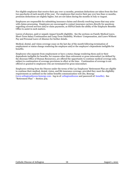For eligible employees that receive their pay over 12 months, premium deductions are taken from the first two paychecks of each month of the year. For employees that receive their pay over less than 12 months, premium deductions are slightly higher, but are not taken during the months of July or August.

Employees are responsible for submitting insurance claims and directly resolving issues that may arise with claims processing. Employees are encouraged to contact insurance carriers directly for questions regarding covered services and/or claim payments, as HIPAA limits the ability of the Employee Benefits Office to assist in such matters.

Leaves of absence, paid or unpaid, impact benefit eligibility. See the sections on Family Medical Leave, Short-Term Salary Continuation and Long-Term Disability, Workers' Compensation, and Leave Without Pay and Personal Leave of Absence for further details.

Medical, dental, and vision coverage cease on the last day of the month following termination of employment or status change rendering the employee and/or the employee's dependents ineligible for benefits.

Employees who separate from employment or have a status change rendering them and/or their dependents ineligible for benefits, for reasons other than retirement or gross misconduct (as defined by the diocesan Office of Human Resources), are offered the opportunity to continue medical coverage only, subject to continuation of coverage provisions in effect at the time. Continuation of coverage is not offered or granted to employees who are terminated for gross misconduct.

Employees retiring from the Diocese under the terms of the Lay Employees' Retirement Plan are eligible to continue their medical, dental, vision, and life insurance coverage, provided they meet the eligibility requirements as outlined on the online benefits communication web site, Benergy [\(www.arlingtondiocese.benergy.com](http://www.arlingtondiocese.benergy.com/) - log-in of: arlingtondiocese and password of: benefits). See "Retirement Plan" – Section 409.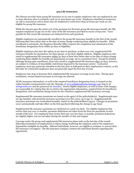#### **404 Life Insurance**

The Diocese provides basic group life insurance at no cost to regular employees who are employed by one or more diocesan sites to routinely work 30 or more hours per week. Employees classified as temporary, on-call or seasonal as well as those who are employed to work fewer than 30 hours per week are not eligible for group life insurance.

While the Diocese pays the entire cost of the premium for the basic group life insurance benefit, the IRS requires employees to pay tax on the value of the life insurance provided in excess of \$50,000. Taxes payable for this excess life insurance are deducted from each paycheck.

Eligible employees are automatically enrolled in the group life insurance benefit on the first of the month following their hire/rehire date or the date of status change rendering them eligible for benefits. While enrollment is automatic, the Employee Benefits Office requires the completion and submission of the beneficiary designation form within 30 days of eligibility.

Eligible employees also have the option at any time to purchase, at their own cost, supplemental life insurance benefits for themselves, for their spouse, or for their eligible children. Eligible employees who enroll in supplemental life insurance within 30 days of their hire/rehire date or the date of status change rendering them eligible for benefits are guaranteed coverage, up to a maximum level. Except for limited offerings during open enrollment, those who enroll in supplemental life insurance after 30 days, however, are subject to evidence of insurability restrictions imposed by the insurance carrier. Contracted employees must pay particular attention to the hire date as indicated on their employment contract, as the hire date for contracted employees does not generally equal the first day of work.

Employees may stop or decrease their supplemental life insurance coverage at any time. During open enrollment, certain limited increases in coverage are allowed.

All life insurance information, as well as the required beneficiary designation form, is located on the online benefits communication web site, Benergy, at www.arlingtondiocese.benergy.com (log-in of: arlingtondiocese and the password of: benefits). Newly eligible employees, as well as those with changes, are responsible for visiting this site to retrieve the appropriate information, required form for beneficiary designation, and enrollment/change forms for the voluntary supplemental life insurance coverage.

Supplemental life insurance premiums are based on the age(s) of the policyholder(s). Supplemental rates are age-banded, with premium increases occurring every five years, up to age 70. Supplemental life insurance premiums are recalculated monthly, based on the policyholder(s) age(s). Changes in premiums occur automatically and take effect on the first paycheck following the change in age band.

Supplemental life insurance premiums are deducted on a post-tax basis. For eligible employees that receive their pay over 12 months, premium deductions are taken from the first two paychecks of each month of the year. For employees that receive their pay over less than 12 months, premium deductions are slightly higher, but are not taken during the months of July and August.

Coverage under the group and supplemental life insurance plans ends on the last day of the month following termination of employment or status change rendering the employee and/or the employee's dependents ineligible for benefits. Affected individuals, however, are eligible to continue or convert their life insurance coverage(s). The life insurance company contacts the individual directly regarding this opportunity.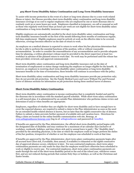### **405 Short-Term Disability Salary Continuation and Long-Term Disability Insurance**

To assist with income protection in the event of a short or long-term absence due to a non-work related illness or injury, the Diocese provides short-term disability salary continuation and long-term disability insurance coverage at no cost to regular employees who are employed by one or more diocesan sites to routinely work 30 or more hours per week. Employees classified as temporary, on-call or seasonal as well as those who regularly work fewer than 30 hours per week are not eligible for short-term disability salary continuation or long-term disability insurance coverage.

Eligible employees are automatically enrolled in the short-term disability salary continuation and longterm disability insurance benefit on the first of the month following three months of continuous regular, full-time employment. Eligible employees must be actively at work on the effective date to be covered; otherwise, coverage becomes effective on the date of return to work.

An employee on a medical absence is expected to return to work when his/her physician determines that he/she is able to perform the essential functions of the position, with or without reasonable accommodation. In order to consider the reasonableness of any accommodation and to provide adequate time for planning, a written physician's release must be provided to the direct supervisor at least two workdays in advance of the planned return to work date. No work may be performed until the release has been provided, reviewed, and approval communicated.

Short-term disability salary continuation and long-term disability insurance end on the date of termination of employment or status change rendering the employee no longer eligible for the benefit. If, however, an employee is receiving short-term disability salary continuation or long-term disability insurance benefits at the time of termination, these benefits will continue in accordance with the policy.

Short-term disability salary continuation and long-term disability insurance provide pay protection only; they do not provide job protection. See the Family Medical Leave and Leave Without Pay and Personal Leave of Absence sections for information on job protection during these medical leaves of absence.

## **Short-Term Disability Salary Continuation**

Short-term disability salary continuation is income continuation that is completely funded and paid by the diocesan site in accordance with the standard payroll schedule. While short-term salary continuation is a self-insured plan, it is administered by an outside Plan Administrator who performs claims review and determines if and/or when benefits are appropriate.

Employees, regardless of whether they are eligible for short-term disability and/or have enough leave to cover the expected absence, are required to submit a claim to the Plan Administrator as soon as the need for an extended health-related absence is known, but no later than the eighth consecutive day of absence. Failure to submit a claim prevents further payment of available sick and vacation leave. Directions for filing a claim are located on the online benefits communication web site, Benergy, at www.arlingtondiocese.benergy.com (log-in of: arlingtondiocese and password of: benefits).

If benefits are approved by the Plan Administrator, the official short-term disability period begins with the designated date of disability and may continue for a maximum of 90 calendar days (inclusive of workdays, weekends, holidays, and days where sick and/or annual leave is paid.) The "disability date", provided by the attending physician, is the date at which the employee could no longer perform the duties of his/her position, irrespective of whether or not the employee was scheduled to work at that time.

If benefits are approved by the Plan Administrator, short-term salary continuation payments begin after all accrued leave (first sick, if available, then annual, if available) is exhausted or the eighth consecutive day of approved absence occurs, whichever is later. For non-contracted employees, short-term salary continuation payments are only made for days that the employee would have otherwise been scheduled to work or eligible to receive pay. For contracted employees, short-term salary continuation payments are made through the end of the short-term disability period or the end of the school year, whichever comes first, and are not reduced during periods that contain Holy Days or holidays, as well as the Christmas and Easter breaks.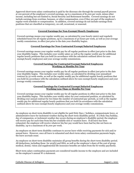Approved short-term salary continuation is paid by the diocesan site through the normal payroll process at 100 percent of the employee's covered earnings, up to a maximum of \$1,000 per week, minus other income, including but not limited to, Social Security and Retirement benefits. Covered earnings do not include earnings from overtime, bonuses, or other compensation, even if they are part of the employee's regular work schedule or compensation. In addition, covered earnings do not include earnings from positions that are classified as temporary, on-call, occasional, or seasonal.

## **Covered Earnings for Non-Exempt/Hourly Employees**

Covered earnings means your regular weekly pay, as calculated by your hourly rate(s) and regularly scheduled hours for all regular positions, up to a maximum of 40 hours per week, as well as your average weekly commissions, in effect just prior to the date your disability begins.

### **Covered Earnings for Non-Contracted Exempt/Salaried Employees**

Covered earnings means your regular weekly pay for all regular positions in effect just prior to the date your disability begins. This includes your weekly salary as well as the regular weekly pay for additional regular hourly positions that you hold (in accordance with the calculation outlined above for nonexempt/hourly employees) and your average weekly commissions.

### **Covered Earnings for Contracted Exempt/Salaried Employees Working 12 Months Per Year**

Covered earnings means your regular weekly pay for all regular positions in effect just prior to the date your disability begins. This includes your weekly salary, as calculated by dividing your annualized contract by 52 work-weeks, as well as the regular weekly pay for additional regular hourly positions that you hold (in accordance with the calculation outlined above for non-exempt/hourly employees) and your average weekly commissions.

## **Covered Earnings for Contracted Exempt/Salaried Employees Working Less Than 12 Months Per Year**

Covered earnings means your regular weekly pay for all regular positions in effect just prior to the date your disability begins. This includes your weekly salary for your contracted position, as calculated by dividing your annual contract by two times the number of contracted pay-periods, as well as the regular weekly pay for additional regular hourly positions that you hold (in accordance with the calculation outlined above for non-exempt/hourly employees) and your average weekly commissions.

An employee on short-term disability is not eligible for paid Holy Days / holidays, compassionate leave, or administrative leave for inclement weather during the short-term disability period. If a Holy Day/holiday, day of compassion, or inclement weather day occurs during an employee's disability period, the employee will receive pay for such time from his/her available sick or vacation leave. If all leave has been exhausted, the employee will receive whatever his/her pay would have been had he/she not been on disability, up to a maximum of \$1,000 per week.

An employee on short-term disability continues to accrue leave while receiving payments for sick and/or annual leave. However, once all leave is exhausted and short-term salary continuation payments begin, the leave accruals cease.

An employee on short-term disability maintains all group benefits during the short-term disability period. All deductions, including those for 403(b) and HSA, as well as the employee's share of the cost of group medical, dental, vision and supplemental life insurance benefits are taken from the bi-weekly paychecks.

Short-term salary continuation payments are considered taxable income to the employee and are included on the employee's annual W-2 statement.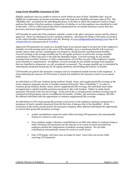## **Long-Term Disability Insurance (LTD)**

Eligible employees who are unable to return to work within 90 days of their "disability date" may be eligible for continuation of income protection under the long-term disability insurance plan (LTD). The "disability date", provided by the attending physician, is the date at which the employee could no longer perform the duties of his/her position, irrespective of whether or not the employee was scheduled to work at that time. LTD is a fully insured plan that is administered by an outside insurance carrier that also processes and issues approved payments.

LTD benefits are paid only if the employee submits a claim to the plan's insurance carrier and the claim is approved. There are limitations for pre-existing conditions. Directions for filing a LTD claim are located on the online benefits communication web site, Benergy, at www.arlingtondiocese.benergy.com (log-in of: arlingtondiocese and password of: benefits).

Approved LTD payments are made on a monthly basis in an amount equal to 60 percent of the employee's monthly covered earnings prior to the onset of the disability, up to a maximum benefit of \$12,500 per month, minus other income, including but not limited to, Social Security and Retirement benefits. Covered earnings is the average monthly pay for all regular positions as well as the average monthly commissions in effect just prior to the date the disability begins. Covered earnings do not include earnings from overtime, bonuses, or other compensation, even if they are part of the employee's regular work schedule or compensation. In addition, covered earnings do not include earnings from positions that are classified as temporary, on-call, occasional, or seasonal. The average monthly pay is calculated by summing the projected annual pay for all regular positions and dividing the total by 12 months.

LTD benefits are paid by the insurance company and are considered taxable income to the employee. A 1099 indicating the amount of LTD income is issued and mailed by the insurance carrier on an annual basis.

An individual on LTD may continue group medical, dental, vision, and supplemental life coverage at the active employee premium rate for 12 months (measured from the "date of disability"). In order to continue group medical, dental, vision, and/or supplemental life coverage, the individual must make arrangements to submit monthly premium payments to the work location. Failure to make timely payments will result in the loss of coverage. At the end of the 12-month period, medical coverage may be continued at full premium cost for an additional 18 months. Further, the insurance company will offer the affected individual with the opportunity to continue supplemental life coverage.

An individual on LTD retains group life insurance and access to the employee assistance program for a maximum of twelve months (measured from the first day of absence due to the disability). At the conclusion of the twelve month period, the insurance company offers affected individuals the opportunity to convert their group life insurance coverage.

- 403(b) contributions cannot be made while receiving LTD payments, but automatically resume if a return to work occurs.
- If an employee makes voluntary contributions to an HSA and wishes to continue doing so while receiving LTD payments, he/she may do so on a post-tax basis (provided the employee elected the continuation of medical coverage option). Pre-tax HSA contributions automatically resume if a return to work occurs.
- Once LTD begins, sick leave may no longer be used. Leave does not accrue while receiving LTD Payments.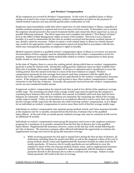### **406 Workers' Compensation**

All lay employees are covered by Workers' Compensation. In the event of a qualified injury or illness arising out of and in the course of employment, workers' compensation provides for the payment of related medical expenses and may provide partial salary continuation as well.

Employees must immediately notify their direct supervisor of a job-related injury or illness, regardless of whether medical treatment is required and even if no time is lost from work. If immediate care is needed, the employee should proceed to the nearest treatment facility and contact the direct supervisor as soon as possible following treatment. The direct supervisor must complete and submit a "First Report of Injury" form to the Office of Risk Management within 24 hours of the incident. This form is not a claim for benefits; it is used to substantiate the fact that an accident occurred and document resultant injuries, if any, should a claim be necessary. Failure to report a work-related injury or illness in a timely manner may result in the appropriate worker's compensation report not being filed in accordance with the law, which may consequently jeopardize an employee's rights to benefits.

Medical expenses related to a qualified workers' compensation injury or illness is covered at 100 percent. Documentation of those expenses must be submitted directly to the worker's compensation carrier for payment. Employees must NOT submit medical bills related to workers' compensation to their group health, dental, or vision insurance carrier.

In the state of Virginia, there is a seven-day waiting period, during which time no workers' compensation payment is made for missed work. During this waiting period, employees must use their available leave (first sick, if available, then annual, if available). If all leave is exhausted and/or insufficient to cover the waiting period, then the missed work time in excess of the leave balances is unpaid. Workers' compensation payments for lost earnings from missed work time commence with the eighth day of absence due to the qualified injury or illness and are paid directly by the workers' compensation insurance carrier. If the employee remains unable to work beyond 21 days, then workers' compensation is made retroactive to the first day of absence. Generally, the payments received from the workers' compensation carrier are not considered taxable income.

If approved, workers' compensation for missed work time is paid at two-thirds of the employee's average weekly wage. The remaining one-third of the average weekly wage must be paid from the employee's remaining leave balances (first sick, if available, then annual, if available) until such time that the leave balances are exhausted. Once the leave balances are exhausted, the remaining one-third of the average weekly wage is unpaid. Under no circumstances is an employee allowed to receive more than one-third of his/her average weekly wage from the diocesan site while receiving workers' compensation, as it is illegal for an individual on workers' compensation to receive more than 100% of his/her average weekly wage.

Individuals on workers' compensation may maintain group medical, dental, and vision insurance benefits at the employee rate for 12 months, measured from the first day of absence due to the qualified injury/illness. At the end of the 12-month period, medical coverage only may be continued at full cost for an additional 18 months.

Individuals on workers' compensation retain group life insurance and access to the employee assistance program for a maximum of 12 months, measured from the first day of absence due to the qualified injury/illness. Supplemental life insurance, however, ceases on the last day of the month following the 90th day of absence. The insurance company offers affected individuals the opportunity to continue the supplemental coverage and convert the group life insurance coverage.

a. While receiving payments for sick and/or annual leave during the first 90 days of absence, all deductions, including those for 403(b) and HSA, as well as the employee's share of the cost of group medical, dental, vision and supplemental life insurance benefits are taken from the biweekly paychecks. If, however, the bi-weekly paychecks are not sufficient to cover the employee's share of the cost of group medical, dental, vision, and/or supplemental insurance benefits, then the employee is required to make arrangements with the location to make payments directly to the diocesan site in order to continue such coverage. Failure to make timely payments will result in the loss of coverage.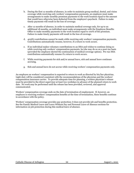- b. During the first 12 months of absence, in order to maintain group medical, dental, and vision coverage while receiving only workers' compensation payments, an employee must make arrangements to make monthly premium payments to the work location equal to the amount that would have otherwise been deducted from the employee's paycheck. Failure to make timely payments will result in the loss of coverage.
- c. After 12 months of absence, in order to maintain medical coverage only, for up to an additional 18 months, an individual must make arrangements with the Employee Benefits Office to make monthly payments to the work location equal to 100% of the premium. Failure to make timely payments will result in the loss of coverage.
- d. 403(b) contributions cannot be made while receiving only workers' compensation payments. Contributions automatically resume, however, if a return to work occurs.
- e. If an individual makes voluntary contributions to an HSA and wishes to continue doing so while receiving only workers' compensation payments, he/she may do so on a post-tax basis (provided the employee elected the continuation of medical coverage option). Pre-tax HSA contributions automatically resume if a return to work occurs.
- f. While receiving payments for sick and/or annual leave, sick and annual leave continues accruing.
- g. Sick and annual leave do not accrue while receiving workers' compensation payments only.

An employee on workers' compensation is expected to return to work as directed by his/her physician. Light duty will be considered consistent with the recommendations of the physician and the workers' compensation insurance carrier. To provide adequate time for planning, a written physician's release must be provided to the direct supervisor at least two workdays in advance of the planned return to work date. No work may be performed until the release has been provided, reviewed, and approval communicated.

Workers' compensation coverage ends on the date of termination of employment. If, however, an employee is receiving workers' compensation benefits at the time of termination, these benefits continue in accordance with the policy.

Workers' compensation coverage provides pay protection; it does not provide job and benefits protection. See the Family Medical Leave and Leave Without Pay and Personal Leave of Absence sections for information on job protection during this medical leave of absence.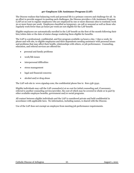### **407 Employee Life Assistance Program (LAP)**

The Diocese realizes that balancing work and personal life is a primary concern and challenge for all. In an effort to provide support in meeting such challenges, the Diocese provides a Life Assistance Program (LAP) at no cost to regular employees who are employed by one or more diocesan sites to routinely work 30 or more hours per week. Employees classified as temporary, on-call or seasonal as well as those who regularly work fewer than 30 hours per week are not eligible for the LAP benefit.

Eligible employees are automatically enrolled in the LAP benefit on the first of the month following their hire/rehire date or the date of status change rendering them eligible for benefits.

The LAP is a professional, confidential, and free program available 24 hours a day, 7 days a week, by phone and web site, to eligible employees and their dependents needing assistance with personal issues and problems that may affect their health, relationships with others, or job performance. Counseling, education, and referral services are offered for:

- personal and family problems
- work/life issues
- interpersonal difficulties
- stress management
- legal and financial concerns
- alcohol and/or drug abuse

The LAP web site is: www.cignalap.com; the confidential phone line is: 800-538-3542.

Eligible individuals may call the LAP counselor(s) at no cost for initial counseling and, if necessary, referral to another counseling service/provider, the cost of which may be covered in whole or in part by other available employee benefits, government and/or social programs.

All contact between eligible individuals and the LAP is considered private and held confidential in accordance with applicable laws. No information, including names, is shared with the Diocese.

Use of the LAP does not exempt an employee from meeting job performance requirements.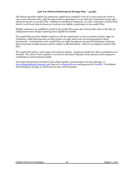## **408 Tax-Deferred Retirement Savings Plan – 403(b)**

The Diocese provides regular lay employees, employed to routinely work 20 or more hours per week at one or more diocesan sites, with the opportunity to participate in a tax-deferred, retirement savings plan, otherwise known as a 403(b) Plan. Employees classified as temporary, on-call or seasonal as well as those hired to work fewer than 20 hours per week are not eligible to participate in the 403(b) Plan.

Eligible employees are qualified to enroll in the 403(b) Plan upon date of hire/rehire date or the date of employment status change rendering them eligible for benefits.

The 403(b) Plan provides eligible employees with the opportunity to invest a portion of their wages for retirement, while deferring taxes on that portion of wages and on any income generated by those investments. Contributions to the 403(b) Plan are made through pre-tax payroll deductions (reducing federal and state taxable income) and are subject to IRS limitations. There is no employer match in this Plan.

The 403(b) Plan offers a wide range of investment options. Employees decide how their contributions are invested. The value of each employee's account at retirement depends on the amount of the employee's contributions and investment results.

All 403(b) information is located on the online benefits communication web site, Benergy, at www.arlingtondiocese.benergy.com (log-in of: arlingtondiocese and password of: benefits). Enrollment and subsequent changes are performed on-line with Prudential.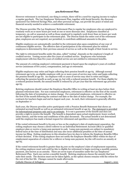#### **409 Retirement Plan**

However retirement is envisioned, one thing is certain, there will be a need for ongoing income to replace a regular paycheck. The Lay Employees' Retirement Plan, together with Social Security, the diocesansponsored Tax-Deferred Savings Plan, and other personal savings, can provide the peace of mind and financial security needed to achieve a comfortable retirement.

The Diocese provides The Lay Employees' Retirement Plan to regular lay employees who are employed to routinely work 20 or more hours per week at one or more diocesan sites. Employees classified as temporary, on-call or seasonal as well as those employed to regularly work fewer than 20 hours per week are not eligible to participate in the retirement plan. The Diocese funds the entire cost of the retirement plan; employees are not required, nor permitted, to contribute additional amounts to the plan.

Eligible employees are automatically enrolled in the retirement plan upon completion of one year of continuous eligible service. The effective date of participation in the retirement plan for rehired employees is determined by their previous amount of service as well as the length of their break in service.

The right to retirement benefits under the plan, called "vesting", depends on the employee's length of credited service. Vesting occurs after five years of credited service. Employees who terminate employment with less than five years of credited service are not entitled to retirement benefits.

The amount of a retiring employee's retirement payment is based upon the employee's years of credited service (minimum of five years), compensation, and age at retirement.

Eligible employees may retire and begin collecting their pension benefit at age 65. Although normal retirement age is 65, an eligible employee with 30 or more years of service may retire and begin collecting the pension benefit at age 60. An employee with 10 years of service may elect to retire and begin collecting the pension benefit as early as age 55, but with a reduced pension benefit. For those eligible for a reduced pension benefit, the annual benefit is reduced by 5% per year that the retirement age precedes age 65.

Retiring employees should contact the Employee Benefits Office in writing at least 90 days before their planned retirement date. For non-contracted employees, retirement is effective on the first of the month following the date of termination or status change. For contracted employees, retirement is effective on the first of the month following the contract end date or the date of status change. For example, the contracts for teachers begin and end in August each year. As such, their retirement is generally effective on September 1st .

Each year, the Diocese provides active participants with a Pension Benefit Statement that shows an estimated accrued benefit as well as an estimated retirement benefit at age 65. The statement is provided for informational purposes only and is an estimate. It is not a guarantee of the benefit and does not provide a right to receive the benefit. The benefit is dependent upon actual employment, hours worked, salary history, and the terms and conditions of the plan document. The actual benefit is not determined until the employee has made a formal request for retirement and specifies a retirement date.

If the vested retirement benefit is \$5,000 or less on the employee's date of employment separation, the exiting employee may choose a direct rollover to an Individual Retirement Account (IRA) or qualified employer plan or receive a lump sum payment in cash. Lump sum payments are subject to mandatory federal taxes at the time of distribution and may also incur additional penalties at the time of annual income tax filing. Exiting employees in this situation have 60 days to inform the Employee Benefits Office of their decision. If the exiting employee does not notify the Employee Benefits Office within 60 days of employment separation of a desire for a rollover or lump sum payment, he/she will receive an annuity at age 65.

If the vested retirement benefit is greater than \$5,000 on the employee's date of employment separation, the exiting employee must wait until he/she is eligible for retirement to begin receiving a monthly pension payment, also known as an annuity. There are seven types of annuities under the Lay Employees' Retirement Plan. Each one carries a monthly benefit. Retiring employees choose the annuity that best suits their needs. The decision must not be taken lightly, as the option chosen remains with the retiree for the rest of his/her life. Changes cannot be made afterwards.

Catholic Diocese of Arlington 67 67 August 1, 2021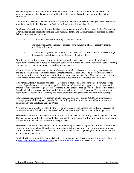The Lay Employees' Retirement Plan provides benefits to the spouse, or qualifying child(ren) if no surviving spouse exists, of an employee with at least five years of credited service who dies before retirement.

If an employee becomes disabled, he/she will continue to accrue service for the length of the disability if already vested in the Lay Employees' Retirement Plan on the date of disability.

Employees who retire directly from active diocesan employment under the terms of the Lay Employees' Retirement Plan are eligible to continue their medical, dental, and vision insurance, provided all of the following requirements are met:

- The employee receives a monthly retirement benefit.
- The employee has the insurance coverage for a minimum of 36 consecutive months preceding retirement.
- The employee agrees to pay the full cost of the elected insurance coverage's according to the procedures established by the Employee Benefits Office.

At retirement, employees have the option of continuing dependent coverage as well, provided the dependent coverage was in force for at least 12 consecutive months prior to the retirement date. Retiring employees also have the option of converting to single coverage.

When a retiree, or the retiree's spouse, reaches age 65, Medicare becomes the primary insurance carrier and the diocesan plan becomes the secondary carrier for that individual. The diocesan plan does not cover prescription drugs for retirees and their dependents over age 65. Once Medicare becomes primary for either the retiree or the spouse, the medical insurance premium is adjusted to a lower rate.

If a retiree has family coverage and predeceases his/her spouse and/or dependents, insurance for the covered dependents may continue for a period of time to allow sufficient opportunity to explore and arrange for alternate coverage. Medical coverage may be extended for a period not to exceed 18 months; dental and vision coverage may be extended for a period not to exceed 6 months. The spouse and/or dependents are responsible for paying the entire premium during this period of continued coverage.

Retirees receiving a monthly retirement benefit may also elect to continue \$10,000 of life insurance coverage, provided they agree to pay the full cost of the premium in accordance with the procedures established by the Employee Benefits Office.

A retiree may continue to work for the Diocese or be rehired by the Diocese and continue to receive all retirement benefits (pension and insurance) as long as he/she works fewer than 20 hours per week.

Retirees who return to working 20 or more hours per week have their monthly pension payment stopped. The pension payment for these individuals is recalculated and resumed at the time that they retire again or have their hours reduced to fewer than 20 per week.

Retirees who return to working between 20 and 29 hours per week are eligible to continue their elected retiree insurance benefits. The retiree insurance benefits for those who return to working 30 or more hours per week, however, cease. Instead, these individuals are once again eligible for all benefits at the active lay employee rates.

Detailed retirement plan information is located on the online benefits communication web site, Benergy, at www.arlingtondiocese.benergy.com (log-in of: arlingtondiocese and password of: benefits).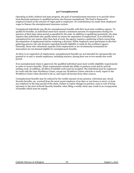### **410 Unemployment**

Operating as both a federal and state program, the goal of unemployment insurance is to provide shortterm financial assistance to qualified persons who become unemployed. The fund is financed by employers based on the amount of wages paid to employees. No contributions are made from employees' wages to finance the unemployment insurance system.

Unemployed individuals may file for unemployment benefits with their local state workforce agency. To qualify for benefits, an individual must have earned a minimum amount of compensation during two quarters of their base claim period as specified by the state. In addition to qualifying monetarily, the state requires that individuals also qualify based on reason for separation of employment. If an individual is unemployed for any reason other than lack of work, the agency requires a gathering of facts concerning the separation of employment before rendering a decision. While employers must participate in this factgathering process, the sole decision regarding benefit eligibility is made by the workforce agency. Generally, those who voluntarily separate from employment or are involuntarily terminated for misconduct are not deemed eligible for unemployment benefits.

As there is no separation of employment, unemployment benefits are not intended for and generally not granted to 10 and 11 month employees, including teachers, during their one to two month non-work period.

If an unemployment claim is approved, the qualified individual must meet weekly eligibility requirements in order to receive benefits. These requirements include the ability to perform work and be actively seeking work. In addition, all offers of suitable work must be accepted. The individual must be registered for work with the state Workforce Center, accept any Workforce Center referrals to work, report to the Workforce Center when directed to do so, and report all income from other sources.

Unemployment benefits may be reduced by the weekly amount of any pension, retirement pay, Social Security benefits, etc. received from the most recent employer of 30 days or 240 hours or more, or from any employer in the base period of the claim. Failure to report changes in pension, such as cost of living increases or the start of Social Security benefits, when filing a weekly claim may result in an overpayment of benefits which must be repaid.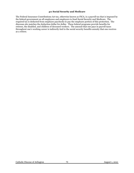## **411 Social Security and Medicare**

The Federal Insurance Contributions Act tax, otherwise known as FICA, is a payroll tax that is imposed by the federal government on all employees and employers to fund Social Security and Medicare. The required tax is deducted from employee paychecks to pay the employee portion of this protection. The diocesan site matches the deduction dollar for dollar. These federal programs provide benefits for retirees, the disabled, and children of deceased workers. The amount that one pays in payroll taxes throughout one's working career is indirectly tied to the social security benefits annuity that one receives as a retiree.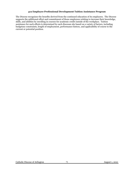## **412 Employee Professional Development Tuition Assistance Program**

The Diocese recognizes the benefits derived from the continued education of its employees. The Diocese supports the additional effort and commitment of those employees wishing to increase their knowledge, skills, and abilities by enrolling in courses for academic credit outside of the workplace. Tuition assistance for such efforts is determined by each diocesan site based on a variety of factors, including budgetary constraints, length of employment, performance history, and applicability of course to the current or potential position.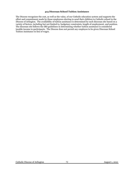#### **413 Diocesan School Tuition Assistance**

The Diocese recognizes the cost, as well as the value, of our Catholic education system and supports the effort and commitment made by those employees electing to send their children to Catholic school in the Diocese of Arlington. The availability of tuition assistance is determined by each diocesan site based on a variety of factors, including but not limited to, budgetary constraints, length of employment, and position. The diocesan site follows the IRS guidelines in determining whether tuition assistance is considered taxable income to participants. The Diocese does not permit any employee to be given Diocesan School Tuition Assistance in lieu of wages.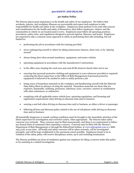# **500 SAFETY AND HEALTH**

# **501 Safety Policy**

The Diocese places great importance on the health and safety of our employees. We believe that accidents, injuries, and workplace illnesses are preventable and expect each employee to take responsibility for health and safety in the workplace. Employees must perform every task with concern and consideration for the health and safety of themselves, their fellow employees, visitors, and the communities in which we are located and/or serve. Employees must follow all operating practices, procedures, safety rules, and regulations designed to prevent injuries, illnesses, and losses. Employees are expected to take a common-sense approach to safety in performing their jobs including, but not limited to:

- performing the job in accordance with the training provided
- never endangering oneself or others by taking unnecessary chances, short-cuts, or by "playing" around"
- always being alert when around machinery, equipment, and motor vehicles
- operating equipment in accordance with the manufacturer's instructions
- in the office area, keeping the work area neat and all file drawers closed when not in use
- ensuring that personal protective clothing and equipment is worn whenever provided or required; contacting the direct supervisor or the Office of Risk Management if personal protective equipment is believed to be needed in order to safely perform a job
- being aware of hazardous materials in the workplace and familiarizing oneself with the Material Data Safety Sheet in advance of using the material. Hazardous materials are those that are explosive, flammable, oxidizing, poisonous, infectious, toxic, corrosive, reactive in combination with other substances, or radioactive
- complying with all applicable motor vehicle laws, operating regulations, and licensing and registration requirements when driving on diocesan time and/or business
- wearing a seat belt when driving on diocesan time and/or business, as either a driver or passenger
- following all laws and diocesan policy related to the use of cell phones while driving on diocesan time and/or business

All potentially dangerous or unsafe working conditions must be brought to the immediate attention of the direct supervisor for investigation and corrective action, when appropriate. The Diocese takes safety concerns very seriously. Thus, concerns may be filed anonymously, and there is no requirement to follow any formal chain of command when reporting a concern. Concerns may be filed with the Diocese's Department of Risk Management or through the EthicsPoint hotline, at [www.ethicspoint.com](http://www.ethicspoint.com/) or 1-888- 293-3718, at any time. All health and safety concerns will be taken seriously, will be investigated promptly, and will be kept confidential to the maximum extent possible. Employees found to be in violation of the safety policy will receive disciplinary action, up to and including termination.

The Diocese prohibits any form of retaliation against any employee for filing a concern under this policy or for assisting in a related investigation.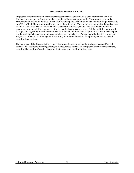# **502 Vehicle Accidents on Duty**

Employees must immediately notify their direct supervisor of any vehicle accident incurred while on diocesan time and/or business, as well as complete all required paperwork. The direct supervisor is responsible for providing detailed information regarding the accident as well as the required paperwork to the Office of Risk Management within 24 hours of notification. This includes accidents involving diocesan provided vehicles as well as those owned/leased by the employee, as the Diocese can be named in an insurance claim or suit if a personal vehicle is used for business purposes. Full factual information will be requested regarding the vehicles and parties involved, including a description of the event, license plate numbers, driver's license numbers, years, makes, and models, etc. Failure to notify the direct supervisor and/or the Office of Risk Management in a timely manner will result in disciplinary action, up to and including termination.

The insurance of the Diocese is the primary insurance for accidents involving diocesan owned/leased vehicles. For accidents involving employee owned/leased vehicles, the employee's insurance is primary, including the employee's deductible, and the insurance of the Diocese is excess.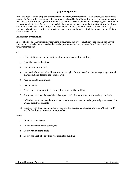#### **503 Emergencies**

While the hope is that workplace emergencies will be rare, it is important that all employees be prepared in case of a fire or other emergency. Each employee should be familiar with written evacuation plans for their diocesan site and be vigilant during drills so that in the event of an actual emergency, evacuation will be smooth and effective. In the event of a civil disturbance, such as a terrorist threat or attack, employees must follow the instructions, if any, of the jurisdiction's public safety official (fire, police, etc.). Any employee who violates clear instructions from a governing public safety official assumes responsibility for his or her own safety.

#### **Emergency Evacuation**

In case of a fire or other emergency requiring evacuation, employees must leave the building in a swift, but calm and orderly, manner and gather at the pre-determined staging area for a "head count" and further instructions.

#### Do:

- 1. If there is time, turn off all equipment before evacuating the building.
- 2. Close the door to the office.
- 3. Use the nearest stairwell.
- 4. Use handrails in the stairwell, and stay to the right of the stairwell, so that emergency personnel may ascend and descend the stairs as well.
- 5. Keep talking to a minimum.
- 6. Remain calm.
- 7. Be prepared to merge with other people evacuating the building.
- 8. Those assigned to assist special needs employees/visitors must locate and assist accordingly.
- 9. Individuals unable to use the stairs in evacuations must relocate to the pre-designated evacuation area as quickly as possible.
- 10. Check-in with the department supervisor or other designated representative for a "head count" and further instructions as soon as possible.

#### Don't:

- 1. Do not use an elevator.
- 2. Do not return for coats, purses, etc.
- 3. Do not run or create panic.
- 4. Do not use a cell phone while evacuating the building.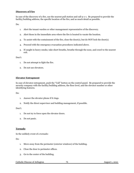# **Discovery of Fire**

In case of the discovery of a fire, use the nearest pull station and call 9-1-1. Be prepared to provide the facility/building address, the specific location of the fire, and as much detail as possible.

Do:

- 1. Alert the tenant warden or other management representative of the discovery.
- 2. Alert those in the immediate area where the fire is located to vacate the location.
- 3. To assist with the containment of the fire, close the door(s), but do NOT lock the door(s).
- 4. Proceed with the emergency evacuation procedures indicated above.
- 5. If caught in heavy smoke, take short breaths, breathe through the nose, and crawl to the nearest exit.

Don't:

- 1. Do not attempt to fight the fire.
- 2. Do not use elevators.

### **Elevator Entrapment**

In case of elevator entrapment, push the "Call" button on the control panel. Be prepared to provide the security company with the facility/building address, the floor level, and the elevator number or other identifying features.

D<sub>o</sub>:

- 1. Answer the elevator phone if it rings.
- 2. Notify the direct supervisor and building management, if possible.

Don't:

- 1. Do not try to force open the elevator doors.
- 2. Do not panic.

### **Tornado**

In the unlikely event of a tornado:

Do:

- 1. Move away from the perimeter (exterior windows) of the building.
- 2. Close the door to perimeter offices.
- 3. Go to the center of the building.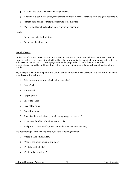- 4. Sit down and protect your head with your arms.
- 5. If caught in a perimeter office, seek protection under a desk as far away from the glass as possible.
- 6. Remain calm and encourage those around to do likewise.
- 7. Wait for additional instruction from emergency personnel.

Don't:

- 1. Do not evacuate the building.
- 2. Do not use the elevators.

### **Bomb Threat**

In the case of a bomb threat, be calm and courteous and try to obtain as much information as possible from the caller. If possible, without letting the caller know, enlist the aid of a fellow employee to notify the Police Department at 9-1-1. The employee should be prepared to provide the Police with the organization's name, the building address, the floor and suite number if applicable, and his/her phone number.

Try to keep the caller on the phone and obtain as much information as possible. At a minimum, take note of and record the following:

- 1. Telephone number from which call was received
- 2. Date of call
- 3. Time of call
- 4. Length of call
- 5. Sex of the caller
- 6. Race of the caller
- 7. Age of the caller
- 8. Tone of caller's voice (angry, loud, crying, raspy, accent, etc.)
- 9. Is the voice familiar; who does it sound like?
- 10. Background noise (traffic, music, animals, children, airplane, etc.)

Do not interrupt the caller. If possible, ask the following questions:

- 1. Where is the bomb hidden?
- 2. When is the bomb going to explode?
- 3. What does it look like?
- 4. What kind of bomb is it?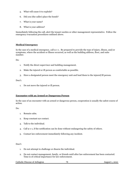- 5. What will cause it to explode?
- 6. Did you (the caller) place the bomb?
- 7. What is your name?
- 8. What is your address?

Immediately following the call, alert the tenant warden or other management representative. Follow the emergency evacuation procedures outlined above.

# **Medical Emergency**

In the case of a medical emergency, call 9-1-1. Be prepared to provide the type of injury, illness, and/or symptoms, where the accident or illness occurred, as well as the building address, floor, and suite number.

D<sub>o</sub>:

- 1. Notify the direct supervisor and building management.
- 2. Make the injured or ill person as comfortable as possible.
- 3. Have a designated person meet the emergency unit and lead them to the injured/ill person.

#### Don't:

1. Do not move the injured or ill person.

### **Encounter with an Armed or Dangerous Person**

In the case of an encounter with an armed or dangerous person, cooperation is usually the safest course of action.

Do:

- 1. Remain calm.
- 2. Keep constant eye contact.
- 3. Talk to the individual.
- 4. Call 9-1-1, if the notification can be done without endangering the safety of others.
- 5. Contact law enforcement immediately following any incident.

# Don't:

- 1. Do not attempt to challenge or disarm the individual.
- 2. Do not contact management, family, or friends until after law enforcement has been contacted. Time is of critical importance for law enforcement.

Catholic Diocese of Arlington 78 78 August 1, 2021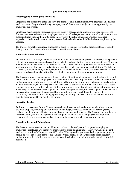# **504 Security Procedures**

# **Entering and Leaving the Premises**

Employees are expected to enter and leave the premises only in conjunction with their scheduled hours of work. Access to the premises during an employee's off duty hours is subject to prior approval by the employee's supervisor.

Employees may be issued keys, security cards, security codes, and/or other devices used to access the diocesan site, secured areas, etc. Employees are expected to keep these items secured at all times and are prohibited from sharing them with other employees without the advance approval of the direct supervisor. Under no circumstances may access devices be shared with individuals not employed by the Diocese.

The Diocese strongly encourages employees to avoid working or leaving the premises alone, especially during hours of darkness and/or outside of normal business hours.

# **Visitors in the Workplace**

All visitors to the Diocese, whether presenting for a business-related purpose or otherwise, are expected to enter at the diocesan designated reception area/lobby and wait for the person they came to see. Under no circumstances are visitors to be escorted or presented to the person they came to see unannounced. In addition, while on diocesan property, visitors must be escorted by an employee at all times. Visits to the Diocese by family members, friends, acquaintances, as well as former employees are expected to be brief in nature and coordinated at a time that has the least amount of disruption on operations.

The Diocese supports and encourages the well-being of families and endeavors to be flexible with regard to the familial needs of its employees. However, children in the workplace are a source of distraction as well as a potential safety issue. Having children in the workplace for all or a portion of the workday is not an employee benefit, as the workplace is not to be used as a substitute for long-term child-care. As such, employees are only permitted to bring children to work for brief visits and such visits must be approved in advance by the employee's direct supervisor. In reviewing the request, the direct supervisor will consider the reason for the request, the requested time-period, the age of the child, and issues of safety, productivity, confidentiality, liability, appearance, and appropriateness. As with all visitors, children must be accompanied by an adult at all times.

# **Security Checks**

At times, it is necessary for the Diocese to search employees as well as their personal and/or companyprovided property, including but not limited to, handbags, briefcases, lunch boxes, carrying cases, packages, mail, lockers, cabinets, drawers, phones, cameras, and vehicles. The Diocese reserves the right to search employees and their personal and company-provided effects. Employees are required to cooperate with such searches as well as other security measures, such as background checks.

### **Guarding Personal Belongings**

The Diocese cannot assume responsibility for the loss or theft of personal property belonging to employees. Employees are, therefore, encouraged to avoid bringing unnecessary, valuable items to the workplace, including MP3 players and GPS units. Where possible, purses and other personal property should be stored in locked desks or file cabinets. Check books, credit card receipts, social security cards/numbers, driver's licenses, or other items with valuable personal information should not be left unsecured.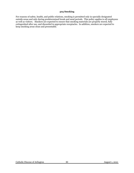## **505 Smoking**

For reasons of safety, health, and public relations, smoking is permitted only in specially designated outside areas and only during predetermined break and meal periods. This policy applies to all employees as well as visitors. Smokers are expected to ensure that smoking materials are properly stored, fully extinguished after use, and discarded in appropriate receptacles. In addition, smokers are expected to keep smoking areas clean and presentable.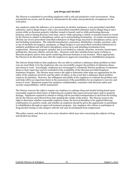# **506 Drugs and Alcohol**

The Diocese is committed to providing employees with a safe and productive work environment. Drug and alcohol use can be, and its abuse is, detrimental to the safety and productivity of employees in the work place.

Any employee under the influence, or in possession of, alcohol, marijuana, a non-prescribed controlled substance, and/or illegal drug or with a non-prescribed controlled substance and/or illegal drug in one's system while on diocesan property (whether owned or leased), and/or while performing diocesan business, and/or during diocesan work time, and/or while operating a vehicle or machine leased or owned by the Diocese is subject to disciplinary action, up to and including termination. In certain circumstances, off-duty use of non-prescribed controlled substances or illegal drugs may lead to disciplinary action, up to and including termination. The unlawful manufacture, possession, distribution, transfer, purchase, sale, or use of alcoholic beverage(s), marijuana, or illegal drug(s) or non-prescribed controlled substance(s) is similarly prohibited and will lead to disciplinary action up to and including termination from employment. Diocesan property includes, but is not limited to, schools, churches, rectories, leased space, parking lots, diocesan vehicles, and job sites. Diocesan work time includes hours spent working on diocesan property and/or time spent conducting diocesan business at any location. When appropriate, the Diocese in its discretion may refer the employee to approved counseling or rehabilitation programs.

The Diocese firmly believes that employees who are able to confront a substance abuse problem on their own are most likely to be the employees who can successfully conquer the problem of substance abuse, and return to work. Accordingly, employees are encouraged to voluntarily disclose problems of substance abuse to their supervisor and are reminded of the availability of the diocesan provided Employee Assistance Program. The Diocese must reserve the right to determine what steps are appropriate for the safety of the employee involved, and the safety of others, in the event that a substance abuse problem comes to its attention. However, the willingness and ability of the employee to confront the problem and seek help will be an important factor in the assessment of the possibilities for an employee's recovery and return to work. Maximum respect for employee confidentiality, consistent with diocesan safety and security responsibilities, will be maintained.

The Diocese reserves the right to require any employee to undergo drug and alcohol testing based upon reasonable suspicion observation or following any accident that causes personal injury and/or property damage. Employees required to submit to testing will be provided transportation to and from the testing site by the Diocese and relieved from duty pending the results of the test(s). The Diocese reserves the right to determine whether reasonable suspicion exists, the level of discipline to be applied following confirmation of a positive result, and whether an employee should be given the opportunity to participate in rehabilitation through an approved treatment program. Any employee who refuses to participate in drug/alcohol testing or who tampers with the test may be terminated from employment.

This policy cannot, and does not, cover every situation which may arise concerning the subjects of drug and alcohol use/abuse.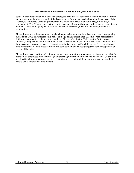# **507 Prevention of Sexual Misconduct and/or Child Abuse**

Sexual misconduct and/or child abuse by employees or volunteers at any time, including but not limited to, time spent performing the work of the Diocese or performing any activities under the auspices of the Diocese, is contrary to Christian principles and is outside the scope of any authority, duties and/or employment. The Diocese reserves the right to suspend, with or without pay, individuals accused of such conduct. Those found guilty will be subject to disciplinary action, up to and including, immediate termination.

All employees and volunteers must comply with applicable state and local laws with regard to reporting incidents of actual or suspected child abuse or illegal sexual misconduct. All employees, regardless of duties, are required to read and comply with the Diocese of Arlington "Policy on the Protection of Children/Young People and Prevention of Sexual Misconduct and/or Child Abuse," which contains the form necessary to report a suspected case of sexual misconduct and/or child abuse. It is a condition of employment that all employees complete and send to the Bishop's designee(s) the acknowledgement of receipt of the policy.

All employees as a condition of their employment must submit to supplemental background check(s). In addition, all employees must, within 45 days after beginning their employment, attend VIRTUS training, an educational program on preventing, recognizing and reporting child abuse and sexual misconduct. This is also a condition of employment.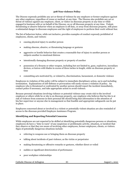# **508 Non-violence Policy**

The Diocese expressly prohibits any act or threat of violence by any employee or former employee against any other employee, regardless of venue or method, at any time. The Diocese also prohibits any act or threat of violence against any employee, client, or visitor on diocesan property at any time or while engaged in business with or on behalf of the Diocese, on or off diocesan property at any time. Violent, threatening or abusive behavior when an employee is off duty, or away from diocesan property, still poses a substantial danger to diocesan employees and the right of employees to perform their work without fear.

The list of behaviors below, while not inclusive, provides examples of conduct expressly prohibited of employees, clients, and visitors:

- causing physical injury to another person
- making obscene, abusive, or threatening language or gestures
- aggressive or hostile behavior that creates a reasonable fear of injury to another person or subjects another to emotional distress
- intentionally damaging diocesan property or property of another
- possession of a firearm or other weapon, including but not limited to, guns, explosives, incendiary devices, or knives with blades in excess of three inches in length, while on diocesan property or time
- committing acts motivated by, or related to, discrimination, harassment, or domestic violence

Employees in violation of this policy will be subject to immediate disciplinary action, up to and including termination. Explanations of self-defense or provocation will rarely excuse a violation of policy. An employee who is threatened or confronted by another person should report the incident immediately, contact police if necessary, and take appropriate action to avoid violence.

Because personal situations involving violence or potential violence may create risk to the involved employee or others while he or she is on diocesan property, any employee who believes that he/she is at risk of violence from someone in their personal life should bring that information to the attention of his/her supervisor or anyone else in management so that feasible and appropriate safeguards can be put in place.

Employees concerned about or involved in a violent or potentially violent situation are also reminded of access to the diocesan provided Employee Assistance Program.

## **Identifying and Reporting Potential Concerns**

While employees are not expected to be skilled at identifying potentially dangerous persons or situations, employees do have a "duty to warn" of any suspicious or problematic activity, situation, or incident that they observe or that they are aware of involving other employees, former employees, clients, or visitors. Signs of potentially dangerous situations include:

- referring to weapons use or bringing them on diocesan property
- talking about incidents of past violence, as the victim or perpetrator
- making threatening or offensive remarks or gestures, whether direct or veiled
- sudden or significant deterioration of performance
- poor workplace relationships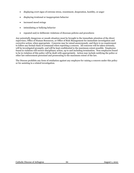- displaying overt signs of extreme stress, resentment, desperation, hostility, or anger
- displaying irrational or inappropriate behavior
- increased mood swings
- intimidating or bullying behavior
- repeated and/or deliberate violations of diocesan policies and procedures

Any potentially dangerous or unsafe situation must be brought to the immediate attention of the direct supervisor, Office of Human Resources, or Office of Risk Management for immediate investigation and corrective action, when appropriate. Concerns may be raised anonymously, and there is no requirement to follow any formal chain of command when reporting a concern. All concerns will be taken seriously, will be investigated promptly, and will be kept confidential to the maximum extent possible. Employees found in violation will receive disciplinary action, up to and including termination. Non-employees found to be in violation of this policy will be dealt with appropriately. Action may include notifying the police or other law enforcement personnel and prosecuting to the maximum extent of the law.

The Diocese prohibits any form of retaliation against any employee for raising a concern under this policy or for assisting in a related investigation.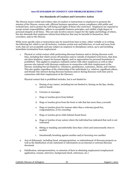#### **600 STANDARDS OF CONDUCT AND PROBLEM RESOLUTION**

## **601 Standards of Conduct and Corrective Action**

The Diocese issues verbal and written rules of conduct or instructions to employees to promote the mission of the Diocese, ensure safe, efficient business operations, ensure compliance with public and ecclesial laws, and to protect the well-being and rights of those who work here. Employees are expected to accept certain responsibilities, adhere to acceptable business principles, and exhibit a high degree of personal integrity at all times. This not only involves sincere respect for the rights and feelings of others, but also demands that employees refrain from behavior that may be harmful to themselves, their coworkers, and/or the Diocese.

While more specific rules or instructions may be issued from time to time, either verbally or in writing, the following list, which is not all-inclusive, contains certain acts and behaviors, at work and away from work, that are not acceptable and may subject an employee to disciplinary action, up to and including immediate termination from employment.

1. Physical or verbal contact while performing diocesan business and/or during diocesan work time, including that which occurs off-premises and/or outside of standard work hours, that does not show kindness, respect for human dignity, and/or appreciation for personal boundaries is prohibited. This applies to employee-initiated contact with other employees as well as other persons who interact with diocesan employees in connection with their employment at the Diocese, including but not limited to, volunteers, parishioners, customers, clients, and vendors. This also applies regardless of the relationship of the individuals (i.e. relatives, significant others, and friends who interact during diocesan business and/or during diocesan work time and in connection with their employment at the Diocese)**.** 

Physical contact that is prohibited includes, but is not limited to:

- a. Kissing of any nature, including but not limited to, kissing on the lips, cheeks, and/or hands
- b. Caresses or massages
- c. Hugs or touches given from behind
- d. Hugs or touches given from the front or side that last more than 3 seconds
- e. Hugs or touches given for reasons other than a welcome/good-bye, congratulations, or for consoling
- f. Hugs or touches given while behind closed doors
- g. Hugs or touches of any nature where the individual has indicated that such is not welcomed
- h. Sitting or standing uncomfortably (less than 2 feet) and unnecessarily close to another
- i. Intentionally brushing against another and/or hovering over another
- 2. Acts of dishonesty, including fraud, misappropriation, or embezzlement of diocesan property as well as the falsification of any statement or information on an internal or external diocesan document
- 3. Falsification, misrepresentation, or omission of facts in obtaining employment (employment application, resume, interview, background check, references, etc.)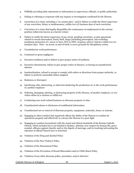- 4. Willfully providing false statements or information to supervisors, officials, or public authorities
- 5. Failing or refusing to cooperate with any inquiry or investigation conducted by the Diocese
- 6. Conviction of a crime, including a "no contest plea", and/or failure to notify the direct supervisor of any conviction, felony or misdemeanor, within two (2) business days of such conviction
- 7. Conviction of a crime that legally disqualifies the continuance of employment in the current position (otherwise known as a barrier crime)
- 8. Failure to notify the direct supervisor of any arrest, pending conviction, or plea agreement related to sexual misconduct, fraud, theft, drugs (including prescription, but excluding marijuana possession of 1 ounce or less), DUI or DWI, weapons, and/or violence within two (2) business days. Note: an arrest, in and of itself, is never grounds for disciplinary action.
- 9. Unsatisfactory work performance
- 10. Continued or gross negligence
- 11. Excessive tardiness and/or failure to give proper notice of tardiness
- 12. Excessive absenteeism, failure to give proper notice of absence, or having an unauthorized absence
- 13. Insubordination, refusal to accept or comply with orders or directions from proper authority, or failure to perform reasonable duties assigned
- 14. Rudeness or disrespect
- 15. Interfering with, obstructing, or otherwise hindering the production of, or the work performance of, another employee
- 16. Defacing, damaging, abusing, or destroying property of the Diocese, of another employee, or of a visitor either by a careless or willful act
- 17. Conducting non-work related business on diocesan property or time
- 18. Unauthorized release or disclosure of confidential information
- 19. Unauthorized use or removal of diocesan property, equipment, materials, items, or systems
- 20. Engaging in other conduct that negatively affects the ability of the Diocese to conduct its operations properly and effectively or conveys the Diocese in a poor light
- 21. Engaging in conduct inconsistent with the moral and ethical standards of the Roman Catholic Church, which includes but is not limited to idolatry, atheism, non-respect for human life, grave scandal, offenses against chastity and/or the dignity of marriage, and/or teaching/advocating the rejection of official Church laws or doctrines
- 22. Violation of the Drug and Alcohol Policy
- 23. Violation of the Non-Violence Policy
- 24. Violation of the Harassment Policy
- 25. Violation of the Prevention of Sexual Misconduct and/or Child Abuse Policy
- 26. Violation of any other diocesan policy, procedure, and/or directive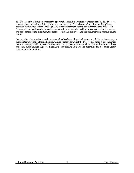The Diocese strives to take a progressive approach to disciplinary matters where possible. The Diocese, however, does not relinquish its right to exercise the "at will" provision and may impose disciplinary action or termination without the requirement for any formal warning or progressive discipline. The Diocese will use its discretion in arriving at a disciplinary decision, taking into consideration the nature and seriousness of the infraction, the past record of the employee, and the circumstances surrounding the matter.

In cases where immorality or serious misconduct has been alleged to have occurred, the employee may be immediately suspended from all duties, with or without pay, until the Diocese has made a determination that the charges provide no basis for further action, or, in cases where civil or criminal legal proceedings are commenced, until such proceedings have been finally adjudicated or determined in a court or agency of competent jurisdiction.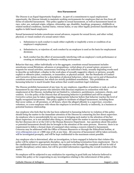#### **602 Harassment**

The Diocese is an Equal Opportunity Employer. As part of a commitment to equal employment opportunity, the Diocese intends to maintain working environments for employees that are free from all forms of unlawful harassment. This policy applies to sexual harassment, as well as harassment based on race, color, sex, national origin, religion, citizenship, age, disability, handicap, pregnancy, childbirth or related medical conditions, marital status, veteran status, or any other legally protected classification that applies to faith based employers.

Sexual harassment includes unwelcome sexual advances, requests for sexual favors, and other verbal, physical, or visual conduct of a sexual nature when:

- 1. Submission to such conduct is made either explicitly or implicitly a term or condition of an employee's employment.
- 2. Submission to, or rejection of, such conduct by an employee is used as the basis for employment decisions.
- 3. Such conduct has the effect of unreasonably interfering with an employee's work performance or creating an intimidating or offensive working environment.

Behavior that may, either individually or in the aggregate, constitute sexual harassment includes unwelcome sexual flirtations, advances or propositions, verbal abuse of a sexual nature, pressure or requests for sexual activities, unnecessary touching of an individual's body, sexually degrading words used to describe an individual, a display in the work place of sexually suggestive objects or pictures, sexually explicit or offensive jokes, comments, or innuendos, or physical assault. See the Standards of Conduct and Corrective Action section for a description of physical behaviors, which may not in and of themselves constitute sexual harassment, but which are strictly prohibited nonetheless. This prohibition on harassing behavior is much broader than actions that would constitute legal violations.

The Diocese prohibits harassment of any type, by any employee, regardless of position or rank, as well as harassment by any other person who interacts with diocesan employees in connection with their employment at the Diocese, including but not limited to, volunteers, parishioners, customers, clients, and vendors. It is the policy of the Diocese that all harassing behavior is prohibited and will be stopped. Corrective action may be taken regarding inappropriate behavior before that behavior reaches the level of legally recognized harassment. This policy applies to incidents of alleged harassment, including those that occur online, or off-premises, or off-hours, where the alleged offender is a supervisor, coworker, volunteer, or a non-employee with whom the employee is involved, directly or indirectly, in a business or potential business relationship.

Any employee who feels that he/she has been subjected to harassing behavior in violation of this policy should bring the matter to the immediate attention of the Diocese by contacting his/her direct supervisor. An employee who is uncomfortable for any reason in bringing such matter to the attention of his/her direct supervisor, or is not satisfied after doing so, should report the matter to anyone in management at his/her diocesan site or at the CAO or the Human Resource Department. Any questions about this policy or potential harassment should also be brought to the attention of the same persons. However, there is no requirement to follow a formal chain of command when raising a concern related to harassment. Concerns may be addressed with the Office of Human Resources or through the EthicsPoint hotline, at [www.ethicspoint.com](http://www.ethicspoint.com/) or 1-888-293-3718, at any time. All concerns of harassment will be taken seriously, will be investigated promptly, and will be kept confidential to the maximum extent possible.

Any employee who is determined, after an investigation, to have engaged in behavior that violates this policy will be subject to appropriate discipline, up to and including termination from employment. Due to the confidential nature of personnel actions, the employee who brought the complaint will not be told of specific disciplinary action taken, but will be provided information regarding the overall resolution of the matter.

No employee will be subjected to any retaliation for reporting in good faith any behavior believed to violate this policy or for cooperating in any investigation relating to the enforcement of this policy.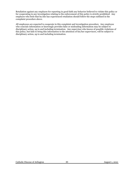Retaliation against any employee for reporting in good faith any behavior believed to violate this policy or for cooperating in any investigation relating to the enforcement of this policy is strictly prohibited. Any employee who feels that he/she has experienced retaliation should follow the steps outlined in the complaint procedure above.

All employees are expected to cooperate in this complaint and investigation procedure. Any employee who conceals information or knowingly provides false or misleading information may be subject to disciplinary action, up to and including termination. Any supervisor who knows of possible violations of this policy, but fails to bring this information to the attention of his/her supervisors, will be subject to disciplinary action, up to and including termination.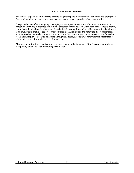## **603 Attendance Standards**

The Diocese expects all employees to assume diligent responsibility for their attendance and promptness. Punctuality and regular attendance are essential to the proper operation of any organization.

Except in the case of an emergency, an employee, exempt or non-exempt, who must be absent on a scheduled work-day is expected to notify the direct supervisor as soon as the need for absence is known, but no later than ½ hour in advance of the scheduled starting time and provide a reason for the absence. If an employee is unable to report to work on time, he/she is expected to notify the direct supervisor as soon as possible, but no later than the scheduled starting time and provide an expected time for arrival to work. If an employee needs to be absent during work hours, he/she must notify his/her supervisor of his/her departure time and expected time of return.

Absenteeism or tardiness that is unexcused or excessive in the judgment of the Diocese is grounds for disciplinary action, up to and including termination.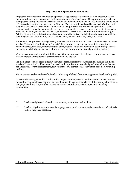### **604 Dress and Appearance Standards**

Employees are expected to maintain an appropriate appearance that is business-like, modest, neat and clean, as well as safe, as determined by the requirements of the work area. The appearance and behavior of employees during the normal work day, and in all employment related activities, including online, must reflect positively on the employee and the Diocese. Extremes of dress should be avoided. Clothing, hair length or style, jewelry, or any other items deemed inappropriate or unsafe will be prohibited. Good personal hygiene must be maintained at all times. Hair should be clean, combed, and neatly trimmed or arranged, including sideburns, mustaches, and beards. In accordance with the Virginia Human Rights Act, the Diocese does not discriminate because of or on the basis of traits historically associated with race, including hair type, hair texture, and protective hairstyles such as braids, locks, and twists.

For women, inappropriate dress generally includes, but is not limited to: casual sandals such as flip-flops, sneakers\*\*, tee shirts\*, athletic wear\*, shorts\*, Capri/cropped pants above the calf, leggings, jeans, spaghetti straps, tank tops, extremely tight clothes, clothes that do not adequately cover undergarments, extremely short skirts, low-cut shirts, low-cut trousers, or any other extremely revealing clothing.

Women may wear modest and tasteful jewelry. Women may wear pierced jewelry only in ears and may wear no more than two items of pierced jewelry in any one ear.

For men, inappropriate dress generally includes but is not limited to: casual sandals such as flip- flops, sneakers\*\*, tee shirts\*, athletic wear\*, shorts\*, tank tops, jeans, extremely tight clothes, clothes that do not adequately cover undergarments, low-cut shirts, low-cut trousers, or any other extremely revealing clothing.

Men may wear modest and tasteful jewelry. Men are prohibited from wearing pierced jewelry of any kind.

Diocesan site management has the discretion to approve exceptions to the dress code, but also reserves the right to send employees home on leave without pay to change their clothes if they come to the office in inappropriate dress. Repeat offenses may be subject to disciplinary action, up to and including termination.

- \* Coaches and physical education teachers may wear these clothing items.
- \*\* Coaches, physical education teachers, playground monitors, extended day teachers, and cafeteria workers may wear sneakers.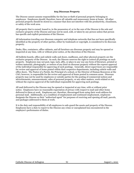## **605 Diocesan Property**

The Diocese cannot assume responsibility for the loss or theft of personal property belonging to employees. Employees should, therefore, leave all valuable and unnecessary items at home. All other personal property should be stored in a manner that does not interfere with the productivity, cleanliness, or safety of the work area.

All property that is owned, leased to, in the possession of, or in the care of the Diocese is the sole and exclusive property of the Diocese and may not be used, sold, or taken by any person unless that person has specific and explicit permission of the Diocese.

All information traveling over diocesan computer and telephone networks that has not been specifically identified as the property of other parties, either by trademark or copyright, is considered to be diocesan property.

Desks, files, containers, office cabinets, and all furniture are diocesan property and may be opened or inspected at any time, with or without prior notice, at the discretion of the Diocese.

All bulletin boards, office and cubicle walls and doors, mailboxes, and other physical property are the exclusive property of the Diocese. As such, the Diocese reserves the right to control all postings on such property. Employees may not post, tape, tack, affix, or place in any way any form of literature, printed or written materials, photographs, or notices of any kind on diocesan property without the express approval of the individual responsible for approving of such postings. Generally, direct supervisors are responsible for review and approval of items posted within their respective departments, including cubicle walls and office doors. The Pastor of a Parish, the Principal of a school, or the Director of Human Resources at the CAO, however, is responsible for the review and approval of items posted in common areas. Diocesan property may not be used by employees or outside parties for the posting of commercial notices and advertisements, announcements, sales of personal property, or any other matters, work-related or not, without the express approval of the individual responsible for approving such postings.

All mail delivered to the Diocese may be opened or inspected at any time, with or without prior notice. Employees have no reasonable expectation of privacy with respect to mail and other items delivered to them at work. Employees are, therefore, discouraged from using their work address for personal mail. Additionally, as a condition of employment and continued employment, employees designate the Diocese as their "authorized agent" for purposes of receiving and opening all mail, parcels, and packages addressed to them at work.

It is the duty and responsibility of all employees to safe-guard the assets and property of the Diocese. Employees have a duty to report to the Diocese any crime or unexplained loss encountered in the employee's performance of duties.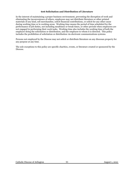#### **606 Solicitation and Distribution of Literature**

In the interest of maintaining a proper business environment, preventing the disruption of work and eliminating the inconvenience of others, employees may not distribute literature or other printed materials of any kind, sell merchandise, solicit financial contributions, or solicit for any other cause during working time or in working areas. Working time means the period of time scheduled for the performance of job duties, not including mealtimes or break times, or other periods when employees are not engaged in performing their work tasks. Working time also includes the working time of both the employee doing the solicitation or distribution, and the employee to whom it is directed. This policy includes the prohibition of solicitation or distribution via electronic communications systems.

Persons not employed by the Diocese may not solicit or distribute literature on any diocesan property for any purpose at any time.

The sole exceptions to this policy are specific charities, events, or literature created or sponsored by the Diocese.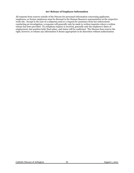#### **607 Release of Employee Information**

All requests from sources outside of the Diocese for personnel information concerning applicants, employees, or former employees must be directed to the Human Resource representative at the respective work-site. Except in the case of a subpoena and/or a request for assistance from law enforcement conducting an investigation, a response will generally only be made to written inquiries where a written release has been provided. If a telephone inquiry is received, generally only the employee's dates of employment, last position held, final salary, and status will be confirmed. The Diocese does reserve the right, however, to release any information it deems appropriate in its discretion without authorization.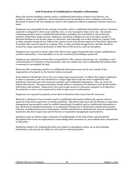## **608 Protection of Confidential or Sensitive Information**

Many jobs involve handling sensitive and/or confidential information related to the Diocese, our members, and/or our employees. Such information must be handled in strict confidence and not be discussed or shared with non-employees and/or with employees without a legitimate business reason to know.

Employees are responsible for the security of sensitive and/or confidential information and are, therefore, expected to safeguard it when in use and file, store, or save it properly when not in use. Documents containing sensitive and/or confidential information, including, but not limited to Social Security numbers, birth dates, bank accounts, addresses, and phone numbers are not to be taken outside of diocesan facilities in any format, paper or electronic, and especially not as files loaded on a laptop, PDA, or other portable storage device without the express review and advance approval of the direct supervisor. If sensitive files must be placed on a laptop, PDA, or other portable storage device, the files should be secured by using a password protection or other form of file security, such as encryption.

Employees are expected to shred, rather than throw away, paper documents that contain confidential or sensitive information. Cross shredders or on-site commercial shredding is preferred.

Employees are expected to ensure that correspondence, files, reports, documents, etc., including e-mail communications to internal or external parties, does not contain any more confidential information than is necessary to accomplish the task.

Electronic files containing sensitive or confidential information must not be sent outside of the organization or be placed on the Internet unless encrypted.

Each employee should have his or her own unique login and password. In offices that require employees to share a computer, each user should have a unique login that tracks the work completed by that individual. Passwords are to be treated as sensitive and confidential information. They are not to be shared with anyone. The password policy should enforce a minimum of 8 characters and should include both letters and numbers. Supervisors who need to gain access to a diocesan computer or its data have the authority to reset a user's password in order to gain access to information.

Employees are expected to properly secure their workstation when away from the work area.

Removal or disclosure of any sensitive and/or confidential information without the express advance approval of the direct supervisor is strictly prohibited. The direct supervisor and IS Director or equivalent management representative must be notified immediately if sensitive and/or confidential information is lost, disclosed to unauthorized parties, or is suspected of being lost or disclosed to unauthorized parties. Likewise, unauthorized access to information, whether intentional or unintentional, must be immediately reported to the direct supervisor and IS Director or equivalent management representative.

Employees may be asked to sign a statement of confidentiality at the time of hire and periodically throughout their terms of employment to acknowledge their awareness of, and reaffirm their commitment to this policy.

Employees found to be violating this policy are subject to disciplinary action, up to and including termination, and may also be subject to civil and/or criminal penalties.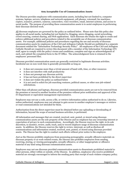### **609 Acceptable Use of Communication Assets**

The Diocese provides employees with communication assets, including but not limited to, computer systems, laptops, servers, telephone and network equipment, cell phones, voicemail, fax machines, copiers, scanners, printers, cameras, camcorders, voice recorders, email, internet systems, and access to social media. The purpose of providing these communication assets is to assist employees in performing their diocesan-directed work.

All diocesan employees are governed by the policy as outlined below. Please note that this policy also applies to all social media, including but not limited to, blogging, micro-blogging, social networking, crowd sourcing, content sharing, and Web applications. Each diocesan site retains the right to create and enforce additional policies and procedures related to the acceptable use of diocesan communication assets. For example, additional policies and procedures regarding the use and security of diocesan communication assets by employees of the CAO and Arlington Catholic Herald are published in a separate document entitled the "Information Technology Security Policy". All employees of the CAO and Arlington Catholic Herald are required to review this document with a member of the Information Technology (IT) staff, agree to comply with the policy's terms and conditions, complete and sign an acknowledgment of such, and submit the completed form to the IT Office. The acknowledgment form is retained in the employees' personnel files.

Diocesan provided communication assets are generally restricted to legitimate diocesan activities. Incidental use on non-work time is generally permissible as long as:

- it does not consume more than a trivial amount of band-with, time, or other resources
- it does not interfere with staff productivity
- it does not preempt any diocesan activity
- it has not been prohibited by the direct supervisor
- it does not violate the policy as outlined below
- it is not used to solicit for job searching ventures, political causes, or other non-job-related solicitations.

Other than cell phones and laptops, diocesan provided communication assets are not to be removed from the premises or moved to another location of the premises without prior notification and approval of the IT Department or equivalent management representative.

Employees may not use a code, access a file, or retrieve information unless authorized to do so. Likewise, unless authorized, employees may not attempt to gain access to another employee's messages or retrieve or read communications not intended for them.

Authorization from the direct supervisor must be obtained before any uploading or downloading of information, beyond the scope of normal business activities, is performed.

All information and messages that are created, received, sent, posted, or stored using diocesan communication assets are the sole property of the Diocese and no employee has any ownership interest or expectation of privacy in such communications. Accordingly, the Diocese reserves the right, in its sole discretion, to monitor, review, audit, track, and/or record employee usage of diocesan communication assets. In addition, the Diocese reserves the right to review, intercept, as well as disclose all communications and information created, received, sent, posted, or stored using diocesan provided assets. The Diocese has the right to conduct such efforts without prior notice to the employee.

Just as the Diocese prohibits employees from possessing pornographic, sexually offensive materials on diocesan property or at work-related events, the Diocese also prohibits employees from sending, receiving, storing, or viewing pornographic, sexually offensive, or other inappropriate or offensive material of any kind using diocesan communication assets.

Employees may not use diocesan provided communication assets to disseminate prohibited material to other persons, either within or outside, of the Diocese. In addition, employees who receive prohibited material are strongly encouraged to inform the sending party that receipt of such violates company policy.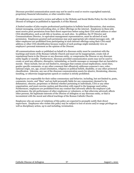Diocesan provided communication assets may not be used to send or receive copyrighted material, proprietary financial information, or other sensitive data.

All employees are expected to review and adhere to the Website and Social Media Policy for the Catholic Diocese of Arlington as published in Appendix A of this Manual.

A limited number of jobs require professional participation in bulletin board discussions, chat sessions, instant messaging, social networking sites, or other offerings on the internet. Employees in these jobs must receive prior permission from their direct supervisor before using their CDA email address or other CDA identification, such as job title or location, on such sites. In addition, the IT Director and Communications Director, or equivalent management representatives, must be advised of such permission. Employees granted such permission may post appropriate job-related messages only. All other employees are prohibited from participating in such internet offerings using their CDA email address or other CDA identification because readers of such postings might mistakenly view an employee's personal statement as the opinion of the Diocese.

All communications made or published on behalf of a diocesan entity must be consistent with the teachings and tenets of the Roman Catholic Church and must not be inappropriate, create risk of reputational harm to the Diocese or any diocesan entity, or compromise the Diocese or any diocesan entity legally or morally. Furthermore, diocesan provided communication assets may not be used to create or send any offensive, disruptive, intimidating, or hostile messages or messages that are harmful to morale. These include, but are not limited to, messages that contain sexual implications, racial slurs, gender specific comments, or any other comment that offensively addresses someone's race, color, national origin, sex, age, sexual orientation, religious or political beliefs, disability, or any other protected classification. Likewise, any use of the diocesan communication assets for abusive, threatening, obscene, insulting, or otherwise inappropriate speech or conduct is strictly prohibited.

Employees are responsible for their online commentary and behavior, including, but not limited to, posts, comments, tweets, and "likes" and are held personally liable for any commentary deemed to be defamatory, obscene, proprietary or libelous whether pertaining to individuals, CDA or any other organization, and must exercise caution and discretion with regard to the language used online. Furthermore, employees are prohibited from any conduct that adversely affects the employee's job performance, the job performance of other employees or volunteers, or that otherwise adversely affects other persons, the legitimate interests of the Diocese of Arlington or any diocesan entity, or that is inconsistent with the moral and ethical teachings of the Roman Catholic Church.

Employees who are aware of violations of this policy are expected to promptly notify their direct supervisors. Employees who violate this policy may be subject to loss of access and/or usage privileges as well as disciplinary action, up to and including, termination.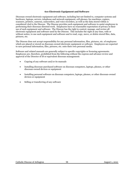## **610 Electronic Equipment and Software**

Diocesan-owned electronic equipment and software, including but not limited to, computer systems and hardware, laptops, servers, telephone and network equipment, cell phones, fax machines, copiers, scanners, printers, cameras, camcorders, and voice recorders, as well as the data stored within is considered vital to the Diocese. The Diocese provides such equipment and software to assist employees in performing their diocesan-directed work. Employees have no reasonable expectation of privacy in their use of such equipment and software. The Diocese has the right to control, manage, and review all electronic equipment and software used by the Diocese. This includes the right at any time, with or without notice, to use such equipment and software and to read, copy, move, or delete stored files, data, pictures, etc.

The Diocese does not accept responsibility for any personal information, files, pictures, etc. of employees which are placed or stored on diocesan-owned electronic equipment or software. Employees are expected to save personal information, files, pictures, etc. onto their own personal media.

Software and related manuals are generally subject to specific copyrights or licensing agreements. Employees are, therefore, prohibited from the following without the express and advance review and approval of the Director of IS or equivalent diocesan management:

- Copying of any software and/or its manuals
- Installing diocesan-purchased software on diocesan computers, laptops, phones, or other diocesan-owned devices or equipment
- Installing personal software on diocesan computers, laptops, phones, or other diocesan-owned devices or equipment
- Selling or transferring of any software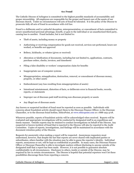#### **611 Fraud**

The Catholic Diocese of Arlington is committed to the highest possible standards of accountability and proper stewardship. All employees are responsible for the proper and honest care of the assets of our diocesan church. Under no circumstances will acts of fraud be tolerated. It is the policy of the Diocese to prosecute fully all acts of fraud in accordance with civil law.

Fraud is a deliberate and/or unlawful deception, misrepresentation, or concealment of facts committed to secure unauthorized personal advantage, benefit, or gain to the individual or an unauthorized third party, causing loss to another. Fraud includes, but is not limited to:

- Theft of assets, including money or property
- Authorizing or receiving compensation for goods not received, services not performed, hours not worked, or benefits not approved
- Bribery, kickbacks, or rebates (given or received)
- Alteration or falsification of documents, including but not limited to, applications, contracts, purchase orders, checks, invoices, and timesheets
- Filing a false disability or workers' compensation claim for benefits
- Inappropriate use of computer systems
- Misappropriation, misapplication, destruction, removal, or concealment of diocesan money, property, or other assets
- Embezzlement (any loss resulting from misappropriation of assets)
- Intentional misstatement, distortion of facts, or deliberate error in financial books, records, reports, or statements
- Improper use of diocesan-paid staff involving non-diocesan property or assets
- Any illegal use of diocesan assets

Any known or suspected incident of fraud must be reported as soon as possible. Individuals with concerns about fraudulent activity should report them to the Diocesan Finance Officer, to the Diocesan Chancellor, or to the diocesan fraud hotline, EthicsPoint, a[t www.ethicspoint.com](http://www.ethicspoint.com/) or 1-888-293-3718.

Whenever possible, reports of fraudulent activity will be acknowledged when received. Reports will be evaluated and appropriate investigations will be conducted by designated staff in an expeditious and timely manner. Outside experts may be retained to conduct investigations on behalf of the Diocese. Any suspected or known incident of fraud that is reported to the Diocese will also be reported to the Audit Committee. Copies of reports, investigations, and findings will be maintained in accordance with the document retention policy of the Diocese.

Requests for anonymity when making a report will be respected. Anonymous requesters must understand, however, that despite the fact that reports are never shared with implicated parties or subordinates, others familiar with the situation may be able to guess the reporter's identity. Individual reports, anonymous or not, will be kept as confidential as possible. In many cases, the Diocesan Finance Officer or Diocesan Chancellor is able to investigate matters without disclosing to anyone outside of the designated staff that a report has been made. However, it is not possible to guarantee absolute confidentiality in all circumstances. Disclosure to others, inside or outside of the Diocese, may be required by law in certain circumstances. The Diocese is hopeful that potential reporters won't let these possibilities discourage them from reporting a concern.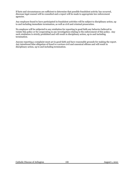If facts and circumstances are sufficient to determine that possible fraudulent activity has occurred, diocesan legal counsel will be consulted and a report will be made to appropriate law enforcement agencies.

Any employee found to have participated in fraudulent activities will be subject to disciplinary action, up to and including immediate termination, as well as civil and criminal prosecution.

No employee will be subjected to any retaliation for reporting in good faith any behavior believed to violate this policy or for cooperating in any investigation relating to the enforcement of this policy. Any such retaliation is strictly prohibited and will result in disciplinary action, up to and including termination.

Anyone reporting a complaint must act in good faith and have reasonable grounds for making the report. Any intentional false allegation of fraud is a serious civil and canonical offense and will result in disciplinary action, up to and including termination.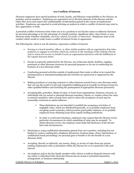# **612 Conflicts of Interest**

Diocesan employees have special positions of trust, loyalty, and fiduciary responsibility to the Diocese, its parishes, and its members. Employees are expected to act in the best interests of the Diocese and the entity they serve and respect the confidentiality of information gained in the course of employment activities. Employees are expected to avoid advising on matters in which a conflict of interest may exist in fact, appearance, or both.

A potential conflict of interest exists when one is in a position to use his/her status to influence decisions for personal advantage or for the advantage of a family member, significant other, close friend, or nondiocesan entity (whether charitable, advocacy related, for profit, or otherwise). Employees must avoid conduct which would or could create a conflict of interest in fact or appearance.

The following list, which is not all-inclusive, represents conflicts of interest:

- Serving as a board member, officer, or other similar position with an organization that takes positions or engages in activities which are contrary to the teachings of the Catholic Church and/or where the service on behalf of such an organization interferes with the fulfillment of the regular diocesan duties
- Except as expressly authorized by the Diocese, use of diocesan funds, facilities, supplies, personnel or other diocesan resources for personal purposes or for use in conducting the business of a non-diocesan entity
- Conducting personal activities outside of employment that create or allow to be created the misimpression or misunderstanding that the activities are sponsored or supported by the Diocese
- Making purchases or securing contracts or other business awards from a non-diocesan entity that was not the result of a fair and competitive bidding process (usually involving at least two other qualified bidders and including the participation of appropriate diocesan personnel)
- Accepting gifts, gratuities, things of value, or loans from organizations, business concerns, or individuals who are actual or potential diocesan members, clients, or vendors where the value or annual cumulative value exceeds \$100 and/or where the acceptance of such may be reasonably construed as undue influence
	- These limitations are not intended to prohibit the acceptance of articles of negligible value, which are distributed generally, or to prohibit employees from accepting social courtesies, which promote good public relations, or to prohibit employees from obtaining loans from regular lending institutions.
	- In order to avoid such situations, employees may request that the Diocese review particular circumstances in which something of value may be accepted. To obtain diocesan review, the employee must make full disclosure of all relevant facts and circumstances.
- Disclosing or using confidential information gained from one's position, including but not limited to, rosters, mailing lists, telephone directories, business plans, donor information, or confidential board proceedings, for personal gain or benefit or for the benefit of a nondiocesan entity
- Accepting, directly or indirectly, any money, thing, or service of value from any person seeking employment with or promotion within the Diocese for or in connection with such interest
- An employee and/or his/her family member with a direct or indirect financial interest with any entity or individual with whom the Diocese has an actual or potential transaction, arrangement, or business relationship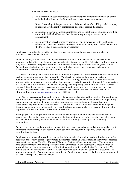Financial interest includes:

a. An ownership, investment interest, or personal business relationship with an entity or individual with whom the Diocese has a transaction or arrangement

Note: Ownership of five percent or less of the securities of a publicly traded company is not considered a conflict of interest and does not require disclosure.

- b. A potential ownership, investment interest, or personal business relationship with an entity or individual with whom the Diocese is negotiating a transaction or arrangement
- c. A compensation (direct or indirect remuneration) arrangement with the Diocese, other than that earned as salary or wages, or with any entity or individual with whom the Diocese has a transaction or arrangement

Employees have a duty to report to the Diocese any crime or unexplained loss encountered in the employees' performance of duties.

When an employee knows or reasonably believes that he/she is or may be involved in an actual or apparent conflict of interest, the employee has a duty to disclose the conflict. Likewise, employees have a duty to disclose actual or apparent conflicts of interest of which they are aware involving other employees. An employee who believes an actual or potential conflict of interest exists must not participate in discussions or decisions about the transaction in question.

Disclosure is normally made to the employee's immediate supervisor. Disclosure requires sufficient detail to allow a complete assessment of the conflict. The direct supervisor will evaluate the facts and circumstances of the disclosure. If a reasonable basis for a finding of conflict exists, the supervisor will attempt to find an alternate course of action that does not give rise to a conflict of interest. The supervisor will provide a written summary and conclusion, along with supporting documentation, to the Diocesan Finance Officer for review, any necessary additional investigation, and final recommendation. Any employee may choose to make a disclosure directly to the Diocesan Finance Officer or through the EthicsPoint hotline at [www.ethicspoint.com](http://www.ethicspoint.com/) or 1-888-293-3718.

If the Diocese has reasonable cause to believe that an employee has violated the Conflict of Interest policy as outlined above, the employee will be informed of the basis for such belief and afforded an opportunity to provide an explanation. If, after reviewing the employee's explanation and the results of any investigation required by the circumstances, it is determined that the employee has violated the policy, disciplinary action may be taken, up to and including termination as well as the repayment of gains, the imposition of fines, and/or civil or criminal prosecution.

No employee will be subjected to any retaliation for reporting in good faith any behavior believed to violate this policy or for cooperating in any investigation relating to the enforcement of this policy. Any such retaliation is strictly prohibited and will result in disciplinary action, up to and including termination.

Anyone reporting a complaint must act in good faith and have reasonable grounds for making the report. Any intentional false report or a report made in bad faith will result in disciplinary action, up to and including termination.

Employees and others with positions or roles that influence decision-making actions, involve purchasing decisions, and/or have access to proprietary information within a Parish, School, or the CAO are required to complete and sign a "Conflict of Interest Disclosure Statement" on an annual basis. This statement asks questions intended to reveal potential conflicts of interest. It also requires that these individuals acknowledge their awareness of, and reaffirm their commitment to the Conflict of Interest policy. The annual statements for employees of the CAO are submitted to the Bishop or other chief executive. The annual statements for Pastors are submitted with the Parish Annual Report. All other statements are kept on file at the respective parish or school.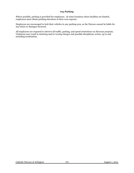# **613 Parking**

Where possible, parking is provided for employees. At some locations where facilities are limited, employees must obtain parking elsewhere at their own expense.

Employees are encouraged to lock their vehicles in any parking area, as the Diocese cannot be liable for any losses or damages incurred.

All employees are required to observe all traffic, parking, and speed restrictions on diocesan property. Violations may result in ticketing and/or towing charges and possible disciplinary action, up to and including termination.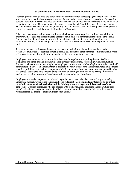#### **614 Phones and Other Handheld Communication Devices**

Diocesan provided cell phones and other handheld communication devices (pagers, BlackBerrys, etc.) of any type are intended for business purposes and for use in the course of normal operations. On occasion, personal calls from diocesan provided or employee owned cell phones may be necessary while on diocesan property and/or time. These personal calls, however, must be brief and infrequent. Excessive personal calls on diocesan property and/or time, including those made or received on the employee's own personal phone, are considered a violation of the Standards of Conduct.

Other than in emergency situations, employees who hold positions requiring continual availability to answer business calls are expected not to accept or make calls of a personal nature outside of the bonafide meal period. In addition, unauthorized long-distance calls on diocesan provided phones are prohibited. Employees must charge long-distance calls of a personal nature to a home phone or credit card.

To ensure the most professional image and service, and to limit the distractions to others in the workplace, employees are required to turn personal cell phones or other personal communication devices off or place them on vibrate/silent mode while on diocesan property and/or time.

Employees must adhere to all state and local laws and/or regulations regarding the use of cellular telephones and other handheld communication devices while driving. Accordingly, while conducting diocesan business or during working hours, employees must not use cellular telephones or other handheld communication devices in a manner that is prohibited by law. Please note that several states have enacted laws that prohibit use of a cellular telephone while driving unless the driver uses a state-approved handsfree device. States also have enacted laws prohibited all texting or emailing while driving. Employees working or traveling in states with such restrictions must adhere to these laws.

Employees are neither expected nor allowed to put business needs ahead of personal or public safety. Employees must always exercise caution and good judgment. **Use of a cellular telephone or other handheld communication devices while driving is not an expected job function of any employee.** Further, employees who are charged with traffic violations including those resulting from use of their cellular telephone or other handheld communication devices while driving, will be solely responsible for all liabilities that result from such actions.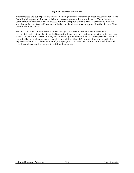#### **615 Contact with the Media**

Media releases and public press statements, including diocesan-sponsored publications, should reflect the Catholic philosophy and diocesan policies in character, presentation and substance. The Arlington Catholic Herald has its own review process. With the exception of media releases designed to publicize school or parish events or achievements, all other media releases must be approved by the diocesan Chief Communications Officer.

The diocesan Chief Communications Officer must give permission for media reporters and/or representatives to visit any facility of the Diocese for the purpose of reporting on activities or to interview or film persons at the Diocese. Employees contacted by a member of the media are expected to inform the requester that all media requests are handled through the Office of Communications and provide the requester with the CAO phone number of 703-841-2500. The Office of Communications will then work with the employee and the reporter in fulfilling the request.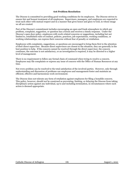#### **616 Problem Resolution**

The Diocese is committed to providing good working conditions for its employees. The Diocese strives to ensure fair and honest treatment of all employees. Supervisors, managers, and employees are expected to treat each other with mutual respect and in a manner that gives honor and glory to God, in whose image we all are created.

Part of the Diocese's commitment includes encouraging an open and frank atmosphere in which any problem, complaint, suggestion, or question has a forum and receives a timely response. Under the Diocese's open door policy, employees with work-related concerns or suggestions, including but not limited to, established rules of conduct, policies, practices, job expectations, working conditions, or working relationships, can express their concerns without fear of penalty or retaliation.

Employees with complaints, suggestions, or questions are encouraged to bring them first to the attention of their direct supervisor. Because direct supervisors are closest to the situation, they are generally in the best position to help. If the concern cannot be resolved through the direct supervisor, the concern continues, the outcome is not satisfactory, or an investigation is required, it may be directed to a higher level of management.

There is no requirement to follow any formal chain of command when trying to resolve a concern. Employees may file complaints or express any issue of concern with the Office of Human Resources at any time.

Not every problem can be resolved to the total satisfaction of the involved parties. However, only through understanding and discussion of problems can employees and management foster and maintain an efficient, effective and harmonious work environment.

The Diocese does not tolerate any form of retaliation against employees for filing a bonafide concern. This policy, however, should not be construed as preventing, limiting, or delaying the Diocese from taking disciplinary action against any individual, up to and including termination, in circumstances where such action is deemed appropriate.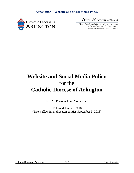

Office of Communications

200 North Glebe Road, Suite 914 . Arlington, VA 22203 Office (703) 841-2505 • Fax (703) 524-5028 communications@arlingtondiocese.org

# **Website and Social Media Policy** for the **Catholic Diocese of Arlington**

For All Personnel and Volunteers

Released June 25, 2018 (Takes effect in all diocesan entities September 3, 2018)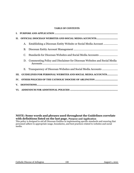#### **TABLE OF CONTENTS**

| П.   | OFFICIAL DIOCESAN WEBSITES AND SOCIAL MEDIA ACCOUNTS |                                                                         |  |  |
|------|------------------------------------------------------|-------------------------------------------------------------------------|--|--|
|      |                                                      |                                                                         |  |  |
|      | A.                                                   |                                                                         |  |  |
|      | В.                                                   |                                                                         |  |  |
|      | C.                                                   |                                                                         |  |  |
|      | D.                                                   | Commenting Policy and Disclaimer for Diocesan Websites and Social Media |  |  |
|      |                                                      |                                                                         |  |  |
| III. |                                                      | GUIDELINES FOR PERSONAL WEBSITES AND SOCIAL MEDIA ACCOUNTS              |  |  |
|      |                                                      |                                                                         |  |  |
|      |                                                      |                                                                         |  |  |
|      |                                                      |                                                                         |  |  |
|      |                                                      |                                                                         |  |  |

## **NOTE: Some words and phrases used throughout the Guidelines correlate with definitions listed on the last page. Purpose and Application**

This policy is designed to aid all Diocesan Entities in implementing specific standards and ensuring that personnel adhere to appropriate usage, boundaries, and best practices related to websites and social media.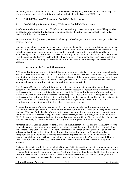All employees and volunteers of the Diocese must 1) review this policy 2) return the "Official Receipt" to his or her respective pastor/administrator, school principal, or the Diocesan HR Director.

#### **I. Official Diocesan Websites and Social Media Accounts**

#### **A. Establishing a Diocesan Entity Website or Social Media Account**

A website or social media account officially associated with any Diocesan Entity, or that will be published on behalf of any Diocesan Entity, shall not be established without the written approval of the entity's pastor/administrator or director.

An account's location (i.e. URL), name or handle may not be changed without the express approval of the pastor or director.

Personal email addresses must not be used in the creation of any Diocesan Entity website or social media account. Any email address used as a login credential to obtain administrative access to a Diocesan Entity website or social media account should be generated through a corporately-owned domain that is controlled by the Diocese or the respective Diocesan Entity. All accounts must be created and maintained with diocesan email addresses, preferably the office or ministry's main email address. This protects the sensitive information that may be received and affords the Diocesan Entity transparent access to the account.

#### **B. Diocesan Entity Account Management**

A Diocesan Entity must ensure that it establishes and maintains control over any website or social media account it creates or manages. The Diocese of Arlington or an appropriate entity controlled by the Diocese of Arlington must, whenever possible, be the registered owner of the domain. *Note:* In some cases, it may not be possible to obtain ownership over a website, such as a Diocesan Entity's Facebook page, because some social media organizations will insist on retaining ownership rights.

Only Diocesan Entity pastors/administrators and directors, appropriate information technology personnel, and account managers may have administrative access to a Diocesan Entity website or social media account or access to administrative login credentials. Diocesan Entity pastors/administrators and directors must retain administrative access to their respective Diocesan Entity's website(s) and social media account(s). In the event that a Diocesan Entity does not have adequate staff to meet its social media needs, a volunteer cleared through the Safe Environment Program may operate under the same conditions and responsibilities within this Policy as those of an employee.

Diocesan Entity pastors/administrators and directors must ensure that, acting alone or through information technology personnel, they can terminate the administrative access of any designated account manager. Diocesan Entity heads, information technology personnel, and account managers must ensure that login credentials are secured against unauthorized access, such as by storing them in an encrypted file. In the event that an account administrator ends employment with the Diocese, administrative access must be ensured by the respective Diocesan Entity and account passwords should change.

Any email address used as a login credential to obtain Administrative Access to a Diocesan Entity website or social media account should be generated through a corporately-owned domain that is controlled by the Diocese or the applicable Diocesan Entity. For instance, the email address should not be a Gmail or Yahoo email address—rather, it should be through @arlingtondiocese.org or @[parishname].org. Exceptions can be made for social media platforms that require a non-diocesan email address. For instance, YouTube requires a Gmail email address for the primary login to a YouTube account. However, the verification email address used in the creation of the account should be a Diocesan Entity email address.

Social media activity conducted on behalf of a Diocesan Entity in an official capacity should emanate from accounts issued and branded by the Diocese or a Diocesan Entity. For example, if Amy Smith works in the Diocesan Office of Youth, Campus, and Young Adult Ministries, she should use a Twitter handle similar to "@YouthDirectorCDA." This affords the Diocese ownership over the account and its content, and the account can be passed on to successive employees who serve in the role.

Catholic Diocese of Arlington 109 109 August 1, 2021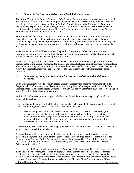#### **C. Standards for Diocesan Websites and Social Media Accounts**

The *Code of Conduct for Church Personnel of the Diocese of Arlington* applies to activity on social media and Diocesan Entity websites. All content published on behalf of a Diocesan Entity must be consistent with the teachings and tenets of the Roman Catholic Church, for which the Bishop of the Diocese of Arlington has responsibility and authority, and must not otherwise be inappropriate, create a risk of reputational harm to the Diocese or any Diocesan Entity, or compromise the Diocese or any Diocesan Entity legally or morally. Examples of Diocesan

Entity-published content this standard prohibits include, but are not limited to, content that would reasonably be considered dishonest, derogatory, sexually suggestive, sexually explicit, defamatory, fraudulent, degrading, malicious, disrespectful, or threatening. Personnel must maintain an appropriate, professional demeanor when communicating on or through a Diocesan Entity website or social media account.

Social media content should be monitored frequently. The Diocesan Office of Communications recommends monitoring website and social media accounts periodically over weekends and holidays to ensure immediate response to any inappropriate content.

When the primary administrator of the social media account is absent, either a supervisor or another administrator of the account must monitor the account. Individual site administrators are responsible for adequate monitoring and responding to content on their sites. Conflicts over posted content that are not resolved at the local ministry site are to be referred to the Diocesan Office of Communications for resolution.

#### **D. Commenting Policy and Disclaimer for Diocesan Websites and Social Media Accounts**

Every Diocesan Entity website or social media account that offers the ability to "comment" should be frequently checked to ensure that all comments are appropriate and in keeping with the standards for Diocesan websites and social media accounts set forth in this policy. Comments may be subject to deletion at the discretion of the Diocese or its entities.

Additionally, whenever commenting is available, a clearly visible "Commenting Policy" should be displayed if possible.

Note: Displaying the policy, or the full policy, may not always be possible. In cases where it is possible to post a Commenting Policy, here is a sample text that could be used:

Readers and patrons of this site are welcome to comment. Discussion is encouraged, but proper etiquette must be followed. Obscenities, spam, bashing, bullying, verbal abuse, insults, link solicitations, repetitive or fraudulent comments, and off-topic comments will be removed. It may be decided that comments will require approval prior to publication. We reserve the right to block a user at any time.

Diocesan Entity websites should clearly display a disclaimer that communicates, "Users of this website should have no expectation of privacy."

Diocesan Entity publications, social media sites, and similar websites or platforms that promote interactive dialogue should clarify that the conversation is not *intended* to represent the views of the Diocese or any Diocesan Entity. An example of such a disclaim could be, "The opinions expressed are those of the author/commenter and do not necessarily reflect the views of the Catholic Diocese of Arlington or its entities."

Catholic Diocese of Arlington 110 110 August 1, 2021 It is the responsibility of the administrator of the Diocesan Entity account and his or her supervisor to block and remove obscene, indecent or off-topic/irrelevant content as soon as possible. Content is considered indecent if it attacks a specific person or group of persons, uses expletives, or could be interpreted as insulting or inappropriate. When disputed, final determination of whether content should be removed is up to the Diocesan Entity supervisor or the Diocesan Chief Communications Officer.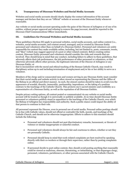#### **E. Transparency of Diocesan Websites and Social Media Accounts**

Websites and social media accounts should clearly display the contact information of the account manager and declare that they are an "Official" website or account of the Diocesan Entity whenever reasonable.

Any website or social media account operating under the guise of the Diocese of Arlington or of one of its entities, without proper approval and refusing to remove the page/account, should be reported to the Diocesan Chief Communications Officer immediately.

#### **III. Guidelines for Personal Websites and Social Media Accounts**

These guidelines (Section III) apply to personal websites, social media accounts, and online content (i.e., websites, social media accounts, and content owned, managed, and/or created by Diocesan Entity personnel and volunteers other than on behalf of a Diocesan Entity). Personnel and volunteers are solely responsible for content they make available online, including, but not limited to, posts, comments, tweets, and "likes" (which may suggest approval of a post or other related content). Before creating online content, Diocesan Entity personnel and volunteers should consider the risks and rewards that are involved. They should keep in mind that any conduct, including failure to adhere to these guidelines, that adversely affects their job performance, the job performance of other personnel or volunteers, or that otherwise adversely affects other persons, the legitimate interests of the Diocese of Arlington or any Diocesan Entity, or

that is inconsistent with the moral and ethical teaching of the Roman Catholic Church, may result in disciplinary action up to and including termination of employment and/or his or her ability to serve as a volunteer.

Members of the clergy and/or consecrated men and women serving in any Diocesan Entity must consider that their social media and website activity is often viewed as representing the Diocese and the Office of the Bishop in an official and direct manner. As such, the utmost caution should be taken to avoid even the appearance of scandal, disunity, immorality, partisanship, imprudence, or the taking of a position contrary to the teachings of the Catholic Church. This protects one's sacred ministry and credibility as a representative of a Diocesan Entity, as well as the reputation of all Diocesan Entities.

Despite privacy setting options, all content posted or communicated via any website or social media account will be treated as though it is universally or publicly available. At no time should Diocesan Entity personnel or volunteers publicly stand in opposition to the teachings of the Catholic Church, over which the Bishop of Arlington has responsibility and authority. Such a public stance could impact the ability of that person to continue in their role.

All personnel represent the Diocese, even in personal use of social media. Personal online postings should be in line with Catholic values, should not offend or contradict the faith, morals, and teachings of the Catholic Church, and should not be otherwise inappropriate. Efforts to adhere to this standard should include the following:

- Personnel and volunteers should not post discriminatory remarks, harassment, or threats of violence or similar inappropriate or unlawful conduct.
- Personnel and volunteers should always be fair and courteous to others, whether or not they are personally Catholic.
- Personnel should keep in mind that work-related complaints are best resolved by speaking directly with their co-workers or through their supervisor, rather than by posting complaints online.
- If personnel decide to post online content, they should avoid posting anything that reasonably could be viewed as malicious, obscene, threatening, or intimidating, or that disparages clergy, personnel, volunteers, parishioners, or other persons associated with the Catholic Church.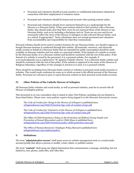- Personnel and volunteers should not post sensitive or confidential information obtained in connection with their employment or volunteer status.
- Personnel and volunteers should be honest and accurate when posting content online.
- Personnel and volunteers should never represent themselves as a spokespeople for the Diocese or a Diocesan Entity. If they post content related to their position with a Diocesan Entity, they should make clear that their views do not represent those of the Diocese or any Diocesan Entity, such as by including a disclaimer such as "Posts are my own and do not necessarily reflect the views of the Diocese of Arlington or [the relevant Diocese Entity, such as a school, if appropriate]." Such a disclaimer does not exempt personnel and volunteers from accountability and responsibility for what they communicate.

Personal websites should not be used to conduct business for any Diocesan Entity, nor should it appear as though diocesan business is conducted through that website. All materials, resources, and electronic media created on behalf of a Diocesan Entity that are intended for public consumption should be made available on diocesan websites and not solely on a personal website. If the domain of a website is owned by the Diocesan Entity, it is a diocesan website and should be consistent with the rest of this policy. If the domain of a website is owned by the personnel, it is a personal website. For example, if www.mylocalparish.com is registered to "St. Ignatius Catholic Church," it is a Diocesan Entity website and should be consistent with the rest of this policy. If the website is registered in the name of the Director of Religious Education, regardless of who manages it and how it is used, it is a personal website.

There should be no linking from Diocesan Entity content or websites to personal social media accounts or websites. This would create confusion for some as to which account is the official account of the Diocesan Entity. Personnel are welcome to post or repost diocesan content on their personal social media accounts.

### **IV. Other Policies of the Catholic Diocese of Arlington**

All Diocesan Entity websites and social media, as well as personal websites, must be in accord with all Diocese of Arlington policies.

This document in no way contradicts what is stated in other CDA Policies, including, but not limited to, those listed below. *Please note: some policies require being logged in to the Diocesan Intranet for access.*

The *Code of Conduct for Clergy in the Diocese of Arlington* is published here: [arlingtondiocese.org/Child-Protection/bgc-code-of-conduct-clergy.pdf](https://www.arlingtondiocese.org/Child-Protection/bgc-code-of-conduct-clergy.pdf)

The *Code of Conduct for Volunteers in the Diocese of Arlington* is published here: [arlingtondiocese.org/Child-Protection/bgc-code-of-conduct-laity.pdf](https://www.arlingtondiocese.org/Child-Protection/bgc-code-of-conduct-laity.pdf)

The Office of Child Protection's *Policy on the Protection of Children/Young People and Prevention of Sexual Misconduct and/or Child Abuse* is published here: [arlingtondiocese.org/Child-Protection/policy-child-protection-smca.pdf](https://www.arlingtondiocese.org/Child-Protection/policy-child-protection-smca.pdf)

The Office of Human Resources' *Employee Policy Manual* is published here: [arlingtondiocese.org/employeepolicy/](https://www.arlingtondiocese.org/employeepolicy/)

#### **V. Definitions**

The term "**administrative access**" shall mean access to website management tools or a social media account/profile that allows a person to modify, create, delete, or publish content.

The term "**content**" shall mean any digital information that communicates a message, including, but not limited to, text, photos, audio files, and video files.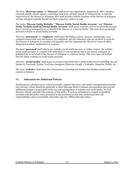The term "**diocesan entity**" or **"Diocese"** shall mean any organization, department, office, ministry, outreach, parish, school, agency, committee, task force, advisory board, or institution by, or with the supervision of, the Diocese of Arlington. This shall include Catholic Charities of the Diocese of Arlington and the Arlington Catholic Herald and their respective entities as well.

The terms "**Diocese Entity Website**," "**Diocese Entity Social Media Account**," and "**Diocese Entity Website [and/or] Social Media Account**" shall mean a website and/or social media account that is owned or managed by or on behalf of the Diocese or a Diocese Entity. This term does not include personal websites or social media accounts.

The term "**personnel**" or "**employee**" shall mean the bishop, priests, deacons, seminarians, nonordained consecrated men and women, lay employees, and lay volunteers who are involved in work for the Diocese of Arlington, its parishes and agencies and who represent the Church by virtue of office, designated position, employment or contract.

The term "**personal**" shall refer to any website, social media account, or online content, the website, social media account, or content of an individual or external group that is not owned, managed, or published by or on behalf of the Diocese of Arlington or a Diocese Entity. This term does not include Diocese Entity websites or social media accounts.

The term "**social media**" shall mean an account associated with a social media service including, but not limited to, Facebook, Twitter, YouTube, Instagram, Pinterest, Google +, LinkedIn, Snapchat, Reddit, etc.

The term "**website**" shall mean any web presence, including any website that displays social media content or features

#### **VI. Addendum for Additional Policies**

Parish pastors/administrators, school principals, regional directors, and similar management personnel may develop written directives particular to their Diocesan Entity's mission and operation that provide additional guidance to personnel in the use and management of websites and social media. No such directive should contradict the contents of this policy. If such an addendum is created, it should be included with this policy when presented to the personnel so that they understand their full responsibilities and accountability when they sign the "Official Receipt" below.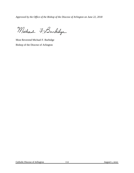*Approved by the Office of the Bishop of the Diocese of Arlington on June 22, 2018*

Michael 7, Burkidge

Most Reverend Michael F. Burbidge Bishop of the Diocese of Arlington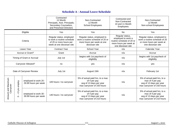# **Schedule A - Annual Leave Schedule**

|                                 |                                               |                                               | Contracted<br>12 Month<br>Principals, Asst. Principals,<br>Secondary Counselors,<br>and Preschool Directors    | Non-Contracted<br>12 Month<br>School Employees                                                                 | Contracted and<br>Non-Contracted<br>10 and 11 Month<br>Employees                                                  | Non-Contracted<br>12 Month<br>Non-school Employees                                                             |
|---------------------------------|-----------------------------------------------|-----------------------------------------------|----------------------------------------------------------------------------------------------------------------|----------------------------------------------------------------------------------------------------------------|-------------------------------------------------------------------------------------------------------------------|----------------------------------------------------------------------------------------------------------------|
|                                 |                                               | Eligible                                      | Yes                                                                                                            | Yes<br><b>No</b>                                                                                               |                                                                                                                   | Yes                                                                                                            |
| Criteria                        |                                               |                                               | Regular status, employed<br>to work a routine schedule<br>of 20 or more hours per<br>week at one diocesan site | Regular status, employed to<br>work a routine schedule of 20 or<br>more hours per week at one<br>diocesan site | Regular status,<br>employed to work a<br>routine schedule of 20 or<br>more hours per week at<br>one diocesan site | Regular status, employed to<br>work a routine schedule of 20<br>or more hours per week at<br>one diocesan site |
|                                 |                                               | Leave Year                                    | <b>Contract Year</b>                                                                                           | School Year                                                                                                    | Calendar Year<br>n/a                                                                                              |                                                                                                                |
| Accrue or Grant?                |                                               |                                               | Grant                                                                                                          | Accrue                                                                                                         | n/a                                                                                                               | Accrue                                                                                                         |
| Timing of Grant or Accrual      |                                               |                                               | July 1st                                                                                                       | begins with 1st paycheck of<br>eligibility                                                                     | n/a                                                                                                               | begins with 1st paycheck of<br>eligibility                                                                     |
| Carryover Allowed?              |                                               |                                               | no                                                                                                             | yes                                                                                                            | n/a                                                                                                               | yes                                                                                                            |
| Date of Carryover Review        |                                               |                                               | July 1st                                                                                                       | August 15th                                                                                                    | n/a                                                                                                               | February 1st                                                                                                   |
| Amount and Maximum<br>Carryover | employ<br>yrs<br>့<br>$\mathbf{L}$<br>$\circ$ | employed to work 20 -<br>29.99 hours per week | 100 hours / no carryover                                                                                       | 5% of actual paid hrs, to a max<br>of 4 per pay<br>avg of 13 days per year<br>max carryover of 150 hours       | n/a                                                                                                               | 5% of actual paid hrs, to a<br>max of 4 per pay<br>avg of 13 days per year<br>max carryover of 150 hours       |
|                                 |                                               | employed to work 30 -<br>39.99 hours per week | 140 hours / no carryover                                                                                       | 5% of actual paid hrs, to a max<br>of 4 per pay<br>avg of 13 days per year<br>max carryover of 210 hours       | n/a                                                                                                               | 5% of actual paid hrs, to a<br>max of 4 per pay<br>avg of 13 days per year<br>max carryover of 210 hours       |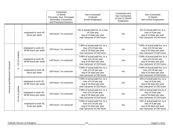|                              |                                                                   |                                               | Contracted<br>12 Month<br>Principals, Asst. Principals,<br>Secondary Counselors,<br>and Preschool Directors | Non-Contracted<br>12 Month<br><b>School Employees</b>                                                          | Contracted and<br>Non-Contracted<br>10 and 11 Month<br><b>Employees</b> | Non-Contracted<br>12 Month<br>Non-school Employees                                                             |
|------------------------------|-------------------------------------------------------------------|-----------------------------------------------|-------------------------------------------------------------------------------------------------------------|----------------------------------------------------------------------------------------------------------------|-------------------------------------------------------------------------|----------------------------------------------------------------------------------------------------------------|
|                              |                                                                   | employed to work 40<br>hours per week         | 160 hours / no carryover                                                                                    | 5% of actual paid hrs, to a max<br>of 4 per pay<br>avg of 13 days per year<br>max carryover of 240 hours       | n/a                                                                     | 5% of actual paid hrs, to a<br>max of 4 per pay<br>avg of 13 days per year<br>max carryover of 240 hours       |
| Amount and Maximum Carryover | yrs employ<br>Ю<br>$\overline{\mathbf{v}}$<br>$\blacksquare$<br>ო | employed to work 20 -<br>29.99 hours per week | 100 hours / no carryover                                                                                    | 7.69% of actual paid hrs, to a<br>max of 6.16 per pay<br>avg of 20 days per year<br>max carryover of 150 hours | n/a                                                                     | 7.69% of actual paid hrs, to a<br>max of 6.16 per pay<br>avg of 20 days per year<br>max carryover of 150 hours |
|                              |                                                                   | employed to work 30 -<br>39.99 hours per week | 140 hours / no carryover                                                                                    | 7.69% of actual paid hrs, to a<br>max of 6.16 per pay<br>avg of 20 days per year<br>max carryover of 210 hours | n/a                                                                     | 7.69% of actual paid hrs, to a<br>max of 6.16 per pay<br>avg of 20 days per year<br>max carryover of 210 hours |
|                              |                                                                   | employed to work 40<br>hours per week         | 160 hours / no carryover                                                                                    | 7.69% of actual paid hrs, to a<br>max of 6.16 per pay<br>avg of 20 days per year<br>max carryover of 240 hours | n/a                                                                     | 7.69% of actual paid hrs, to a<br>max of 6.16 per pay<br>avg of 20 days per year<br>max carryover of 240 hours |
|                              | greater<br>ŏ<br>yrs<br>Ю<br>$\overline{ }$                        | employed to work 20 -<br>29.99 hours per week | 100 hours / no carryover                                                                                    | 7.69% of actual paid hrs, to a<br>max of 6.16 per pay<br>avg of 20 days per year<br>max carryover of 150 hours | n/a                                                                     | 10% of actual paid hrs, to a<br>max of 8 per pay<br>avg of 26 days per year<br>max carryover of 150 hours      |
|                              |                                                                   | employed to work 30 -<br>39.99 hours per week | 140 hours / no carryover                                                                                    | 7.69% of actual paid hrs, to a<br>max of 6.16 per pay<br>avg of 20 days per year<br>max carryover of 210 hours | n/a                                                                     | 10% of actual paid hrs, to a<br>max of 8 per pay<br>avg of 26 days per year<br>max carryover of 210 hours      |
|                              |                                                                   | employed to work 40<br>hours per week         | 160 hours / no carryover                                                                                    | 7.69% of actual paid hrs, to a<br>max of 6.16 per pay<br>avg of 20 days per year<br>max carryover of 240 hours | n/a                                                                     | 10% of actual paid hrs, to a<br>max of 8 per pay<br>avg of 26 days per year<br>max carryover of 240 hours      |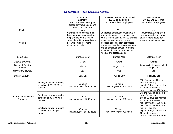## **Schedule B - Sick Leave Schedule**

|                                 |                                                                      | Contracted                                                                                                                                                              | Contracted and Non-Contracted                                                                                                                                                                                                                                                                                                     | Non-Contracted                                                                                                                     |
|---------------------------------|----------------------------------------------------------------------|-------------------------------------------------------------------------------------------------------------------------------------------------------------------------|-----------------------------------------------------------------------------------------------------------------------------------------------------------------------------------------------------------------------------------------------------------------------------------------------------------------------------------|------------------------------------------------------------------------------------------------------------------------------------|
|                                 |                                                                      | 12 Month                                                                                                                                                                | 10, 11, and 12 Month                                                                                                                                                                                                                                                                                                              | 10, 11, and 12 Month                                                                                                               |
|                                 |                                                                      | Principals, Asst. Principals,                                                                                                                                           | All Other School Employees                                                                                                                                                                                                                                                                                                        | Non-School Employees                                                                                                               |
|                                 |                                                                      | Secondary Counselors, and                                                                                                                                               |                                                                                                                                                                                                                                                                                                                                   |                                                                                                                                    |
|                                 |                                                                      | <b>Preschool Directors</b>                                                                                                                                              |                                                                                                                                                                                                                                                                                                                                   |                                                                                                                                    |
| Eligible                        |                                                                      | Yes                                                                                                                                                                     | Yes                                                                                                                                                                                                                                                                                                                               | Yes                                                                                                                                |
| Criteria                        |                                                                      | Contracted employees must<br>have a regular status and be<br>employed to work a routine<br>schedule of 20 or more hours<br>per week at one or more<br>diocesan schools. | Contracted employees must have a<br>regular status and be employed to<br>work a routine schedule of 20 or more<br>hours per week at one or more<br>diocesan schools. Non-contracted<br>employees must have a regular status<br>and be employed to work a routine<br>schedule of 20 or more hours per<br>week at one diocesan site | Regular status, employed<br>to work a routine schedule<br>of 20 or more hours per<br>week at one diocesan site                     |
| Leave Year                      |                                                                      | <b>Contract Year</b>                                                                                                                                                    | School Year                                                                                                                                                                                                                                                                                                                       | Calendar Year                                                                                                                      |
| Accrue or Grant?                |                                                                      | Grant                                                                                                                                                                   | Grant                                                                                                                                                                                                                                                                                                                             | Accrue                                                                                                                             |
| Timing of Grant or<br>Accrual   |                                                                      | July 1st                                                                                                                                                                | August 15th                                                                                                                                                                                                                                                                                                                       | begins with 1st paycheck of<br>eligibility                                                                                         |
| Carryover Allowed?              |                                                                      | yes                                                                                                                                                                     | yes                                                                                                                                                                                                                                                                                                                               | yes                                                                                                                                |
| Date of Carryover               |                                                                      | July 1st                                                                                                                                                                | August 15th                                                                                                                                                                                                                                                                                                                       | February 1st                                                                                                                       |
|                                 | Employed to work a routine<br>schedule of 20 - 29.99 hrs<br>per week | 50 hours<br>max carryover of 450 hours                                                                                                                                  | 50 hours<br>max carryover of 450 hours                                                                                                                                                                                                                                                                                            | 5% of actual paid hrs, to a<br>max of 4 per pay<br>avg of 13 days per year for<br>12 month employees<br>max carryover of 450 hours |
| Amount and Maximum<br>Carryover | Employed to work a routine<br>schedule of 30 -39.99 hrs<br>per week  | 70 hours<br>max carryover of 630 hours                                                                                                                                  | 70 hours<br>max carryover of 630 hours                                                                                                                                                                                                                                                                                            | 5% of actual paid hrs, to a<br>max of 4 per pay<br>avg of 13 days per year for<br>12 month employees<br>max carryover of 630 hours |
|                                 | Employed to work a routine<br>schedule of 40 hrs per<br>week         | 80 hours<br>max carryover of 720 hours                                                                                                                                  | 80 hours<br>max carryover of 720 hours                                                                                                                                                                                                                                                                                            | 5% of actual paid hrs, to a<br>max of 4 per pay<br>avg of 13 days per year for<br>12 month employees<br>max carryover of 720 hours |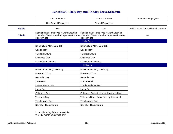# **Schedule C - Holy Day and Holiday Leave Schedule**

|          | Non-Contracted                                                       | Non-Contracted                                                                                                                                           | <b>Contracted Employees</b>            |
|----------|----------------------------------------------------------------------|----------------------------------------------------------------------------------------------------------------------------------------------------------|----------------------------------------|
|          | Non-School Employees                                                 | School Employees                                                                                                                                         |                                        |
| Eligible | Yes                                                                  | Yes                                                                                                                                                      | Paid in accordance with their contract |
| Criteria | Regular status, employed to work a routine<br>diocesan site          | Regular status, employed to work a routine<br>schedule of 20 or more hours per week at one schedule of 20 or more hours per week at one<br>diocesan site | n/a                                    |
|          |                                                                      | <b>Holy Days</b>                                                                                                                                         |                                        |
|          | Solemnity of Mary (Jan. 1st)                                         | Solemnity of Mary (Jan. 1st)                                                                                                                             |                                        |
|          | Good Friday                                                          | Good Friday                                                                                                                                              |                                        |
|          | <b>Christmas Eve</b>                                                 | <b>Christmas Eve</b>                                                                                                                                     |                                        |
|          | Christmas Day                                                        | Christmas Day                                                                                                                                            |                                        |
|          | Day after Christmas                                                  | Day after Christmas                                                                                                                                      |                                        |
|          |                                                                      | Holidays                                                                                                                                                 |                                        |
|          | Martin Luther King's Birthday                                        | Martin Luther King's Birthday                                                                                                                            |                                        |
|          | Presidents' Day                                                      | Presidents' Day                                                                                                                                          |                                        |
|          | <b>Memorial Day</b>                                                  | <b>Memorial Day</b>                                                                                                                                      |                                        |
|          | Juneteenth                                                           | ** Juneteenth                                                                                                                                            |                                        |
|          | Independence Day                                                     | ** Independence Day                                                                                                                                      |                                        |
|          | Labor Day                                                            | Labor Day                                                                                                                                                |                                        |
|          | <b>Columbus Day</b>                                                  | Columbus Day - if observed by the school                                                                                                                 |                                        |
|          | Veteran's Day                                                        | Veteran's Day - if observed by the school                                                                                                                |                                        |
|          | Thanksgiving Day                                                     | Thanksgiving Day                                                                                                                                         |                                        |
|          | Day after Thanksgiving                                               | Day after Thanksgiving                                                                                                                                   |                                        |
|          | only if the day falls on a weekday<br>** for 12 month employees only |                                                                                                                                                          |                                        |